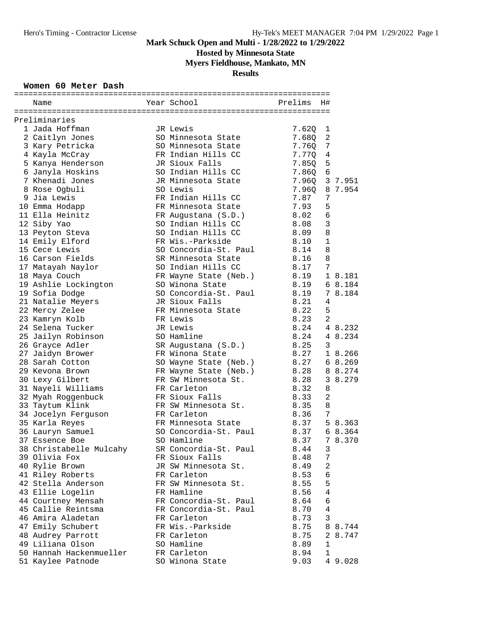**Hosted by Minnesota State**

**Myers Fieldhouse, Mankato, MN**

### **Results**

#### **Women 60 Meter Dash**

| Name                    | Year School                            | Prelims | H#             |         |
|-------------------------|----------------------------------------|---------|----------------|---------|
|                         |                                        |         |                |         |
| Preliminaries           |                                        |         |                |         |
| 1 Jada Hoffman          | JR Lewis                               | 7.62Q   | 1              |         |
| 2 Caitlyn Jones         | SO Minnesota State                     | 7.680   | 2              |         |
| 3 Kary Petricka         | SO Minnesota State                     | 7.76Q   | 7              |         |
| 4 Kayla McCray          | FR Indian Hills CC                     | 7.770   | 4              |         |
| 5 Kanya Henderson       | JR Sioux Falls                         | 7.850   | 5              |         |
| 6 Janyla Hoskins        | SO Indian Hills CC                     | 7.860   | 6              |         |
| 7 Khenadi Jones         | JR Minnesota State                     | 7.960   |                | 3 7.951 |
| 8 Rose Ogbuli           | SO Lewis                               | 7.96Q   |                | 8 7.954 |
| 9 Jia Lewis             | FR Indian Hills CC                     | 7.87    | 7              |         |
| 10 Emma Hodapp          | FR Minnesota State                     | 7.93    | 5              |         |
| 11 Ella Heinitz         | FR Augustana (S.D.)                    | 8.02    | 6              |         |
| 12 Siby Yao             | SO Indian Hills CC                     | 8.08    | 3              |         |
| 13 Peyton Steva         | SO Indian Hills CC                     | 8.09    | 8              |         |
| 14 Emily Elford         | FR Wis.-Parkside                       | 8.10    | $\mathbf 1$    |         |
| 15 Cece Lewis           | SO Concordia-St. Paul                  | 8.14    | 8              |         |
| 16 Carson Fields        | SR Minnesota State                     | 8.16    | 8              |         |
| 17 Matayah Naylor       | SO Indian Hills CC                     | 8.17    | 7              |         |
| 18 Maya Couch           | FR Wayne State (Neb.)                  | 8.19    |                | 1 8.181 |
| 19 Ashlie Lockington    | SO Winona State                        | 8.19    |                | 6 8.184 |
| 19 Sofia Dodge          | SO Concordia-St. Paul                  | 8.19    |                | 7 8.184 |
| 21 Natalie Meyers       | JR Sioux Falls                         | 8.21    | 4              |         |
| 22 Mercy Zelee          | FR Minnesota State                     | 8.22    | 5              |         |
| 23 Kamryn Kolb          | FR Lewis                               | 8.23    | 2              |         |
| 24 Selena Tucker        | JR Lewis                               | 8.24    |                | 4 8.232 |
| 25 Jailyn Robinson      | SO Hamline                             | 8.24    |                | 4 8.234 |
| 26 Grayce Adler         |                                        | 8.25    | 3              |         |
| 27 Jaidyn Brower        | SR Augustana (S.D.)<br>FR Winona State | 8.27    |                | 1 8.266 |
| 28 Sarah Cotton         |                                        | 8.27    |                | 68.269  |
|                         | SO Wayne State (Neb.)                  | 8.28    |                | 8 8.274 |
| 29 Kevona Brown         | FR Wayne State (Neb.)                  |         |                |         |
| 30 Lexy Gilbert         | FR SW Minnesota St.<br>FR Carleton     | 8.28    |                | 3 8.279 |
| 31 Nayeli Williams      |                                        | 8.32    | 8              |         |
| 32 Myah Roggenbuck      | FR Sioux Falls                         | 8.33    | 2              |         |
| 33 Taytum Klink         | FR SW Minnesota St.                    | 8.35    | 8              |         |
| 34 Jocelyn Ferguson     | FR Carleton                            | 8.36    | 7              |         |
| 35 Karla Reyes          | FR Minnesota State                     | 8.37    |                | 5 8.363 |
| 36 Lauryn Samuel        | SO Concordia-St. Paul                  | 8.37    |                | 6 8.364 |
| 37 Essence Boe          | SO Hamline                             | 8.37    |                | 7 8.370 |
| 38 Christabelle Mulcahy | SR Concordia-St. Paul                  | 8.44    | 3              |         |
| 39 Olivia Fox           | FR Sioux Falls                         | 8.48    | 7              |         |
| 40 Rylie Brown          | JR SW Minnesota St.                    | 8.49    | $\sqrt{2}$     |         |
| 41 Riley Roberts        | FR Carleton                            | 8.53    | 6              |         |
| 42 Stella Anderson      | FR SW Minnesota St.                    | 8.55    | 5              |         |
| 43 Ellie Logelin        | FR Hamline                             | 8.56    | $\overline{4}$ |         |
| 44 Courtney Mensah      | FR Concordia-St. Paul                  | 8.64    | 6              |         |
| 45 Callie Reintsma      | FR Concordia-St. Paul                  | 8.70    | 4              |         |
| 46 Amira Aladetan       | FR Carleton                            | 8.73    | 3              |         |
| 47 Emily Schubert       | FR Wis.-Parkside                       | 8.75    |                | 8 8.744 |
| 48 Audrey Parrott       | FR Carleton                            | 8.75    | $\overline{2}$ | 8.747   |
| 49 Liliana Olson        | SO Hamline                             | 8.89    | $\mathbf 1$    |         |
| 50 Hannah Hackenmueller | FR Carleton                            | 8.94    | $\mathbf 1$    |         |
| 51 Kaylee Patnode       | SO Winona State                        | 9.03    |                | 4 9.028 |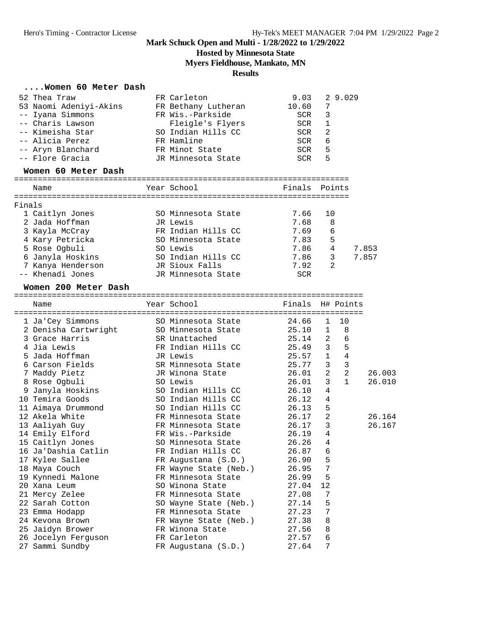**Hosted by Minnesota State**

**Myers Fieldhouse, Mankato, MN**

#### **Results**

#### **....Women 60 Meter Dash**

| 52 Thea Traw                         | FR Carleton         |            | $9.03$ 2 9.029 |
|--------------------------------------|---------------------|------------|----------------|
| 53 Naomi Adeniyi-Akins               | FR Bethany Lutheran | 10.60      | -7             |
| -- Iyana Simmons                     | FR Wis.-Parkside    | <b>SCR</b> | 3              |
| -- Charis Lawson                     | Fleigle's Flyers    | SCR        | 1              |
| -- Kimeisha Star                     | SO Indian Hills CC  | SCR        | -2             |
| -- Alicia Perez                      | FR Hamline          | SCR        | 6              |
| -- Aryn Blanchard                    | FR Minot State      | SCR        | 5              |
| -- Flore Gracia                      | JR Minnesota State  | SCR        | 5              |
| $W om on \epsilon0 Wch on non on on$ |                     |            |                |

#### **Women 60 Meter Dash**

|        | Name              | Year School        |            | Finals Points  |       |
|--------|-------------------|--------------------|------------|----------------|-------|
| Finals |                   |                    |            |                |       |
|        | 1 Caitlyn Jones   | SO Minnesota State | 7.66       | 10             |       |
|        | 2 Jada Hoffman    | JR Lewis           | 7.68       | 8              |       |
|        | 3 Kayla McCray    | FR Indian Hills CC | 7.69       | 6              |       |
|        | 4 Kary Petricka   | SO Minnesota State | 7.83       | 5              |       |
|        | 5 Rose Ogbuli     | SO Lewis           | 7.86       | 4              | 7.853 |
|        | 6 Janyla Hoskins  | SO Indian Hills CC | 7.86       | 3              | 7.857 |
|        | 7 Kanya Henderson | JR Sioux Falls     | 7.92       | $\mathfrak{D}$ |       |
|        | -- Khenadi Jones  | JR Minnesota State | <b>SCR</b> |                |       |

#### **Women 200 Meter Dash**

========================================================================== Name Year School Finals H# Points ========================================================================== 1 Ja'Cey Simmons SO Minnesota State 24.66 1 10 2 Denisha Cartwright SO Minnesota State 25.10 1 8 3 Grace Harris SR Unattached 25.14 2 6 4 Jia Lewis FR Indian Hills CC 25.49 3 5 5 Jada Hoffman JR Lewis 25.57 1 4 6 Carson Fields SR Minnesota State 25.77 3 3 7 Maddy Pietz JR Winona State 26.01 2 2 26.003 8 Rose Ogbuli SO Lewis 26.01 3 1 26.010 9 Janyla Hoskins SO Indian Hills CC 26.10 4 10 Temira Goods SO Indian Hills CC 26.12 4 11 Aimaya Drummond SO Indian Hills CC 26.13 5 12 Akela White FR Minnesota State 26.17 2 26.164 13 Aaliyah Guy FR Minnesota State 26.17 3 26.167 14 Emily Elford FR Wis.-Parkside 26.19 4 15 Caitlyn Jones SO Minnesota State 26.26 4 16 Ja'Dashia Catlin FR Indian Hills CC 26.87 6 17 Kylee Sallee FR Augustana (S.D.) 26.90 5 18 Maya Couch FR Wayne State (Neb.) 26.95 7 19 Kynnedi Malone FR Minnesota State 26.99 5 20 Xana Leum SO Winona State 27.04 12 21 Mercy Zelee FR Minnesota State 27.08 7 22 Sarah Cotton SO Wayne State (Neb.) 27.14 5 23 Emma Hodapp FR Minnesota State 27.23 7 24 Kevona Brown FR Wayne State (Neb.) 27.38 8 25 Jaidyn Brower FR Winona State 27.56 8 26 Jocelyn Ferguson FR Carleton 27.57 6 27 Sammi Sundby FR Augustana (S.D.) 27.64 7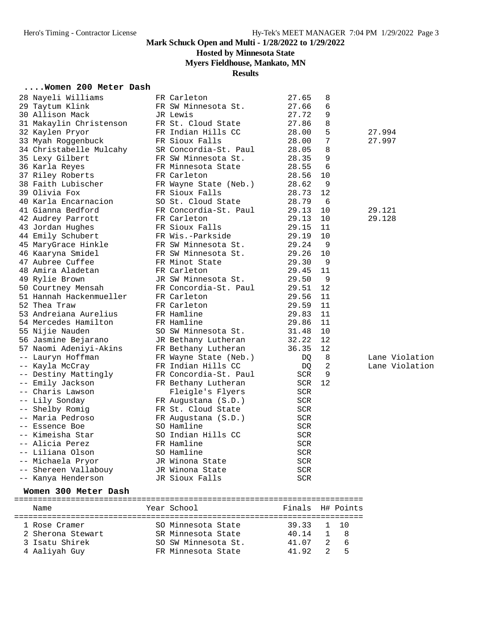## **Hosted by Minnesota State**

## **Myers Fieldhouse, Mankato, MN**

#### **Results**

#### **....Women 200 Meter Dash**

|      | 28 Nayeli Williams      | FR Carleton           | 27.65      | 8   |           |                |
|------|-------------------------|-----------------------|------------|-----|-----------|----------------|
|      | 29 Taytum Klink         | FR SW Minnesota St.   | 27.66      | 6   |           |                |
|      | 30 Allison Mack         | JR Lewis              | 27.72      | 9   |           |                |
|      | 31 Makaylin Christenson | FR St. Cloud State    | 27.86      | 8   |           |                |
|      | 32 Kaylen Pryor         | FR Indian Hills CC    | 28.00      | 5   |           | 27.994         |
|      | 33 Myah Roggenbuck      | FR Sioux Falls        | 28.00      | 7   |           | 27.997         |
|      | 34 Christabelle Mulcahy | SR Concordia-St. Paul | 28.05      | 8   |           |                |
|      | 35 Lexy Gilbert         | FR SW Minnesota St.   | 28.35      | 9   |           |                |
|      | 36 Karla Reyes          | FR Minnesota State    | 28.55      | 6   |           |                |
|      | 37 Riley Roberts        | FR Carleton           | 28.56      | 10  |           |                |
|      | 38 Faith Lubischer      | FR Wayne State (Neb.) | 28.62      | 9   |           |                |
|      | 39 Olivia Fox           | FR Sioux Falls        | 28.73      | 12  |           |                |
|      | 40 Karla Encarnacion    | SO St. Cloud State    | 28.79      | - 6 |           |                |
|      | 41 Gianna Bedford       | FR Concordia-St. Paul | 29.13      | 10  |           |                |
|      |                         |                       |            |     |           | 29.121         |
|      | 42 Audrey Parrott       | FR Carleton           | 29.13      | 10  |           | 29.128         |
|      | 43 Jordan Hughes        | FR Sioux Falls        | 29.15      | 11  |           |                |
|      | 44 Emily Schubert       | FR Wis.-Parkside      | 29.19      | 10  |           |                |
|      | 45 MaryGrace Hinkle     | FR SW Minnesota St.   | 29.24      | 9   |           |                |
|      | 46 Kaaryna Smidel       | FR SW Minnesota St.   | 29.26      | 10  |           |                |
|      | 47 Aubree Cuffee        | FR Minot State        | 29.30      | 9   |           |                |
|      | 48 Amira Aladetan       | FR Carleton           | 29.45      | 11  |           |                |
|      | 49 Rylie Brown          | JR SW Minnesota St.   | 29.50      | 9   |           |                |
|      | 50 Courtney Mensah      | FR Concordia-St. Paul | 29.51      | 12  |           |                |
|      | 51 Hannah Hackenmueller | FR Carleton           | 29.56      | 11  |           |                |
|      | 52 Thea Traw            | FR Carleton           | 29.59      | 11  |           |                |
|      | 53 Andreiana Aurelius   | FR Hamline            | 29.83      | 11  |           |                |
|      | 54 Mercedes Hamilton    | FR Hamline            | 29.86      | 11  |           |                |
|      | 55 Nijie Nauden         | SO SW Minnesota St.   | 31.48      | 10  |           |                |
|      | 56 Jasmine Bejarano     | JR Bethany Lutheran   | 32.22      | 12  |           |                |
|      | 57 Naomi Adeniyi-Akins  | FR Bethany Lutheran   | 36.35      | 12  |           |                |
|      | -- Lauryn Hoffman       | FR Wayne State (Neb.) | DQ         | 8   |           | Lane Violation |
|      | -- Kayla McCray         | FR Indian Hills CC    | DQ         | 2   |           | Lane Violation |
|      | -- Destiny Mattingly    | FR Concordia-St. Paul | SCR        | 9   |           |                |
|      | Emily Jackson           | FR Bethany Lutheran   | SCR        | 12  |           |                |
|      | Charis Lawson           | Fleigle's Flyers      | SCR        |     |           |                |
|      | -- Lily Sonday          | FR Augustana (S.D.)   | SCR        |     |           |                |
| $--$ | Shelby Romig            | FR St. Cloud State    | SCR        |     |           |                |
|      | -- Maria Pedroso        | FR Augustana (S.D.)   | SCR        |     |           |                |
|      | -- Essence Boe          | SO Hamline            | SCR        |     |           |                |
|      | -- Kimeisha Star        | SO Indian Hills CC    | <b>SCR</b> |     |           |                |
|      | -- Alicia Perez         | FR Hamline            | <b>SCR</b> |     |           |                |
|      | -- Liliana Olson        | SO Hamline            | SCR        |     |           |                |
|      | -- Michaela Pryor       | JR Winona State       | SCR        |     |           |                |
|      | -- Shereen Vallabouy    | JR Winona State       | SCR        |     |           |                |
|      | -- Kanya Henderson      | JR Sioux Falls        | SCR        |     |           |                |
|      | Women 300 Meter Dash    |                       |            |     |           |                |
|      |                         | Year School           | Finals     |     |           |                |
|      | Name                    |                       |            |     | H# Points |                |
|      | 1 Rose Cramer           | SO Minnesota State    | 39.33      | ı   | 10        |                |
|      | 2 Sherona Stewart       | SR Minnesota State    | 40.14      | 1   | 8         |                |
|      | 3 Isatu Shirek          | SO SW Minnesota St.   | 41.07      |     | 6         |                |

4 Aaliyah Guy FR Minnesota State 41.92 2 5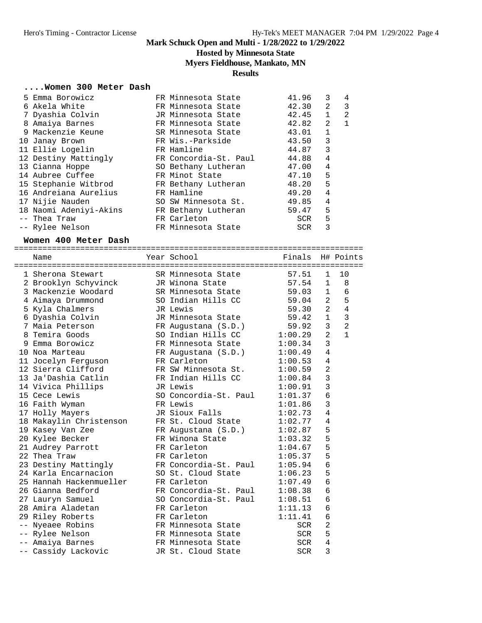## **Hosted by Minnesota State**

## **Myers Fieldhouse, Mankato, MN**

### **Results**

### **....Women 300 Meter Dash**

| 5 Emma Borowicz        | FR Minnesota State    | 41.96      | 3            | 4            |
|------------------------|-----------------------|------------|--------------|--------------|
| 6 Akela White          | FR Minnesota State    | 42.30      | 2            | 3            |
| 7 Dyashia Colvin       | JR Minnesota State    | 42.45      | $\mathbf{1}$ | 2            |
| 8 Amaiya Barnes        | FR Minnesota State    | 42.82      | 2            | $\mathbf{1}$ |
| 9 Mackenzie Keune      | SR Minnesota State    | 43.01      | $\mathbf{1}$ |              |
| 10 Janay Brown         | FR Wis.-Parkside      | 43.50      | 3            |              |
| 11 Ellie Logelin       | FR Hamline            | 44.87      | 3            |              |
| 12 Destiny Mattingly   | FR Concordia-St. Paul | 44.88      | 4            |              |
| 13 Cianna Hoppe        | SO Bethany Lutheran   | 47.00      | 4            |              |
| 14 Aubree Cuffee       | FR Minot State        | 47.10      | 5            |              |
| 15 Stephanie Witbrod   | FR Bethany Lutheran   | 48.20      | 5            |              |
| 16 Andreiana Aurelius  | FR Hamline            | 49.20      | 4            |              |
| 17 Nijie Nauden        | SO SW Minnesota St.   | 49.85      | 4            |              |
| 18 Naomi Adeniyi-Akins | FR Bethany Lutheran   | 59.47      | 5            |              |
| -- Thea Traw           | FR Carleton           | SCR        | 5            |              |
| -- Rylee Nelson        | FR Minnesota State    | <b>SCR</b> | 3            |              |
|                        |                       |            |              |              |

#### **Women 400 Meter Dash**

|   | Name                    | Year School <b>Shoul</b> Search School | Finals H# Points |                |                |
|---|-------------------------|----------------------------------------|------------------|----------------|----------------|
|   |                         |                                        |                  |                |                |
|   | 1 Sherona Stewart       | SR Minnesota State                     | 57.51            | $\mathbf{1}$   | 10             |
|   | 2 Brooklyn Schyvinck    | JR Winona State                        | 57.54            | $\mathbf{1}$   | 8              |
|   | 3 Mackenzie Woodard     | SR Minnesota State                     | 59.03            | 1              | 6              |
|   | 4 Aimaya Drummond       | SO Indian Hills CC                     | 59.04            | 2              | 5              |
|   | 5 Kyla Chalmers         | JR Lewis                               | 59.30            | 2              | $\overline{4}$ |
|   | 6 Dyashia Colvin        | JR Minnesota State                     | 59.42            | $\mathbf{1}$   | 3              |
|   | 7 Maia Peterson         | FR Augustana (S.D.)                    | 59.92            | 3              | $\overline{2}$ |
| 8 | Temira Goods            | SO Indian Hills CC                     | 1:00.29          | $\overline{a}$ | $\mathbf{1}$   |
| 9 | Emma Borowicz           | FR Minnesota State                     | 1:00.34          | $\overline{3}$ |                |
|   | 10 Noa Marteau          | FR Augustana (S.D.)                    | 1:00.49          | 4              |                |
|   | 11 Jocelyn Ferguson     | FR Carleton                            | 1:00.53          | 4              |                |
|   | 12 Sierra Clifford      | FR SW Minnesota St.                    | 1:00.59          | $\overline{2}$ |                |
|   | 13 Ja'Dashia Catlin     | FR Indian Hills CC                     | 1:00.84          | 3              |                |
|   | 14 Vivica Phillips      | JR Lewis                               | 1:00.91          | 3              |                |
|   | 15 Cece Lewis           | SO Concordia-St. Paul                  | 1:01.37          | 6              |                |
|   | 16 Faith Wyman          | FR Lewis                               | 1:01.86          | 3              |                |
|   | 17 Holly Mayers         | JR Sioux Falls                         | 1:02.73          | 4              |                |
|   | 18 Makaylin Christenson | FR St. Cloud State                     | 1:02.77          | 4              |                |
|   | 19 Kasey Van Zee        | FR Augustana $(S.D.)$ 1:02.87          |                  | 5              |                |
|   | 20 Kylee Becker         | FR Winona State<br>1:03.32             |                  | 5              |                |
|   | 21 Audrey Parrott       | FR Carleton                            | 1:04.67          | 5              |                |
|   | 22 Thea Traw            | FR Carleton                            | 1:05.37          | 5              |                |
|   | 23 Destiny Mattingly    | FR Concordia-St. Paul 1:05.94          |                  | 6              |                |
|   | 24 Karla Encarnacion    | SO St. Cloud State                     | 1:06.23          | 5              |                |
|   | 25 Hannah Hackenmueller | FR Carleton                            | 1:07.49          | 6              |                |
|   | 26 Gianna Bedford       | FR Concordia-St. Paul                  | 1:08.38          | 6              |                |
|   | 27 Lauryn Samuel        | SO Concordia-St. Paul                  | 1:08.51          | 6              |                |
|   | 28 Amira Aladetan       | FR Carleton                            | 1:11.13          | 6              |                |
|   | 29 Riley Roberts        | FR Carleton                            | 1:11.41          | 6              |                |
|   | -- Nyeaee Robins        | FR Minnesota State                     | SCR              | 2              |                |
|   | -- Rylee Nelson         | FR Minnesota State                     | SCR              | 5              |                |
|   | -- Amaiya Barnes        | FR Minnesota State                     | SCR              | 4              |                |
|   | -- Cassidy Lackovic     | JR St. Cloud State                     | <b>SCR</b>       | 3              |                |
|   |                         |                                        |                  |                |                |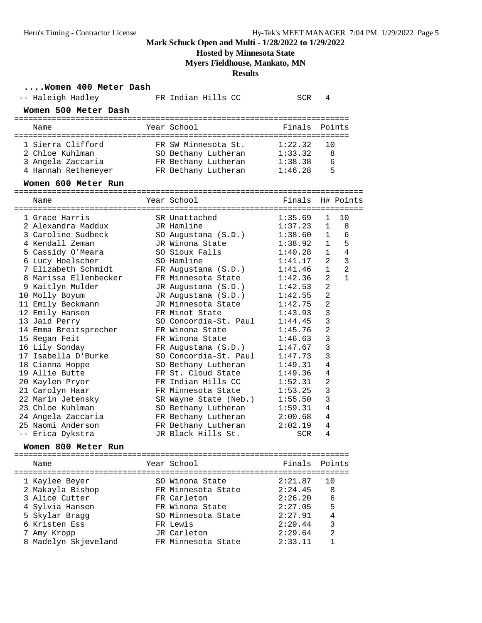## **Hosted by Minnesota State**

**Myers Fieldhouse, Mankato, MN**

**Results**

### **....Women 400 Meter Dash**

| -- Haleigh Hadley     | FR Indian Hills CC    | SCR                | 4              |                |
|-----------------------|-----------------------|--------------------|----------------|----------------|
| Women 500 Meter Dash  |                       |                    |                |                |
| Name                  | Year School           | Finals             | Points         |                |
| 1 Sierra Clifford     | FR SW Minnesota St.   | 1:22.32            | 10             |                |
| 2 Chloe Kuhlman       | SO Bethany Lutheran   | 1:33.32            | 8              |                |
| 3 Angela Zaccaria     | FR Bethany Lutheran   | 1:38.38            | 6              |                |
| 4 Hannah Rethemeyer   | FR Bethany Lutheran   | 1:46.28            | 5              |                |
| Women 600 Meter Run   |                       |                    |                |                |
| Name                  | Year School           | Finals             |                | H# Points      |
|                       |                       |                    |                |                |
| 1 Grace Harris        | SR Unattached         | 1:35.69            | 1              | 10             |
| 2 Alexandra Maddux    | JR Hamline            | 1:37.23            | $\mathbf{1}$   | 8              |
| 3 Caroline Sudbeck    | SO Augustana (S.D.)   | 1:38.60            | $\mathbf{1}$   | 6              |
| 4 Kendall Zeman       | JR Winona State       | 1:38.92            | $\mathbf{1}$   | 5              |
| 5 Cassidy O'Meara     | SO Sioux Falls        | 1:40.28            | 1              | 4              |
| 6 Lucy Hoelscher      | SO Hamline            | 1:41.17            | 2              | 3              |
| 7 Elizabeth Schmidt   | FR Augustana (S.D.)   | 1:41.46            | $\mathbf{1}$   | $\overline{2}$ |
| 8 Marissa Ellenbecker | FR Minnesota State    | 1:42.36            | 2              | $\mathbf{1}$   |
| 9 Kaitlyn Mulder      | JR Augustana (S.D.)   | 1:42.53            | $\overline{a}$ |                |
| 10 Molly Boyum        | JR Augustana (S.D.)   | 1:42.55            | $\overline{2}$ |                |
| 11 Emily Beckmann     | JR Minnesota State    | 1:42.75            | 2              |                |
| 12 Emily Hansen       | FR Minot State        | 1:43.93            | 3              |                |
| 13 Jaid Perry         | SO Concordia-St. Paul | 1:44.45            | 3              |                |
| 14 Emma Breitsprecher | FR Winona State       | 1:45.76            | $\overline{2}$ |                |
| 15 Regan Feit         | FR Winona State       | 1:46.63            | 3              |                |
| 16 Lily Sonday        | FR Augustana (S.D.)   | 1:47.67            | 3              |                |
| 17 Isabella D'Burke   | SO Concordia-St. Paul | 1:47.73            | 3              |                |
| 18 Cianna Hoppe       | SO Bethany Lutheran   | 1:49.31            | 4              |                |
| 19 Allie Butte        | FR St. Cloud State    | 1:49.36            | 4              |                |
|                       | FR Indian Hills CC    |                    | $\overline{2}$ |                |
| 20 Kaylen Pryor       | FR Minnesota State    | 1:52.31<br>1:53.25 | 3              |                |
| 21 Carolyn Haar       |                       |                    |                |                |
| 22 Marin Jetensky     | SR Wayne State (Neb.) | 1:55.50            | 3              |                |
| 23 Chloe Kuhlman      | SO Bethany Lutheran   | 1:59.31            | 4              |                |
| 24 Angela Zaccaria    | FR Bethany Lutheran   | 2:00.68            | 4              |                |
| 25 Naomi Anderson     | FR Bethany Lutheran   | 2:02.19            | 4              |                |
| -- Erica Dykstra      | JR Black Hills St.    | SCR                | 4              |                |
| Women 800 Meter Run   |                       |                    |                |                |
| Name                  | Year School           | Finals             | Points         |                |
|                       |                       | 2:21.87            | 10             |                |
| 1 Kaylee Beyer        | SO Winona State       | 2:24.45            |                |                |
| 2 Makayla Bishop      | FR Minnesota State    |                    | 8              |                |
| 3 Alice Cutter        | FR Carleton           | 2:26.20            | 6              |                |
| 4 Sylvia Hansen       | FR Winona State       | 2:27.05            | 5              |                |
| 5 Skylar Bragg        | SO Minnesota State    | 2:27.91            | 4              |                |
| 6 Kristen Ess         | FR Lewis              | 2:29.44            | 3              |                |
| 7 Amy Kropp           | JR Carleton           | 2:29.64            | 2              |                |
| 8 Madelyn Skjeveland  | FR Minnesota State    | 2:33.11            | 1              |                |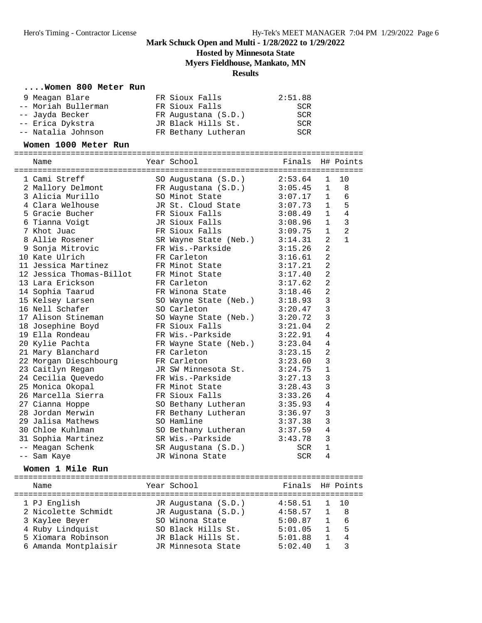**Hosted by Minnesota State**

**Myers Fieldhouse, Mankato, MN**

#### **Results**

#### **....Women 800 Meter Run**

| 9 Meagan Blare      | FR Sioux Falls      | 2:51.88 |
|---------------------|---------------------|---------|
| -- Moriah Bullerman | FR Sioux Falls      | SCR     |
| -- Jayda Becker     | FR Augustana (S.D.) | SCR     |
| -- Erica Dykstra    | JR Black Hills St.  | SCR     |
| -- Natalia Johnson  | FR Bethany Lutheran | SCR     |

#### **Women 1000 Meter Run**

========================================================================== Name Year School Finals H# Points ========================================================================== 1 Cami Streff SO Augustana (S.D.) 2:53.64 1 10 2 Mallory Delmont FR Augustana (S.D.) 3:05.45 1 8 3 Alicia Murillo SO Minot State 3:07.17 1 6 4 Clara Welhouse JR St. Cloud State 3:07.73 1 5 5 Gracie Bucher FR Sioux Falls 3:08.49 1 4 6 Tianna Voigt JR Sioux Falls 3:08.96 1 3 7 Khot Juac FR Sioux Falls 3:09.75 1 2 8 Allie Rosener SR Wayne State (Neb.) 3:14.31 2 1 9 Sonja Mitrovic FR Wis.-Parkside 3:15.26 2 10 Kate Ulrich FR Carleton 3:16.61 2 11 Jessica Martinez FR Minot State 3:17.21 2 12 Jessica Thomas-Billot FR Minot State 3:17.40 2 13 Lara Erickson FR Carleton 3:17.62 2 14 Sophia Taarud FR Winona State 3:18.46 2 15 Kelsey Larsen SO Wayne State (Neb.) 3:18.93 3 16 Nell Schafer SO Carleton 3:20.47 3 17 Alison Stineman SO Wayne State (Neb.) 3:20.72 3 18 Josephine Boyd FR Sioux Falls 3:21.04 2 19 Ella Rondeau FR Wis.-Parkside 3:22.91 4 20 Kylie Pachta FR Wayne State (Neb.) 3:23.04 4 21 Mary Blanchard FR Carleton 3:23.15 2 22 Morgan Dieschbourg FR Carleton 3:23.60 3 23 Caitlyn Regan JR SW Minnesota St. 3:24.75 1 24 Cecilia Quevedo FR Wis.-Parkside 3:27.13 3 25 Monica Okopal FR Minot State 3:28.43 3 26 Marcella Sierra FR Sioux Falls 3:33.26 4 27 Cianna Hoppe SO Bethany Lutheran 3:35.93 4 28 Jordan Merwin FR Bethany Lutheran 3:36.97 3 29 Jalisa Mathews SO Hamline 3:37.38 3 30 Chloe Kuhlman SO Bethany Lutheran 3:37.59 4 31 Sophia Martinez SR Wis.-Parkside 3:43.78 3 -- Meagan Schenk SR Augustana (S.D.) SCR 1 -- Sam Kaye JR Winona State SCR 4

#### **Women 1 Mile Run**

========================================================================== Name The Year School The Finals H# Points ========================================================================== 1 PJ English JR Augustana (S.D.) 4:58.51 1 10 2 Nicolette Schmidt JR Augustana (S.D.) 4:58.57 1 8 3 Kaylee Beyer SO Winona State 5:00.87 1 6 4 Ruby Lindquist SO Black Hills St. 5:01.05 1 5 5 Xiomara Robinson JR Black Hills St. 5:01.88 1 4 6 Amanda Montplaisir JR Minnesota State 5:02.40 1 3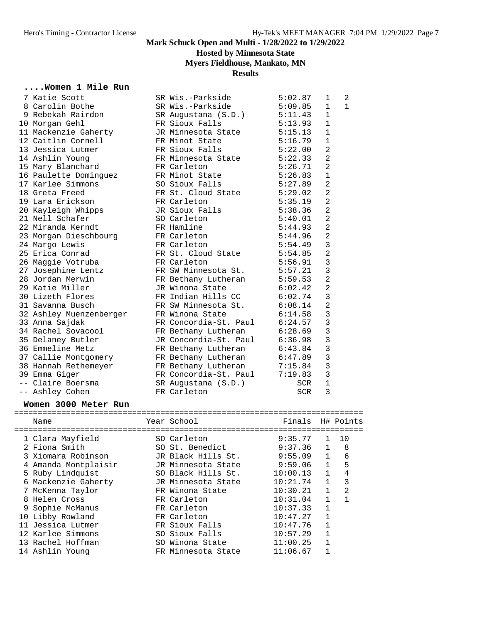## **Hosted by Minnesota State**

## **Myers Fieldhouse, Mankato, MN**

### **Results**

### **....Women 1 Mile Run**

|  | 7 Katie Scott           | SR Wis.-Parkside            | 5:02.87    | $\mathbf 1$    | 2            |
|--|-------------------------|-----------------------------|------------|----------------|--------------|
|  | 8 Carolin Bothe         | SR Wis.-Parkside            | 5:09.85    | $\mathbf{1}$   | $\mathbf{1}$ |
|  | 9 Rebekah Rairdon       | SR Augustana (S.D.)         | 5:11.43    | $\mathbf{1}$   |              |
|  | 10 Morgan Gehl          | FR Sioux Falls              | 5:13.93    | $\mathbf 1$    |              |
|  | 11 Mackenzie Gaherty    | JR Minnesota State 5:15.13  |            | $\mathbf{1}$   |              |
|  | 12 Caitlin Cornell      | FR Minot State              | 5:16.79    | $\mathbf{1}$   |              |
|  | 13 Jessica Lutmer       | FR Sioux Falls              | 5:22.00    | $\overline{2}$ |              |
|  | 14 Ashlin Young         | FR Minnesota State          | 5:22.33    | $\overline{2}$ |              |
|  | 15 Mary Blanchard       | FR Carleton                 | 5:26.71    | $\overline{a}$ |              |
|  | 16 Paulette Dominguez   | FR Minot State              | 5:26.83    | $\mathbf 1$    |              |
|  | 17 Karlee Simmons       | SO Sioux Falls              | 5:27.89    | $\overline{2}$ |              |
|  | 18 Greta Freed          | FR St. Cloud State 5:29.02  |            | $\overline{2}$ |              |
|  | 19 Lara Erickson        | FR Carleton                 | 5:35.19    | $\overline{2}$ |              |
|  | 20 Kayleigh Whipps      | JR Sioux Falls              | 5:38.36    | $\overline{2}$ |              |
|  | 21 Nell Schafer         | SO Carleton                 | 5:40.01    | $\overline{2}$ |              |
|  | 22 Miranda Kerndt       | FR Hamline                  | 5:44.93    | $\overline{a}$ |              |
|  | 23 Morgan Dieschbourg   | FR Carleton                 | 5:44.96    | $\overline{a}$ |              |
|  | 24 Margo Lewis          | FR Carleton                 | 5:54.49    | 3              |              |
|  | 25 Erica Conrad         | FR St. Cloud State 5:54.85  |            | $\overline{2}$ |              |
|  | 26 Maggie Votruba       | FR Carleton                 | 5:56.91    | $\overline{3}$ |              |
|  | 27 Josephine Lentz      | FR SW Minnesota St. 5:57.21 |            | 3              |              |
|  | 28 Jordan Merwin        | FR Bethany Lutheran         | 5:59.53    | $\overline{2}$ |              |
|  | 29 Katie Miller         | JR Winona State             | 6:02.42    | $\overline{2}$ |              |
|  | 30 Lizeth Flores        | FR Indian Hills CC          | 6:02.74    | 3              |              |
|  | 31 Savanna Busch        | FR SW Minnesota St.         | 6:08.14    | $\overline{a}$ |              |
|  | 32 Ashley Muenzenberger | FR Winona State             | 6:14.58    | $\mathbf{3}$   |              |
|  | 33 Anna Sajdak          | FR Concordia-St. Paul       | 6:24.57    | $\overline{3}$ |              |
|  | 34 Rachel Sovacool      | FR Bethany Lutheran         | 6:28.69    | $\overline{3}$ |              |
|  | 35 Delaney Butler       | JR Concordia-St. Paul       | 6:36.98    | 3              |              |
|  | 36 Emmeline Metz        | FR Bethany Lutheran         | 6:43.84    | 3              |              |
|  | 37 Callie Montgomery    | FR Bethany Lutheran         | 6:47.89    | $\overline{3}$ |              |
|  | 38 Hannah Rethemeyer    | FR Bethany Lutheran         | 7:15.84    | $\overline{3}$ |              |
|  | 39 Emma Giger           | FR Concordia-St. Paul       | 7:19.83    | $\overline{3}$ |              |
|  | -- Claire Boersma       | SR Augustana (S.D.)         | SCR        | $\mathbf{1}$   |              |
|  | -- Ashley Cohen         | FR Carleton                 | <b>SCR</b> | 3              |              |

### **Women 3000 Meter Run**

|  | Name                 | Year School        | Finals   |              | H# Points      |
|--|----------------------|--------------------|----------|--------------|----------------|
|  | 1 Clara Mayfield     | SO Carleton        | 9:35.77  | $\mathbf{1}$ | 1 O            |
|  |                      |                    |          |              |                |
|  | 2 Fiona Smith        | SO St. Benedict    | 9:37.36  | $\mathbf{1}$ | 8              |
|  | 3 Xiomara Robinson   | JR Black Hills St. | 9:55.09  | $\mathbf{1}$ | 6              |
|  | 4 Amanda Montplaisir | JR Minnesota State | 9:59.06  | $\mathbf{1}$ | 5              |
|  | 5 Ruby Lindquist     | SO Black Hills St. | 10:00.13 | $\mathbf{1}$ | 4              |
|  | 6 Mackenzie Gaherty  | JR Minnesota State | 10:21.74 | $\mathbf{1}$ | 3              |
|  | 7 McKenna Taylor     | FR Winona State    | 10:30.21 | $\mathbf{1}$ | $\mathfrak{D}$ |
|  | 8 Helen Cross        | FR Carleton        | 10:31.04 |              |                |
|  | 9 Sophie McManus     | FR Carleton        | 10:37.33 | $\mathbf{1}$ |                |
|  | 10 Libby Rowland     | FR Carleton        | 10:47.27 | 1            |                |
|  | 11 Jessica Lutmer    | FR Sioux Falls     | 10:47.76 | $\mathbf{1}$ |                |
|  | 12 Karlee Simmons    | SO Sioux Falls     | 10:57.29 |              |                |
|  | 13 Rachel Hoffman    | SO Winona State    | 11:00.25 |              |                |
|  | 14 Ashlin Young      | FR Minnesota State | 11:06.67 |              |                |
|  |                      |                    |          |              |                |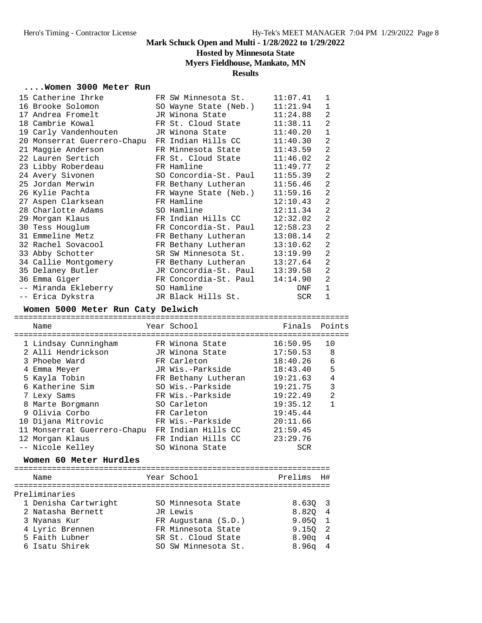### **Hosted by Minnesota State**

#### **Myers Fieldhouse, Mankato, MN**

#### **Results**

#### **....Women 3000 Meter Run**

| 15 Catherine Ihrke                             | FR SW Minnesota St.   | 11:07.41 | $\mathbf 1$    |
|------------------------------------------------|-----------------------|----------|----------------|
| 16 Brooke Solomon                              | SO Wayne State (Neb.) | 11:21.94 | 1              |
| 17 Andrea Fromelt                              | JR Winona State       | 11:24.88 | 2              |
| 18 Cambrie Kowal                               | FR St. Cloud State    | 11:38.11 | $\overline{2}$ |
| 19 Carly Vandenhouten                          | JR Winona State       | 11:40.20 | $\mathbf{1}$   |
| 20 Monserrat Guerrero-Chapu FR Indian Hills CC |                       | 11:40.30 | $\overline{2}$ |
| 21 Maggie Anderson                             | FR Minnesota State    | 11:43.59 | $\overline{2}$ |
| 22 Lauren Sertich                              | FR St. Cloud State    | 11:46.02 | $\overline{2}$ |
| 23 Libby Roberdeau                             | FR Hamline            | 11:49.77 | $\overline{2}$ |
| 24 Avery Sivonen                               | SO Concordia-St. Paul | 11:55.39 | 2              |
| 25 Jordan Merwin                               | FR Bethany Lutheran   | 11:56.46 | $\overline{2}$ |
| 26 Kylie Pachta                                | FR Wayne State (Neb.) | 11:59.16 | 2              |
| 27 Aspen Clarksean                             | FR Hamline            | 12:10.43 | $\overline{2}$ |
| 28 Charlotte Adams                             | SO Hamline            | 12:11.34 | $\overline{2}$ |
| 29 Morgan Klaus                                | FR Indian Hills CC    | 12:32.02 | $\overline{2}$ |
| 30 Tess Houglum                                | FR Concordia-St. Paul | 12:58.23 | $\overline{2}$ |
| 31 Emmeline Metz                               | FR Bethany Lutheran   | 13:08.14 | $\overline{2}$ |
| 32 Rachel Sovacool                             | FR Bethany Lutheran   | 13:10.62 | 2              |
| 33 Abby Schotter                               | SR SW Minnesota St.   | 13:19.99 | $\overline{2}$ |
| 34 Callie Montgomery                           | FR Bethany Lutheran   | 13:27.64 | $\overline{2}$ |
| 35 Delaney Butler                              | JR Concordia-St. Paul | 13:39.58 | $\overline{2}$ |
| 36 Emma Giger                                  | FR Concordia-St. Paul | 14:14.90 | $\overline{2}$ |
| -- Miranda Ekleberry                           | SO Hamline            | DNF      | $\mathbf{1}$   |
| -- Erica Dykstra                               | JR Black Hills St.    | SCR      | $\mathbf{1}$   |

#### **Women 5000 Meter Run Caty Delwich**

======================================================================= Name **Year School Finals Points** ======================================================================= 1 Lindsay Cunningham FR Winona State 16:50.95 10 2 Alli Hendrickson JR Winona State 17:50.53 8 3 Phoebe Ward FR Carleton 18:40.26 6 4 Emma Meyer JR Wis.-Parkside 18:43.40 5 5 Kayla Tobin FR Bethany Lutheran 19:21.63 4 6 Katherine Sim SO Wis.-Parkside 19:21.75 3 7 Lexy Sams FR Wis.-Parkside 19:22.49 2 8 Marte Borgmann SO Carleton 19:35.12 1 9 Olivia Corbo FR Carleton 19:45.44 10 Dijana Mitrovic FR Wis.-Parkside 20:11.66 11 Monserrat Guerrero-Chapu FR Indian Hills CC 21:59.45 12 Morgan Klaus FR Indian Hills CC 23:29.76 -- Nicole Kelley SO Winona State SCR

#### **Women 60 Meter Hurdles**

| Name                 | Year School         | Prelims   | H# |
|----------------------|---------------------|-----------|----|
| Preliminaries        |                     |           |    |
| 1 Denisha Cartwright | SO Minnesota State  | 8.630 3   |    |
| 2 Natasha Bernett    | JR Lewis            | 8.820 4   |    |
| 3 Nyanas Kur         | FR Augustana (S.D.) | 9.0501    |    |
| 4 Lyric Brennen      | FR Minnesota State  | 9.150 2   |    |
| 5 Faith Lubner       | SR St. Cloud State  | $8.90q$ 4 |    |
| 6 Isatu Shirek       | SO SW Minnesota St. | $8.96q$ 4 |    |
|                      |                     |           |    |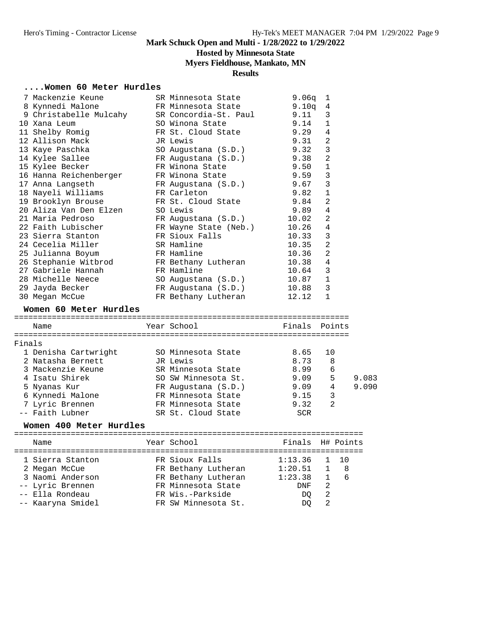## **Hosted by Minnesota State**

## **Myers Fieldhouse, Mankato, MN**

## **Results**

### **....Women 60 Meter Hurdles**

|        | 7 Mackenzie Keune                         | SR Minnesota State                      | 9.06q         | $\mathbf{1}$   |       |
|--------|-------------------------------------------|-----------------------------------------|---------------|----------------|-------|
|        | 8 Kynnedi Malone                          | FR Minnesota State                      | 9.10q         | 4              |       |
|        | 9 Christabelle Mulcahy                    | SR Concordia-St. Paul                   | 9.11          | 3              |       |
|        | 10 Xana Leum                              | SO Winona State                         | 9.14          | $\mathbf 1$    |       |
|        | 11 Shelby Romig                           | FR St. Cloud State                      | 9.29          | $\overline{4}$ |       |
|        | 12 Allison Mack                           | JR Lewis                                | 9.31          | $\overline{2}$ |       |
|        | 13 Kaye Paschka                           | SO Augustana (S.D.)                     | 9.32          | 3              |       |
|        | 14 Kylee Sallee                           | FR Augustana (S.D.)                     | 9.38          | 2              |       |
|        | 15 Kylee Becker                           | FR Winona State                         | 9.50          | $\mathbf 1$    |       |
|        | 16 Hanna Reichenberger                    | FR Winona State                         | 9.59          | 3              |       |
|        | 17 Anna Langseth                          | FR Augustana (S.D.)                     | 9.67          | $\mathbf{3}$   |       |
|        | 18 Nayeli Williams                        | FR Carleton                             | 9.82          | $\mathbf{1}$   |       |
|        | 19 Brooklyn Brouse                        | FR St. Cloud State                      | 9.84          | $\overline{2}$ |       |
|        | 20 Aliza Van Den Elzen                    | SO Lewis                                | 9.89          | 4              |       |
|        | 21 Maria Pedroso                          | FR Augustana (S.D.)                     | 10.02         | 2              |       |
|        | 22 Faith Lubischer                        | FR Wayne State (Neb.)                   | 10.26         | 4              |       |
|        | 23 Sierra Stanton                         | FR Sioux Falls                          | 10.33         | 3              |       |
|        | 24 Cecelia Miller                         | SR Hamline                              | 10.35         | $\overline{2}$ |       |
|        |                                           |                                         | 10.36         | $\overline{2}$ |       |
|        | 25 Julianna Boyum<br>26 Stephanie Witbrod | FR Hamline                              |               |                |       |
|        |                                           | FR Bethany Lutheran                     | 10.38         | 4              |       |
|        | 27 Gabriele Hannah                        | FR Hamline                              | 10.64         | 3              |       |
|        | 28 Michelle Neece                         | SO Augustana (S.D.)                     | 10.87         | 1              |       |
|        | 29 Jayda Becker                           | FR Augustana (S.D.)                     | 10.88         | 3              |       |
|        | 30 Megan McCue                            | FR Bethany Lutheran                     | 12.12         | $\mathbf{1}$   |       |
|        |                                           |                                         |               |                |       |
|        | Women 60 Meter Hurdles                    |                                         |               |                |       |
|        | Name                                      | Year School                             | Finals Points |                |       |
|        |                                           |                                         |               |                |       |
|        |                                           |                                         |               |                |       |
|        |                                           |                                         | 8.65          | 10             |       |
|        | 1 Denisha Cartwright                      | SO Minnesota State<br>JR Lewis          | 8.73          | 8              |       |
|        | 2 Natasha Bernett<br>3 Mackenzie Keune    |                                         |               | 6              |       |
|        | 4 Isatu Shirek                            | SR Minnesota State                      | 8.99          |                | 9.083 |
|        |                                           | SO SW Minnesota St.                     | 9.09          | 5<br>4         | 9.090 |
|        | 5 Nyanas Kur                              | FR Augustana (S.D.)                     | 9.09          |                |       |
|        | 6 Kynnedi Malone<br>7 Ivric Brennen       | FR Minnesota State                      | 9.15          | 3              |       |
|        | 7 Lyric Brennen                           | FR Minnesota State                      | 9.32          | 2              |       |
|        | -- Faith Lubner                           | SR St. Cloud State                      | SCR           |                |       |
|        | Women 400 Meter Hurdles                   |                                         |               |                |       |
|        |                                           |                                         |               |                |       |
|        | Name                                      | Year School                             | Finals        | H# Points      |       |
|        | 1 Sierra Stanton                          |                                         |               | 1<br>10        |       |
|        |                                           | FR Sioux Falls                          | 1:13.36       |                |       |
|        | 2 Megan McCue                             | FR Bethany Lutheran                     | 1:20.51       | 1              | 8     |
|        | 3 Naomi Anderson                          | FR Bethany Lutheran                     | 1:23.38       | $\mathbf 1$    | 6     |
|        | -- Lyric Brennen                          | FR Minnesota State                      | DNF           | 2              |       |
| Finals | Ella Rondeau<br>-- Kaaryna Smidel         | FR Wis.-Parkside<br>FR SW Minnesota St. | DQ<br>DQ      | 2<br>2         |       |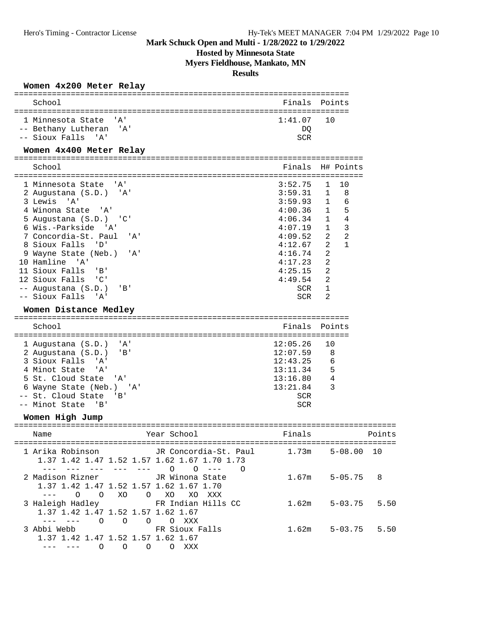## **Hosted by Minnesota State**

**Myers Fieldhouse, Mankato, MN**

#### **Results**

#### **Women 4x200 Meter Relay**

|                                                                                                                                                                                                                                                                                                                                                                                                                               | ==========================                                                                                                                            |                                                                                                                                                                                                                                    |        |
|-------------------------------------------------------------------------------------------------------------------------------------------------------------------------------------------------------------------------------------------------------------------------------------------------------------------------------------------------------------------------------------------------------------------------------|-------------------------------------------------------------------------------------------------------------------------------------------------------|------------------------------------------------------------------------------------------------------------------------------------------------------------------------------------------------------------------------------------|--------|
| School                                                                                                                                                                                                                                                                                                                                                                                                                        | Finals                                                                                                                                                | Points                                                                                                                                                                                                                             |        |
| 1 Minnesota State<br>' A '<br>-- Bethany Lutheran<br>'A'<br>-- Sioux Falls 'A'                                                                                                                                                                                                                                                                                                                                                | 1:41.07<br>DQ<br><b>SCR</b>                                                                                                                           | 10                                                                                                                                                                                                                                 |        |
| Women 4x400 Meter Relay                                                                                                                                                                                                                                                                                                                                                                                                       |                                                                                                                                                       |                                                                                                                                                                                                                                    |        |
| ============================<br>School                                                                                                                                                                                                                                                                                                                                                                                        | Finals                                                                                                                                                | H# Points                                                                                                                                                                                                                          |        |
| 1 Minnesota State<br>' A'<br>2 Augustana (S.D.)<br>'A'<br>3 Lewis<br>י A '<br>4 Winona State<br>" A '<br>$\cdot$ ' C '<br>5 Augustana (S.D.)<br>6 Wis.-Parkside<br>' A '<br>7 Concordia-St. Paul<br>'A'<br>8 Sioux Falls<br>$\overline{D}$<br>9 Wayne State (Neb.)<br>'A'<br>10 Hamline 'A'<br>11 Sioux Falls<br>' B'<br>12 Sioux Falls<br>$^{\prime}$ C $^{\prime}$<br>-- Augustana (S.D.)<br>'B'<br>-- Sioux Falls<br>' A ' | 3:52.75<br>3:59.31<br>3:59.93<br>4:00.36<br>4:06.34<br>4:07.19<br>4:09.52<br>4:12.67<br>4:16.74<br>4:17.23<br>4:25.15<br>4:49.54<br>SCR<br><b>SCR</b> | 10<br>1<br>$\mathbf{1}$<br>8<br>6<br>$\mathbf{1}$<br>5<br>$\mathbf 1$<br>$\overline{4}$<br>$\mathbf{1}$<br>$\overline{3}$<br>1<br>$\overline{2}$<br>2<br>$\overline{2}$<br>$\mathbf{1}$<br>2<br>2<br>2<br>2<br>1<br>$\overline{2}$ |        |
| Women Distance Medley<br>School                                                                                                                                                                                                                                                                                                                                                                                               | ==========================<br>Finals                                                                                                                  | Points                                                                                                                                                                                                                             |        |
| 1 Augustana (S.D.)<br>'A'<br>$'$ B $'$<br>2 Augustana (S.D.)<br>3 Sioux Falls<br>' A '<br>4 Minot State<br>'A'<br>5 St. Cloud State<br>'A'<br>6 Wayne State (Neb.) 'A'<br>-- St. Cloud State<br>'B'<br>-- Minot State<br>$\overline{\phantom{a}}$ 'B'                                                                                                                                                                         | 12:05.26<br>12:07.59<br>12:43.25<br>13:11.34<br>13:16.80<br>13:21.84<br><b>SCR</b><br>SCR                                                             | 10<br>8<br>6<br>5<br>4<br>3                                                                                                                                                                                                        |        |
| Women High Jump                                                                                                                                                                                                                                                                                                                                                                                                               |                                                                                                                                                       |                                                                                                                                                                                                                                    |        |
| Year School<br>Name<br>----------------<br>------------------                                                                                                                                                                                                                                                                                                                                                                 | Finals                                                                                                                                                |                                                                                                                                                                                                                                    | Points |
| 1 Arika Robinson         JR Concordia-St. Paul<br>1.37 1.42 1.47 1.52 1.57 1.62 1.67 1.70 1.73<br>$--- ---- ---- ---- 0 0 ---$<br>$\bigcirc$                                                                                                                                                                                                                                                                                  | 1.73m                                                                                                                                                 | $5 - 08.00$ 10                                                                                                                                                                                                                     |        |
| 2 Madison Rizner<br>JR Winona State<br>1.37 1.42 1.47 1.52 1.57 1.62 1.67 1.70<br>O O XO O XO XO XXX                                                                                                                                                                                                                                                                                                                          | 1.67m                                                                                                                                                 | $5 - 05.75$ 8                                                                                                                                                                                                                      |        |
| 3 Haleigh Hadley TR Indian Hills CC<br>1.37 1.42 1.47 1.52 1.57 1.62 1.67<br>$\frac{1}{2}$<br>0 0 0 0 XXX                                                                                                                                                                                                                                                                                                                     | 1.62m                                                                                                                                                 | $5 - 03.75$ 5.50                                                                                                                                                                                                                   |        |
| FR Sioux Falls<br>3 Abbi Webb<br>1.37 1.42 1.47 1.52 1.57 1.62 1.67<br>--- 0 0 0 0 XXX<br>$- - -$                                                                                                                                                                                                                                                                                                                             | 1.62m                                                                                                                                                 | $5 - 03.75$ 5.50                                                                                                                                                                                                                   |        |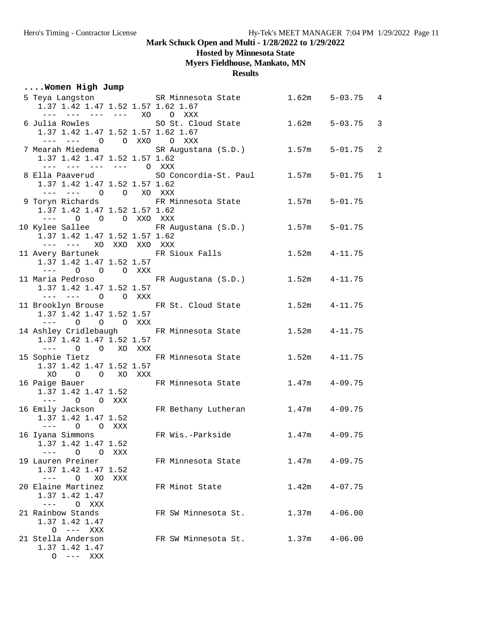## **Hosted by Minnesota State**

**Myers Fieldhouse, Mankato, MN**

**Results**

## **....Women High Jump**

| 1.37 1.42 1.47 1.52 1.57 1.62 1.67                                                                                                                                                                                                                                                                                                                                                                                                                          |               | 5 Teya Langston SR Minnesota State           |       | $1.62m$ $5-03.75$ 4 |                |
|-------------------------------------------------------------------------------------------------------------------------------------------------------------------------------------------------------------------------------------------------------------------------------------------------------------------------------------------------------------------------------------------------------------------------------------------------------------|---------------|----------------------------------------------|-------|---------------------|----------------|
| --- --- --- --- XO<br>1.37 1.42 1.47 1.52 1.57 1.62 1.67                                                                                                                                                                                                                                                                                                                                                                                                    |               | O XXX<br>6 Julia Rowles 6 SO St. Cloud State | 1.62m | 5-03.75             | 3              |
| --- --- 0 0 XXO 0 XXX<br>1.37 1.42 1.47 1.52 1.57 1.62                                                                                                                                                                                                                                                                                                                                                                                                      |               | 7 Mearah Miedema (S.D.)                      | 1.57m | $5 - 01.75$         | $\overline{c}$ |
| --- --- --- --- O XXX<br>8 Ella Paaverud<br>1.37 1.42 1.47 1.52 1.57 1.62                                                                                                                                                                                                                                                                                                                                                                                   |               | SO Concordia-St. Paul                        | 1.57m | 5-01.75             | $\mathbf{1}$   |
| --- --- 0 0 XO XXX<br>9 Toryn Richards<br>1.37 1.42 1.47 1.52 1.57 1.62                                                                                                                                                                                                                                                                                                                                                                                     |               | FR Minnesota State                           |       | $1.57m$ $5-01.75$   |                |
| $\frac{1}{2} \frac{1}{2} \frac{1}{2} \frac{1}{2} \frac{1}{2} \frac{1}{2} \frac{1}{2} \frac{1}{2} \frac{1}{2} \frac{1}{2} \frac{1}{2} \frac{1}{2} \frac{1}{2} \frac{1}{2} \frac{1}{2} \frac{1}{2} \frac{1}{2} \frac{1}{2} \frac{1}{2} \frac{1}{2} \frac{1}{2} \frac{1}{2} \frac{1}{2} \frac{1}{2} \frac{1}{2} \frac{1}{2} \frac{1}{2} \frac{1}{2} \frac{1}{2} \frac{1}{2} \frac{1}{2} \frac{$<br>1.37 1.42 1.47 1.52 1.57 1.62                               | O O O XXO XXX | 10 Kylee Sallee FR Augustana (S.D.)          |       | $1.57m$ $5-01.75$   |                |
| --- --- XO XXO XXO XXX<br>1.37 1.42 1.47 1.52 1.57                                                                                                                                                                                                                                                                                                                                                                                                          |               | 11 Avery Bartunek FR Sioux Falls             |       | $1.52m$ $4-11.75$   |                |
| $\frac{1}{2} \frac{1}{2} \frac{1}{2} \frac{1}{2} \frac{1}{2} \frac{1}{2} \frac{1}{2} \frac{1}{2} \frac{1}{2} \frac{1}{2} \frac{1}{2} \frac{1}{2} \frac{1}{2} \frac{1}{2} \frac{1}{2} \frac{1}{2} \frac{1}{2} \frac{1}{2} \frac{1}{2} \frac{1}{2} \frac{1}{2} \frac{1}{2} \frac{1}{2} \frac{1}{2} \frac{1}{2} \frac{1}{2} \frac{1}{2} \frac{1}{2} \frac{1}{2} \frac{1}{2} \frac{1}{2} \frac{$<br>1.37 1.42 1.47 1.52 1.57                                    | O O O XXX     | 11 Maria Pedroso KR Augustana (S.D.)         |       | $1.52m$ $4-11.75$   |                |
| --- --- O O XXX<br>1.37 1.42 1.47 1.52 1.57                                                                                                                                                                                                                                                                                                                                                                                                                 |               | 11 Brooklyn Brouse FR St. Cloud State        |       | $1.52m$ $4-11.75$   |                |
| $\circ$<br>$\frac{1}{2} \frac{1}{2} \frac{1}{2} \frac{1}{2} \frac{1}{2} \frac{1}{2} \frac{1}{2} \frac{1}{2} \frac{1}{2} \frac{1}{2} \frac{1}{2} \frac{1}{2} \frac{1}{2} \frac{1}{2} \frac{1}{2} \frac{1}{2} \frac{1}{2} \frac{1}{2} \frac{1}{2} \frac{1}{2} \frac{1}{2} \frac{1}{2} \frac{1}{2} \frac{1}{2} \frac{1}{2} \frac{1}{2} \frac{1}{2} \frac{1}{2} \frac{1}{2} \frac{1}{2} \frac{1}{2} \frac{$<br>1.37 1.42 1.47 1.52 1.57                         | O O XXX       | 14 Ashley Cridlebaugh FR Minnesota State     |       | $1.52m$ $4-11.75$   |                |
| $---$ 0 0<br>1.37 1.42 1.47 1.52 1.57                                                                                                                                                                                                                                                                                                                                                                                                                       | XO XXX        | 15 Sophie Tietz <b>FR Minnesota State</b>    |       | $1.52m$ $4-11.75$   |                |
| XO<br>O O XO XXX<br>16 Paige Bauer<br>1.37 1.42 1.47 1.52                                                                                                                                                                                                                                                                                                                                                                                                   |               | FR Minnesota State                           | 1.47m | 4-09.75             |                |
| $---$ 0 0 XXX<br>16 Emily Jackson<br>1.37 1.42 1.47 1.52                                                                                                                                                                                                                                                                                                                                                                                                    |               | FR Bethany Lutheran                          |       | $1.47m$ $4-09.75$   |                |
| $\circ$<br>O XXX<br>$\frac{1}{2} \frac{1}{2} \frac{1}{2} \frac{1}{2} \frac{1}{2} \frac{1}{2} \frac{1}{2} \frac{1}{2} \frac{1}{2} \frac{1}{2} \frac{1}{2} \frac{1}{2} \frac{1}{2} \frac{1}{2} \frac{1}{2} \frac{1}{2} \frac{1}{2} \frac{1}{2} \frac{1}{2} \frac{1}{2} \frac{1}{2} \frac{1}{2} \frac{1}{2} \frac{1}{2} \frac{1}{2} \frac{1}{2} \frac{1}{2} \frac{1}{2} \frac{1}{2} \frac{1}{2} \frac{1}{2} \frac{$<br>16 Iyana Simmons<br>1.37 1.42 1.47 1.52 |               | FR Wis.-Parkside                             |       | $1.47m$ $4-09.75$   |                |
| $\circ$<br>19 Lauren Preiner<br>1.37 1.42 1.47 1.52                                                                                                                                                                                                                                                                                                                                                                                                         | O XXX         | FR Minnesota State                           | 1.47m | $4 - 09.75$         |                |
| $\circ$<br>$---$<br>XO<br>20 Elaine Martinez<br>1.37 1.42 1.47                                                                                                                                                                                                                                                                                                                                                                                              | XXX           | FR Minot State                               | 1.42m | $4 - 07.75$         |                |
| $- - -$<br>O XXX<br>21 Rainbow Stands<br>1.37 1.42 1.47                                                                                                                                                                                                                                                                                                                                                                                                     |               | FR SW Minnesota St.                          | 1.37m | $4 - 06.00$         |                |
| $O$ --- XXX<br>21 Stella Anderson<br>1.37 1.42 1.47<br>$O$ --- XXX                                                                                                                                                                                                                                                                                                                                                                                          |               | FR SW Minnesota St.                          | 1.37m | $4 - 06.00$         |                |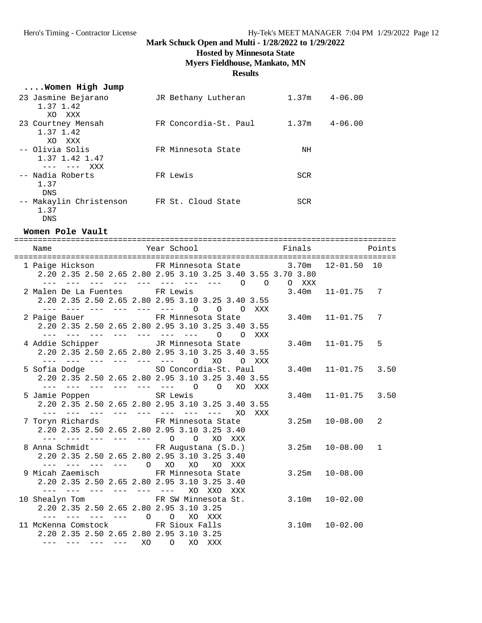## **Hosted by Minnesota State**

## **Myers Fieldhouse, Mankato, MN**

#### **Results**

## **....Women High Jump**

| 23 Jasmine Bejarano<br>1.37 1.42<br>XO XXX          | JR Bethany Lutheran   | 1.37m      | $4 - 06.00$ |
|-----------------------------------------------------|-----------------------|------------|-------------|
| 23 Courtney Mensah<br>1.37 1.42<br>XO XXX           | FR Concordia-St. Paul | 1.37m      | $4 - 06.00$ |
| -- Olivia Solis<br>1.37 1.42 1.47<br>XXX<br>--- --- | FR Minnesota State    | ΝH         |             |
| -- Nadia Roberts<br>1.37<br><b>DNS</b>              | FR Lewis              | <b>SCR</b> |             |
| -- Makaylin Christenson<br>1.37<br>DNS              | FR St. Cloud State    | <b>SCR</b> |             |

#### **Women Pole Vault**

| Name                                                                 | Year School <b>Example 1</b> Finals Points                                               |                       |   |
|----------------------------------------------------------------------|------------------------------------------------------------------------------------------|-----------------------|---|
|                                                                      | 1 Paige Hickson FR Minnesota State 3.70m 12-01.50 10                                     |                       |   |
|                                                                      | 2.20 2.35 2.50 2.65 2.80 2.95 3.10 3.25 3.40 3.55 3.70 3.80                              |                       |   |
|                                                                      | --- --- --- --- --- --- --- --- 0 0 0 XXX                                                |                       |   |
| 2 Malen De La Fuentes FR Lewis                                       |                                                                                          | $3.40m$ $11-01.75$    | 7 |
|                                                                      | 2.20 2.35 2.50 2.65 2.80 2.95 3.10 3.25 3.40 3.55                                        |                       |   |
|                                                                      | --- --- --- --- --- --- 0 0 0 XXX                                                        |                       |   |
| 2 Paige Bauer TR Minnesota State                                     |                                                                                          | $3.40m$ $11-01.75$    | 7 |
|                                                                      | 2.20 2.35 2.50 2.65 2.80 2.95 3.10 3.25 3.40 3.55<br>--- --- --- --- --- --- --- 0 0 XXX |                       |   |
| 4 Addie Schipper <a> JR Minnesota State</a>                          |                                                                                          | $3.40m$ $11-01.75$    | 5 |
|                                                                      | 2.20 2.35 2.50 2.65 2.80 2.95 3.10 3.25 3.40 3.55                                        |                       |   |
|                                                                      | --- --- --- --- --- --- 0 X0 0 XXX                                                       |                       |   |
| 5 Sofia Dodge SO Concordia-St. Paul                                  |                                                                                          | 3.40m  11-01.75  3.50 |   |
|                                                                      | 2.20 2.35 2.50 2.65 2.80 2.95 3.10 3.25 3.40 3.55                                        |                       |   |
|                                                                      | --- --- --- --- --- --- 0 0 XO XXX                                                       |                       |   |
| 5 Jamie Poppen SR Lewis                                              |                                                                                          | 3.40m  11-01.75  3.50 |   |
|                                                                      | 2.20 2.35 2.50 2.65 2.80 2.95 3.10 3.25 3.40 3.55                                        |                       |   |
|                                                                      | --- --- --- --- --- --- --- --- XO XXX                                                   |                       |   |
| 7 Toryn Richards 6 1 FR Minnesota State                              |                                                                                          | $3.25m$ $10-08.00$    | 2 |
| 2.20 2.35 2.50 2.65 2.80 2.95 3.10 3.25 3.40                         |                                                                                          |                       |   |
| --- --- --- --- --- 0 0 XO XXX                                       |                                                                                          |                       |   |
| 8 Anna Schmidt (S.D.)                                                |                                                                                          | $3.25m$ $10-08.00$    | 1 |
| 2.20 2.35 2.50 2.65 2.80 2.95 3.10 3.25 3.40<br>--- --- --- --- 0 XO | XO<br>XO XXX                                                                             |                       |   |
| 9 Micah Zaemisch Gereichter ER Minnesota State                       |                                                                                          | $3.25m$ $10-08.00$    |   |
| 2.20 2.35 2.50 2.65 2.80 2.95 3.10 3.25 3.40                         |                                                                                          |                       |   |
| and the the time and the time                                        | XO<br>XXO<br>XXX                                                                         |                       |   |
| 10 Shealyn Tom FR SW Minnesota St.                                   |                                                                                          | $3.10m$ $10-02.00$    |   |
| 2.20 2.35 2.50 2.65 2.80 2.95 3.10 3.25                              |                                                                                          |                       |   |
| $-- -- -- ---$ 0 0                                                   | XO XXX                                                                                   |                       |   |
| 11 McKenna Comstock FR Sioux Falls                                   |                                                                                          | $3.10m$ $10-02.00$    |   |
| 2.20 2.35 2.50 2.65 2.80 2.95 3.10 3.25                              |                                                                                          |                       |   |
| $--- ---- ---- ---- XO$                                              | O XO XXX                                                                                 |                       |   |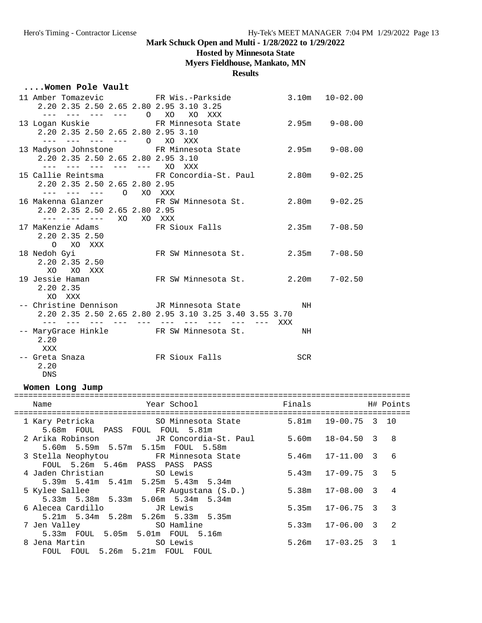## **Hosted by Minnesota State**

## **Myers Fieldhouse, Mankato, MN**

#### **Results**

### **....Women Pole Vault**

| 2.20 2.35 2.50 2.65 2.80 2.95 3.10 3.25                                                       | 11 Amber Tomazevic FR Wis.-Parkside 3.10m 10-02.00                                                 |     |  |
|-----------------------------------------------------------------------------------------------|----------------------------------------------------------------------------------------------------|-----|--|
| --- --- --- --- 0 XO XO XXX<br>2.20 2.35 2.50 2.65 2.80 2.95 3.10<br>--- --- --- --- 0 XO XXX | 13 Logan Kuskie Minnesota State 2.95m 9-08.00                                                      |     |  |
| 2.20 2.35 2.50 2.65 2.80 2.95 3.10<br>--- --- --- --- --- XO XXX                              | 13 Madyson Johnstone FR Minnesota State 2.95m 9-08.00                                              |     |  |
| 2.20 2.35 2.50 2.65 2.80 2.95<br>--- --- --- 0 XO XXX                                         | 15 Callie Reintsma FR Concordia-St. Paul 2.80m 9-02.25                                             |     |  |
| 2.20 2.35 2.50 2.65 2.80 2.95<br>--- --- --- XO XO XXX                                        | 16 Makenna Glanzer 6. FR SW Minnesota St. 2.80m 9-02.25                                            |     |  |
| 2.20 2.35 2.50<br>O XO XXX                                                                    | 17 MaKenzie Adams 6 6 FR Sioux Falls 6 6 2.35m 7-08.50                                             |     |  |
| 2.20 2.35 2.50<br>XO<br>XO XXX                                                                | 18 Nedoh Gyi           FR SW Minnesota St.       2.35m   7-08.50                                   |     |  |
| 19 Jessie Haman<br>2.20 2.35<br>XO XXX                                                        | FR SW Minnesota St. 2.20m 7-02.50                                                                  |     |  |
|                                                                                               | -- Christine Dennison JR Minnesota State<br>2.20 2.35 2.50 2.65 2.80 2.95 3.10 3.25 3.40 3.55 3.70 | NH  |  |
| 2.20<br>XXX                                                                                   | -- MaryGrace Hinkle FR SW Minnesota St.                                                            | NH  |  |
| 2.20<br>DNS                                                                                   |                                                                                                    | SCR |  |

### **Women Long Jump**

| Year School<br>Name<br>================================                                         | Finals | H# Points              |                |
|-------------------------------------------------------------------------------------------------|--------|------------------------|----------------|
| 1 Kary Petricka 60 SO Minnesota State<br>5.68m FOUL PASS FOUL FOUL 5.81m                        |        | 5.81m 19-00.75 3 10    |                |
| 2 Arika Robinson             JR Concordia-St. Paul<br>5.60m 5.59m 5.57m 5.15m FOUL 5.58m        |        | 5.60m  18-04.50  3  8  |                |
| 3 Stella Neophytou           FR Minnesota State<br>FOUL 5.26m 5.46m PASS PASS PASS              |        | $5.46m$ $17-11.00$ 3 6 |                |
| 5.39m 5.41m 5.41m 5.25m 5.43m 5.34m                                                             |        | $5.43m$ $17-09.75$ 3 5 |                |
| 5 Kylee Sallee                       FR Augustana (S.D.)<br>5.33m 5.38m 5.33m 5.06m 5.34m 5.34m |        | $5.38m$ $17-08.00$ 3   | $\overline{4}$ |
| 6 Alecea Cardillo             JR Lewis<br>5.21m 5.34m 5.28m 5.26m 5.33m 5.35m                   |        | $5.35m$ $17-06.75$ 3 3 |                |
| 7 Jen Valley SO Hamline<br>5.33m FOUL 5.05m 5.01m FOUL 5.16m                                    |        | $5.33m$ $17-06.00$ 3   | $\overline{2}$ |
| FOUL FOUL 5.26m 5.21m FOUL FOUL                                                                 |        | $5.26m$ $17-03.25$ 3   | $\mathbf{1}$   |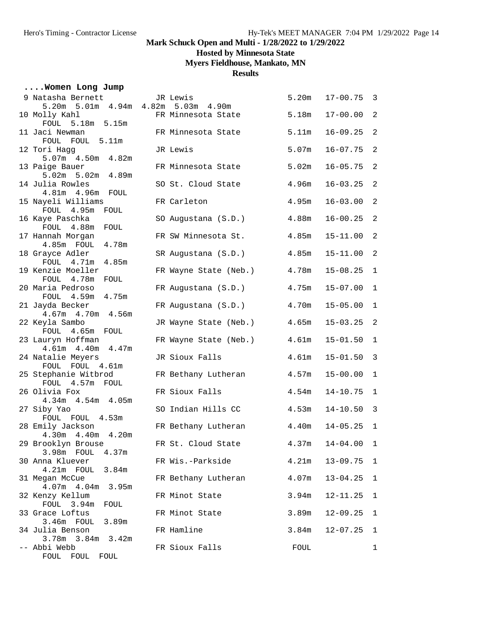**Hosted by Minnesota State**

**Myers Fieldhouse, Mankato, MN**

### **Results**

## **....Women Long Jump**

| 9 Natasha Bernett<br>5.20m 5.01m 4.94m 4.82m 5.03m 4.90m | JR Lewis              | 5.20m             | $17 - 00.75$   | $\overline{\mathbf{3}}$ |
|----------------------------------------------------------|-----------------------|-------------------|----------------|-------------------------|
| 10 Molly Kahl                                            | FR Minnesota State    | 5.18m             | $17 - 00.00$   | 2                       |
| FOUL 5.18m 5.15m                                         |                       |                   |                |                         |
| 11 Jaci Newman<br>FOUL FOUL 5.11m                        | FR Minnesota State    | 5.11m             | $16 - 09.25$   | $\overline{a}$          |
| 12 Tori Hagg                                             | JR Lewis              | 5.07m             | $16 - 07.75$   | $\overline{a}$          |
| 5.07m  4.50m  4.82m                                      |                       |                   |                |                         |
| 13 Paige Bauer                                           | FR Minnesota State    | 5.02m             | $16 - 05.75$   | 2                       |
| 5.02m 5.02m 4.89m<br>14 Julia Rowles                     | SO St. Cloud State    | 4.96m             | $16 - 03.25$   | $\overline{a}$          |
| 4.81m  4.96m  FOUL                                       |                       |                   |                |                         |
| 15 Nayeli Williams                                       | FR Carleton           | 4.95m             | $16 - 03.00$   | 2                       |
| FOUL 4.95m<br>FOUL                                       |                       |                   |                |                         |
| 16 Kaye Paschka<br>FOUL 4.88m<br>FOUL                    | SO Augustana (S.D.)   | 4.88m             | $16 - 00.25$   | 2                       |
| 17 Hannah Morgan                                         | FR SW Minnesota St.   | 4.85m             | $15 - 11.00$   | $\overline{a}$          |
| 4.78m<br>$4.85m$ FOUL                                    |                       |                   |                |                         |
| 18 Grayce Adler<br>FOUL 4.71m                            | SR Augustana (S.D.)   | 4.85m             | $15 - 11.00$   | $\overline{2}$          |
| 4.85m<br>19 Kenzie Moeller                               | FR Wayne State (Neb.) | 4.78m             | $15 - 08.25$   | $\mathbf{1}$            |
| FOUL 4.78m<br>FOUL                                       |                       |                   |                |                         |
| 20 Maria Pedroso                                         | FR Augustana (S.D.)   | 4.75m             | $15 - 07.00$   | $\mathbf 1$             |
| FOUL 4.59m<br>4.75m                                      |                       |                   |                |                         |
| 21 Jayda Becker<br>4.67m  4.70m  4.56m                   | FR Augustana (S.D.)   | 4.70m             | $15 - 05.00$   | $\mathbf 1$             |
| 22 Keyla Sambo                                           | JR Wayne State (Neb.) | 4.65m             | $15 - 03.25$   | 2                       |
| FOUL 4.65m FOUL                                          |                       |                   |                |                         |
| 23 Lauryn Hoffman                                        | FR Wayne State (Neb.) | 4.61m             | $15 - 01.50$   | $\mathbf 1$             |
| 4.61m  4.40m  4.47m<br>24 Natalie Meyers                 | JR Sioux Falls        | 4.61 <sub>m</sub> | $15 - 01.50$   | $\mathbf{3}$            |
| FOUL FOUL 4.61m                                          |                       |                   |                |                         |
| 25 Stephanie Witbrod                                     | FR Bethany Lutheran   | 4.57m             | $15 - 00.00$   | $\mathbf{1}$            |
| FOUL 4.57m FOUL<br>26 Olivia Fox                         | FR Sioux Falls        | 4.54m             | $14 - 10.75$   | $\mathbf 1$             |
| 4.34m  4.54m  4.05m                                      |                       |                   |                |                         |
| 27 Siby Yao                                              | SO Indian Hills CC    | 4.53m             | $14 - 10.50$   | $\mathbf{3}$            |
| FOUL FOUL 4.53m                                          |                       |                   |                |                         |
| 28 Emily Jackson<br>4.30m  4.40m  4.20m                  | FR Bethany Lutheran   | 4.40m             | $14 - 05.25$   | $\mathbf{1}$            |
| 29 Brooklyn Brouse                                       | FR St. Cloud State    | 4.37m             | $14 - 04.00$ 1 |                         |
| 3.98m FOUL<br>4.37m                                      |                       |                   |                |                         |
| 30 Anna Kluever                                          | FR Wis.-Parkside      | 4.21m             | $13 - 09.75$ 1 |                         |
| 4.21m FOUL<br>3.84m                                      |                       |                   |                |                         |
| 31 Megan McCue<br>4.07m  4.04m  3.95m                    | FR Bethany Lutheran   | 4.07m             | $13 - 04.25$   | 1                       |
| 32 Kenzy Kellum                                          | FR Minot State        | 3.94m             | $12 - 11.25$   | 1                       |
| FOUL 3.94m<br>FOUL                                       |                       |                   |                |                         |
| 33 Grace Loftus                                          | FR Minot State        | 3.89m             | $12 - 09.25$   | 1                       |
| 3.46m FOUL 3.89m<br>34 Julia Benson                      | FR Hamline            | 3.84m             | $12 - 07.25$   | 1                       |
| 3.78m 3.84m 3.42m                                        |                       |                   |                |                         |
| -- Abbi Webb                                             | FR Sioux Falls        | FOUL              |                | 1                       |
| FOUL FOUL FOUL                                           |                       |                   |                |                         |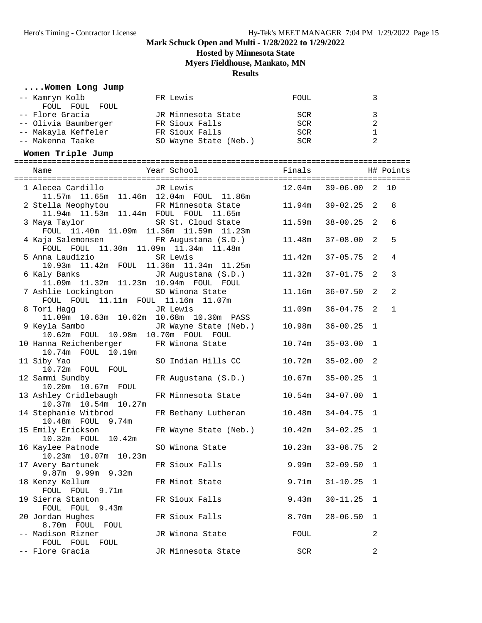**Hosted by Minnesota State**

**Myers Fieldhouse, Mankato, MN**

**Results**

## **....Women Long Jump**

| -- Kamryn Kolb                               | FR Lewis                                     | FOUL   |                         | 3              |              |
|----------------------------------------------|----------------------------------------------|--------|-------------------------|----------------|--------------|
| FOUL FOUL FOUL                               |                                              |        |                         |                |              |
| -- Flore Gracia                              | JR Minnesota State                           | SCR    |                         | 3              |              |
| -- Olivia Baumberger FR Sioux Falls          |                                              | SCR    |                         | $\overline{a}$ |              |
| -- Makayla Keffeler                          | FR Sioux Falls                               | SCR    |                         | $\mathbf 1$    |              |
| -- Makenna Taake                             | SO Wayne State (Neb.)                        | SCR    |                         | $\overline{2}$ |              |
| Women Triple Jump                            |                                              |        |                         |                |              |
|                                              |                                              |        |                         |                |              |
| Name                                         | Year School                                  | Finals |                         |                | H# Points    |
| 1 Alecea Cardillo                            | JR Lewis                                     |        | 12.04m  39-06.00  2  10 |                |              |
|                                              | 11.57m  11.65m  11.46m  12.04m  FOUL  11.86m |        |                         |                |              |
| 2 Stella Neophytou                           | FR Minnesota State                           | 11.94m | 39-02.25                | 2              | 8            |
| 11.94m  11.53m  11.44m  FOUL  FOUL  11.65m   |                                              |        |                         |                |              |
| 3 Maya Taylor                                | SR St. Cloud State                           | 11.59m | 38-00.25                | 2              | 6            |
| FOUL 11.40m 11.09m 11.36m 11.59m 11.23m      |                                              |        |                         |                |              |
| 4 Kaja Salemonsen KR Augustana (S.D.)        |                                              | 11.48m | $37 - 08.00$            | 2              | 5            |
| FOUL FOUL 11.30m 11.09m 11.34m 11.48m        |                                              |        |                         |                |              |
| 5 Anna Laudizio                              | SR Lewis                                     | 11.42m | $37 - 05.75$            | 2              | 4            |
| 10.93m  11.42m  FOUL  11.36m  11.34m  11.25m |                                              |        |                         |                |              |
| 6 Kaly Banks (S.D.)                          |                                              | 11.32m | $37 - 01.75$            | 2              | 3            |
| 11.09m  11.32m  11.23m  10.94m  FOUL  FOUL   |                                              |        |                         |                |              |
| 7 Ashlie Lockington 50 Winona State          |                                              | 11.16m | $36 - 07.50$            | 2              | 2            |
| FOUL FOUL 11.11m FOUL 11.16m 11.07m          |                                              |        |                         |                |              |
| 8 Tori Hagg                                  | JR Lewis                                     | 11.09m | $36 - 04.75$            | 2              | $\mathbf{1}$ |
| 11.09m  10.63m  10.62m  10.68m  10.30m  PASS |                                              |        |                         |                |              |
| 9 Keyla Sambo                                | JR Wayne State (Neb.)                        | 10.98m | $36 - 00.25$            | 1              |              |
| 10.62m FOUL 10.98m 10.70m FOUL FOUL          |                                              |        |                         |                |              |
| 10 Hanna Reichenberger                       | FR Winona State                              | 10.74m | $35 - 03.00$            | 1              |              |
| 10.74m  FOUL  10.19m                         |                                              |        |                         |                |              |
| 11 Siby Yao                                  | SO Indian Hills CC                           | 10.72m | $35 - 02.00$            | 2              |              |
| 10.72m FOUL FOUL<br>12 Sammi Sundby          |                                              | 10.67m |                         | 1              |              |
| 10.20m  10.67m  FOUL                         | FR Augustana (S.D.)                          |        | $35 - 00.25$            |                |              |
| 13 Ashley Cridlebaugh                        | FR Minnesota State                           | 10.54m | $34 - 07.00$            | 1              |              |
| 10.37m  10.54m  10.27m                       |                                              |        |                         |                |              |
| 14 Stephanie Witbrod                         | FR Bethany Lutheran                          | 10.48m | $34 - 04.75$            | 1              |              |
| 10.48m  FOUL 9.74m                           |                                              |        |                         |                |              |
| 15 Emily Erickson                            | FR Wayne State (Neb.)                        | 10.42m | $34 - 02.25$            | 1              |              |
| 10.32m FOUL 10.42m                           |                                              |        |                         |                |              |
| 16 Kaylee Patnode                            | SO Winona State                              |        | $10.23m$ $33-06.75$ 2   |                |              |
| 10.23m  10.07m  10.23m                       |                                              |        |                         |                |              |
| 17 Avery Bartunek                            | FR Sioux Falls                               | 9.99m  | $32 - 09.50$            | 1              |              |
| 9.87m 9.99m 9.32m                            |                                              |        |                         |                |              |
| 18 Kenzy Kellum                              | FR Minot State                               | 9.71m  | $31 - 10.25$            | 1              |              |
| FOUL FOUL 9.71m                              |                                              |        |                         |                |              |
| 19 Sierra Stanton                            | FR Sioux Falls                               | 9.43m  | $30 - 11.25$            | 1              |              |
| FOUL FOUL 9.43m                              |                                              |        |                         |                |              |
| 20 Jordan Hughes                             | FR Sioux Falls                               | 8.70m  | $28 - 06.50$            | 1              |              |
| 8.70m FOUL<br>FOUL                           |                                              |        |                         |                |              |
| -- Madison Rizner                            | JR Winona State                              | FOUL   |                         | 2              |              |
| FOUL FOUL FOUL                               |                                              |        |                         |                |              |
| -- Flore Gracia                              | JR Minnesota State                           | SCR    |                         | 2              |              |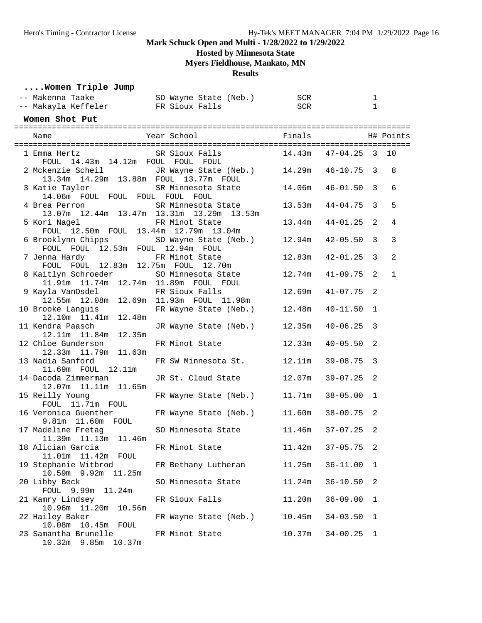**Hosted by Minnesota State**

**Myers Fieldhouse, Mankato, MN**

## **Results**

|  |  |  |  | Women Triple Jump |  |
|--|--|--|--|-------------------|--|
|--|--|--|--|-------------------|--|

| -- Makenna Taake                       SO Wayne State (Neb.)<br>-- Makayla Keffeler FR Sioux Falls |                              | SCR<br><b>SCR</b> |                | 1<br>1       |              |
|----------------------------------------------------------------------------------------------------|------------------------------|-------------------|----------------|--------------|--------------|
| Women Shot Put                                                                                     |                              |                   |                |              |              |
| Name                                                                                               |                              |                   |                |              |              |
| 1 Emma Hertz SR Sioux Falls<br>14.43m 14.12m FOUL FOUL FOUL<br>FOUL                                | $14.43m$ $47-04.25$ 3        |                   |                |              | 10           |
| 2 Mckenzie Scheil JR Wayne State (Neb.) 14.29m 46-10.75<br>13.34m 14.29m 13.88m FOUL 13.77m FOUL   |                              |                   |                | 3            | 8            |
| 3 Katie Taylor<br>14.06m FOUL FOUL FOUL FOUL FOUL                                                  | SR Minnesota State           | 14.06m            | 46-01.50       | 3            | 6            |
| 4 Brea Perron<br>13.07m  12.44m  13.47m  13.31m  13.29m  13.53m                                    | SR Minnesota State           | 13.53m            | 44-04.75       | 3            | 5            |
| 5 Kori Nagel<br>FOUL 12.50m FOUL 13.44m 12.79m 13.04m                                              | FR Minot State               | 13.44m            | $44 - 01.25$   | 2            | 4            |
| 6 Brooklynn Chipps<br>FOUL FOUL 12.53m FOUL 12.94m FOUL                                            | SO Wayne State (Neb.) 12.94m |                   | $42 - 05.50$   | $\mathbf{3}$ | 3            |
| 7 Jenna Hardy<br>FOUL FOUL 12.83m 12.75m FOUL 12.70m                                               | FR Minot State               | 12.83m            | $42 - 01.25$   | $\mathbf{3}$ | 2            |
| 8 Kaitlyn Schroeder SO Minnesota State<br>11.91m  11.74m  12.74m  11.89m  FOUL  FOUL               |                              | 12.74m            | $41 - 09.75$   | 2            | $\mathbf{1}$ |
| 9 Kayla VanOsdel FR Sioux Falls<br>12.55m  12.08m  12.69m  11.93m  FOUL  11.98m                    |                              | 12.69m            | $41 - 07.75$   | 2            |              |
| 10 Brooke Languis<br>12.10m 11.41m 12.48m                                                          | FR Wayne State (Neb.) 12.48m |                   | 40-11.50       | 1            |              |
| 11 Kendra Paasch<br>12.11m  11.84m  12.35m                                                         | JR Wayne State (Neb.) 12.35m |                   | $40 - 06.25$   | 3            |              |
| 12 Chloe Gunderson<br>12.33m  11.79m  11.63m                                                       | FR Minot State               | 12.33m            | $40 - 05.50$   | 2            |              |
| 13 Nadia Sanford<br>11.69m FOUL 12.11m                                                             | FR SW Minnesota St.          | 12.11m            | $39 - 08.75$   | 3            |              |
| 14 Dacoda Zimmerman<br>12.07m  11.11m  11.65m                                                      | JR St. Cloud State           | 12.07m            | $39 - 07.25$   | 2            |              |
| 15 Reilly Young<br>FOUL 11.71m FOUL                                                                | FR Wayne State (Neb.) 11.71m |                   | $38 - 05.00$   | 1            |              |
| 16 Veronica Guenther<br>$9.81m$ $11.60m$ $FOUL$                                                    | FR Wayne State (Neb.)        | 11.60m            | $38 - 00.75$   | 2            |              |
| 17 Madeline Fretag<br>11.39m  11.13m  11.46m                                                       | SO Minnesota State           | 11.46m            | $37 - 07.25$   | 2            |              |
| 18 Alician Garcia<br>11.01m  11.42m  FOUL                                                          | FR Minot State               | 11.42m            | $37 - 05.75$ 2 |              |              |
| 19 Stephanie Witbrod<br>10.59m 9.92m 11.25m                                                        | FR Bethany Lutheran          | 11.25m            | $36 - 11.00$   | 1            |              |
| 20 Libby Beck<br>FOUL 9.99m 11.24m                                                                 | SO Minnesota State           | 11.24m            | $36 - 10.50$   | 2            |              |
| 21 Kamry Lindsey<br>10.56m<br>10.96m   11.20m                                                      | FR Sioux Falls               | 11.20m            | $36 - 09.00$   | 1            |              |
| 22 Hailey Baker<br>10.08m<br>$10.45m$ FOUL                                                         | FR Wayne State (Neb.)        | 10.45m            | $34 - 03.50$   | 1            |              |
| 23 Samantha Brunelle<br>10.32m 9.85m 10.37m                                                        | FR Minot State               | 10.37m            | $34 - 00.25$   | 1            |              |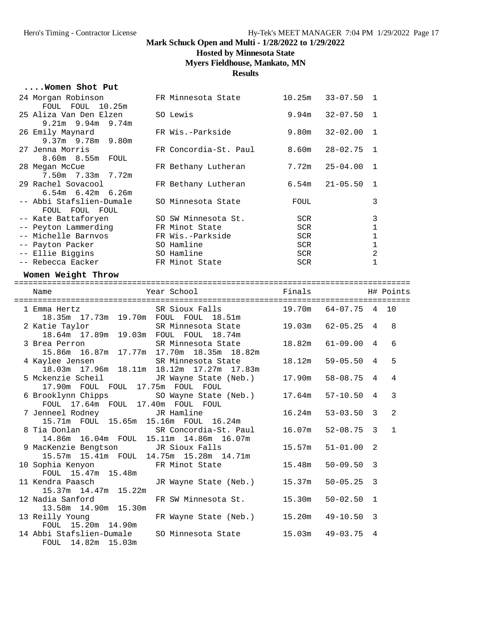## **Hosted by Minnesota State**

**Myers Fieldhouse, Mankato, MN**

### **Results**

#### **....Women Shot Put**

| 24 Morgan Robinson       | FR Minnesota State    | 10.25m     | $33 - 07.50$ 1       |   |
|--------------------------|-----------------------|------------|----------------------|---|
| FOUL FOUL 10.25m         |                       |            |                      |   |
| 25 Aliza Van Den Elzen   | SO Lewis              |            | $9.94m$ $32-07.50$ 1 |   |
| $9.21m$ $9.94m$ $9.74m$  |                       |            |                      |   |
| 26 Emily Maynard         | FR Wis.-Parkside      |            | $9.80m$ $32-02.00$ 1 |   |
| $9.37m$ 9.78m 9.80m      |                       |            |                      |   |
| 27 Jenna Morris          | FR Concordia-St. Paul |            | $8.60m$ $28-02.75$ 1 |   |
| 8.60m 8.55m FOUL         |                       |            |                      |   |
| 28 Megan McCue           | FR Bethany Lutheran   |            | $7.72m$ $25-04.00$ 1 |   |
| 7.50m 7.33m 7.72m        |                       |            |                      |   |
| 29 Rachel Sovacool       | FR Bethany Lutheran   |            | $6.54m$ $21-05.50$ 1 |   |
| $6.54m$ $6.42m$ $6.26m$  |                       |            |                      |   |
| -- Abbi Stafslien-Dumale | SO Minnesota State    | FOUL       |                      | 3 |
| FOUL FOUL FOUL           |                       |            |                      |   |
| -- Kate Battaforyen      | SO SW Minnesota St.   | <b>SCR</b> |                      | 3 |
| -- Peyton Lammerding     | FR Minot State        | <b>SCR</b> |                      |   |
| -- Michelle Barnvos      | FR Wis.-Parkside      | <b>SCR</b> |                      |   |
| -- Payton Packer         | SO Hamline            | SCR        |                      |   |
| -- Ellie Biqqins         | SO Hamline            | SCR        |                      | 2 |
| -- Rebecca Eacker        | FR Minot State        | SCR        |                      |   |

### **Women Weight Throw**

| Name                                                                                                                       |                |   |                |
|----------------------------------------------------------------------------------------------------------------------------|----------------|---|----------------|
| 1 Emma Hertz SR Sioux Falls 19.70m 64-07.75 4 10<br>18.35m  17.73m  19.70m  FOUL  FOUL  18.51m                             |                |   |                |
| 2 Katie Taylor SR Minnesota State 19.03m 62-05.25 4<br>18.64m  17.89m  19.03m  FOUL  FOUL  18.74m                          |                |   | 8              |
|                                                                                                                            |                |   | 6              |
| 4 Kaylee Jensen SR Minnesota State 18.12m 59-05.50 4<br>18.03m 17.96m 18.11m 18.12m 17.27m 17.83m                          |                |   | 5              |
| 5 Mckenzie Scheil Mayne State (Neb.) 17.90m 58-08.75 4<br>17.90m FOUL FOUL 17.75m FOUL FOUL                                |                |   | $\overline{4}$ |
| 6 Brooklynn Chipps SO Wayne State (Neb.) 17.64m 57-10.50 4<br>FOUL 17.64m FOUL 17.40m FOUL FOUL                            |                |   | $\mathbf{3}$   |
| 7 Jenneel Rodney TR Hamline 16.24m<br>15.71m  FOUL  15.65m  15.16m  FOUL  16.24m                                           | $53 - 03.50$ 3 |   | 2              |
| 8 Tia Donlan               SR Concordia-St. Paul     16.07m   52-08.75   3<br>14.86m  16.04m  FOUL  15.11m  14.86m  16.07m |                |   | $\overline{1}$ |
| $15.57m$ $51-01.00$ 2<br>9 MacKenzie Bengtson JR Sioux Falls<br>15.57m  15.41m  FOUL  14.75m  15.28m  14.71m               |                |   |                |
| 10 Sophia Kenyon FR Minot State 15.48m 50-09.50 3<br>FOUL 15.47m 15.48m                                                    |                |   |                |
| 11 Kendra Paasch Mayne State (Neb.) 15.37m<br>15.37m  14.47m  15.22m                                                       | $50 - 05.25$ 3 |   |                |
| 12 Nadia Sanford FR SW Minnesota St. 15.30m 50-02.50 1<br>13.58m 14.90m 15.30m                                             |                |   |                |
| 13 Reilly Young 6. FR Wayne State (Neb.) 15.20m<br>FOUL 15.20m 14.90m                                                      | 49-10.50 3     |   |                |
| 14 Abbi Stafslien-Dumale SO Minnesota State 15.03m 49-03.75<br>FOUL 14.82m 15.03m                                          |                | 4 |                |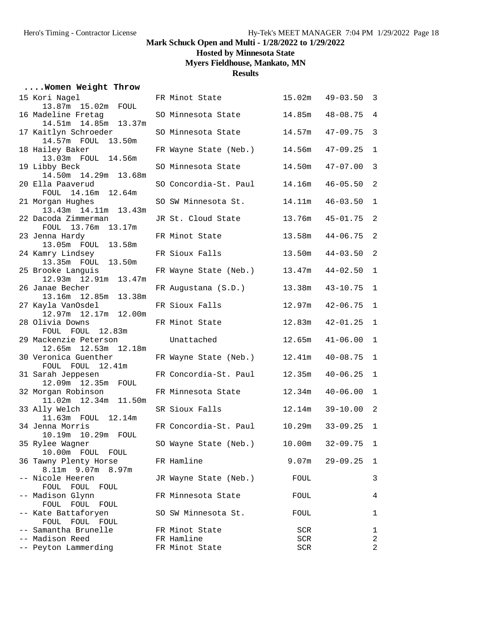**Hosted by Minnesota State**

**Myers Fieldhouse, Mankato, MN**

## **Results**

## **....Women Weight Throw**

| 15 Kori Nagel                                | FR Minot State        | 15.02m | $49 - 03.50$ | 3              |
|----------------------------------------------|-----------------------|--------|--------------|----------------|
| 13.87m 15.02m FOUL                           |                       |        |              |                |
| 16 Madeline Fretag<br>14.51m  14.85m  13.37m | SO Minnesota State    | 14.85m | $48 - 08.75$ | $\overline{4}$ |
| 17 Kaitlyn Schroeder                         | SO Minnesota State    | 14.57m | $47 - 09.75$ | $\mathbf{3}$   |
| 14.57m FOUL 13.50m                           |                       |        |              |                |
| 18 Hailey Baker                              | FR Wayne State (Neb.) | 14.56m | $47 - 09.25$ | $\mathbf 1$    |
| 13.03m FOUL 14.56m                           |                       |        |              |                |
| 19 Libby Beck                                | SO Minnesota State    | 14.50m | $47 - 07.00$ | $\mathbf{3}$   |
| 14.50m  14.29m  13.68m                       |                       |        |              |                |
| 20 Ella Paaverud                             | SO Concordia-St. Paul | 14.16m | $46 - 05.50$ | 2              |
| FOUL 14.16m 12.64m                           |                       |        |              |                |
| 21 Morgan Hughes                             | SO SW Minnesota St.   | 14.11m | $46 - 03.50$ | $\mathbf 1$    |
| 13.43m  14.11m  13.43m                       |                       |        |              |                |
| 22 Dacoda Zimmerman                          | JR St. Cloud State    | 13.76m | $45 - 01.75$ | $\overline{a}$ |
| FOUL 13.76m 13.17m                           |                       |        |              |                |
| 23 Jenna Hardy<br>13.05m FOUL 13.58m         | FR Minot State        | 13.58m | $44 - 06.75$ | 2              |
|                                              |                       |        |              |                |
| 24 Kamry Lindsey<br>13.35m FOUL 13.50m       | FR Sioux Falls        | 13.50m | $44 - 03.50$ | 2              |
| 25 Brooke Languis                            | FR Wayne State (Neb.) | 13.47m | $44 - 02.50$ | $\mathbf{1}$   |
| 12.93m  12.91m  13.47m                       |                       |        |              |                |
| 26 Janae Becher                              | FR Augustana (S.D.)   | 13.38m | $43 - 10.75$ | 1              |
| 13.16m  12.85m  13.38m                       |                       |        |              |                |
| 27 Kayla VanOsdel                            | FR Sioux Falls        | 12.97m | $42 - 06.75$ | $\mathbf 1$    |
| 12.97m  12.17m  12.00m                       |                       |        |              |                |
| 28 Olivia Downs                              | FR Minot State        | 12.83m | $42 - 01.25$ | $\mathbf 1$    |
| FOUL FOUL 12.83m                             |                       |        |              |                |
| 29 Mackenzie Peterson                        | Unattached            | 12.65m | $41 - 06.00$ | $\mathbf 1$    |
| 12.65m  12.53m  12.18m                       |                       |        |              |                |
| 30 Veronica Guenther                         | FR Wayne State (Neb.) | 12.41m | $40 - 08.75$ | $\mathbf 1$    |
| FOUL FOUL 12.41m                             |                       |        |              |                |
| 31 Sarah Jeppesen                            | FR Concordia-St. Paul | 12.35m | $40 - 06.25$ | $\mathbf{1}$   |
| 12.09m  12.35m  FOUL<br>32 Morgan Robinson   | FR Minnesota State    | 12.34m | $40 - 06.00$ | $\mathbf{1}$   |
| 11.02m  12.34m  11.50m                       |                       |        |              |                |
| 33 Ally Welch                                | SR Sioux Falls        | 12.14m | $39 - 10.00$ | $\overline{a}$ |
| 11.63m FOUL 12.14m                           |                       |        |              |                |
| 34 Jenna Morris                              | FR Concordia-St. Paul | 10.29m | $33 - 09.25$ | $\mathbf{1}$   |
| 10.19m  10.29m  FOUL                         |                       |        |              |                |
| 35 Rylee Wagner                              | SO Wayne State (Neb.) | 10.00m | $32 - 09.75$ | $\mathbf 1$    |
| 10.00m FOUL FOUL                             |                       |        |              |                |
| 36 Tawny Plenty Horse                        | FR Hamline            | 9.07m  | $29 - 09.25$ | 1              |
| 8.11m 9.07m 8.97m                            |                       |        |              |                |
| -- Nicole Heeren                             | JR Wayne State (Neb.) | FOUL   |              | 3              |
| FOUL<br>FOUL<br>FOUL                         |                       |        |              |                |
| -- Madison Glynn                             | FR Minnesota State    | FOUL   |              | 4              |
| FOUL FOUL FOUL<br>-- Kate Battaforyen        | SO SW Minnesota St.   | FOUL   |              | 1              |
| FOUL FOUL FOUL                               |                       |        |              |                |
| -- Samantha Brunelle                         | FR Minot State        | SCR    |              | 1              |
| -- Madison Reed                              | FR Hamline            | SCR    |              | 2              |
| -- Peyton Lammerding                         | FR Minot State        | SCR    |              | 2              |
|                                              |                       |        |              |                |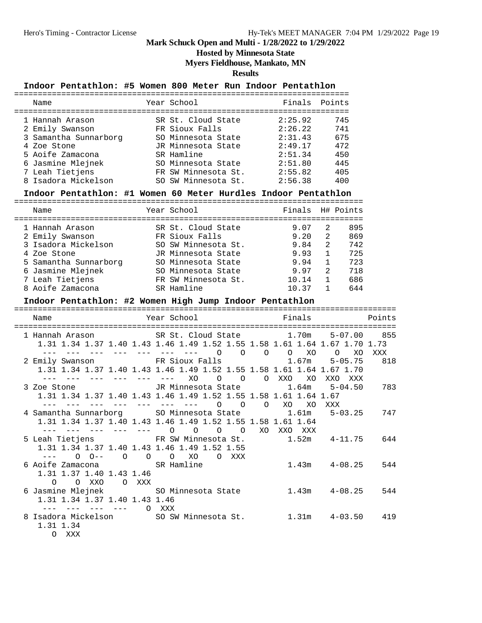**Hosted by Minnesota State**

**Myers Fieldhouse, Mankato, MN**

**Results**

## **Indoor Pentathlon: #5 Women 800 Meter Run Indoor Pentathlon**

| Name                               | Year School                          | Finals Points      |            |
|------------------------------------|--------------------------------------|--------------------|------------|
| 1 Hannah Arason<br>2 Emily Swanson | SR St. Cloud State<br>FR Sioux Falls | 2:25.92<br>2:26.22 | 745<br>741 |
| 3 Samantha Sunnarborg              | SO Minnesota State                   | 2:31.43            | 675        |
| 4 Zoe Stone                        | JR Minnesota State                   | 2:49.17            | 472        |
| 5 Aoife Zamacona                   | SR Hamline                           | 2:51.34            | 450        |
| 6 Jasmine Mlejnek                  | SO Minnesota State                   | 2:51.80            | 445        |
| 7 Leah Tietjens                    | FR SW Minnesota St.                  | 2:55.82            | 405        |
| 8 Isadora Mickelson                | SO SW Minnesota St.                  | 2:56.38            | 400        |
|                                    |                                      |                    |            |

## **Indoor Pentathlon: #1 Women 60 Meter Hurdles Indoor Pentathlon**

| Name                  | Year School         | Finals |              | H# Points |
|-----------------------|---------------------|--------|--------------|-----------|
| 1 Hannah Arason       | SR St. Cloud State  | 9.07   | 2            | 895       |
| 2 Emily Swanson       | FR Sioux Falls      | 9.20   | 2            | 869       |
| 3 Isadora Mickelson   | SO SW Minnesota St. | 9.84   | 2            | 742       |
| 4 Zoe Stone           | JR Minnesota State  | 9.93   | $\mathbf{1}$ | 725       |
| 5 Samantha Sunnarborg | SO Minnesota State  | 9.94   |              | 723       |
| 6 Jasmine Mlejnek     | SO Minnesota State  | 9.97   | 2            | 718       |
| 7 Leah Tietjens       | FR SW Minnesota St. | 10.14  | 1            | 686       |
| 8 Aoife Zamacona      | SR Hamline          | 10.37  |              | 644       |

#### **Indoor Pentathlon: #2 Women High Jump Indoor Pentathlon**

| Name                                                                                                                                                        | Year School <b>Sand</b>                     | Finals            | Points |
|-------------------------------------------------------------------------------------------------------------------------------------------------------------|---------------------------------------------|-------------------|--------|
| 1 Hannah Arason SR St. Cloud State 1.70m 5-07.00 855<br>1.31 1.34 1.37 1.40 1.43 1.46 1.49 1.52 1.55 1.58 1.61 1.64 1.67 1.70 1.73                          | --- --- --- --- --- --- --- 0 0 0 0 x0 0 x0 |                   | XXX    |
| 2 Emily Swanson FR Sioux Falls 1.67m 5-05.75<br>1.31 1.34 1.37 1.40 1.43 1.46 1.49 1.52 1.55 1.58 1.61 1.64 1.67 1.70<br><u>and the the the the the</u>     | XO<br>O O O XXO XO                          | XXO XXX           | 818    |
| 3 Zoe Stone 5-04.50 JR Minnesota State 1.64m 5-04.50<br>1.31 1.34 1.37 1.40 1.43 1.46 1.49 1.52 1.55 1.58 1.61 1.64 1.67<br>--- --- --- --- --- --- --- 0 0 |                                             | O XO XO XXX       | 783    |
| 4 Samantha Sunnarborg 50 Minnesota State 1.61m 5-03.25<br>1.31 1.34 1.37 1.40 1.43 1.46 1.49 1.52 1.55 1.58 1.61 1.64<br>--- --- --- --- --- 0              | $\Omega$<br>$\Omega$<br>$\Omega$<br>XO      | XXO XXX           | 747    |
| 5 Leah Tietjens FR SW Minnesota St. 1.52m 4-11.75<br>1.31 1.34 1.37 1.40 1.43 1.46 1.49 1.52 1.55<br>$--- 0 0---$                                           | $O$ $O$ $O$ $XO$<br>O XXX                   |                   | 644    |
| 6 Aoife Zamacona SR Hamline<br>1.31 1.37 1.40 1.43 1.46<br>O OXXO OXXX                                                                                      |                                             | $1.43m$ $4-08.25$ | 544    |
| 6 Jasmine Mlejnek 60 Minnesota State 1.43m 4-08.25<br>1.31 1.34 1.37 1.40 1.43 1.46<br>––– O XXX                                                            |                                             |                   | 544    |
| 8 Isadora Mickelson 50 SW Minnesota St. 1.31m 4-03.50 419<br>1.31 1.34<br>O XXX                                                                             |                                             |                   |        |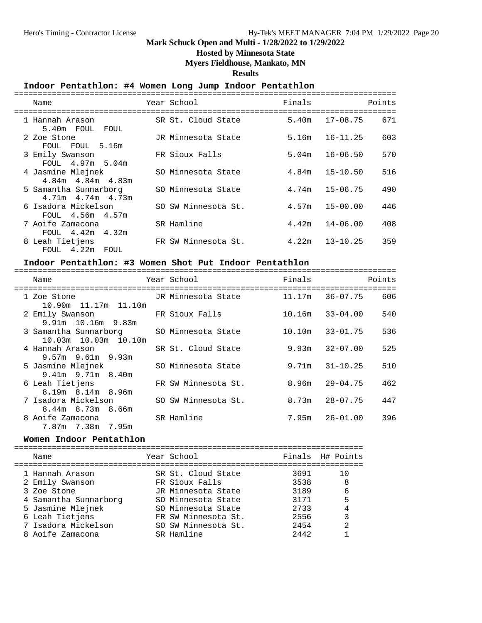#### **Hosted by Minnesota State**

#### **Myers Fieldhouse, Mankato, MN**

**Results**

#### **Indoor Pentathlon: #4 Women Long Jump Indoor Pentathlon**

| Name<br>-----------------                        | Year School         | Finals | Points              |
|--------------------------------------------------|---------------------|--------|---------------------|
| 1 Hannah Arason<br>5.40m FOUL FOUL               | SR St. Cloud State  | 5.40m  | 17-08.75<br>671     |
| 2 Zoe Stone<br>FOUL FOUL 5.16m                   | JR Minnesota State  | 5.16m  | $16 - 11.25$<br>603 |
| 3 Emily Swanson<br>FOUL 4.97m 5.04m              | FR Sioux Falls      | 5.04m  | $16 - 06.50$<br>570 |
| 4 Jasmine Mlejnek<br>$4.84m$ $4.84m$ $4.83m$     | SO Minnesota State  | 4.84m  | $15 - 10.50$<br>516 |
| 5 Samantha Sunnarborg<br>$4.71m$ $4.74m$ $4.73m$ | SO Minnesota State  | 4.74m  | $15 - 06.75$<br>490 |
| 6 Isadora Mickelson<br>FOUL 4.56m 4.57m          | SO SW Minnesota St. | 4.57m  | $15 - 00.00$<br>446 |
| 7 Aoife Zamacona<br>FOUL 4.42m 4.32m             | SR Hamline          | 4.42m  | $14 - 06.00$<br>408 |
| 8 Leah Tietjens<br>FOUL 4.22m FOUL               | FR SW Minnesota St. | 4.22m  | $13 - 10.25$<br>359 |

#### **Indoor Pentathlon: #3 Women Shot Put Indoor Pentathlon**

| Name                                            | Year School States and the School | Finals | Points                    |
|-------------------------------------------------|-----------------------------------|--------|---------------------------|
| 1 Zoe Stone<br>10.90m 11.17m 11.10m             | JR Minnesota State                |        | 606<br>11.17m 36-07.75    |
| 2 Emily Swanson<br>$9.91m$ 10.16m $9.83m$       | FR Sioux Falls                    | 10.16m | 540<br>33-04.00           |
| 3 Samantha Sunnarborg<br>10.03m  10.03m  10.10m | SO Minnesota State                | 10.10m | 536<br>33-01.75           |
| 4 Hannah Arason<br>$9.57m$ $9.61m$ $9.93m$      | SR St. Cloud State                | 9.93m  | 525<br>32-07.00           |
| 5 Jasmine Mlejnek<br>$9.41m$ $9.71m$ $8.40m$    | SO Minnesota State                |        | 510<br>$9.71m$ $31-10.25$ |
| 6 Leah Tietjens<br>$8.19m$ $8.14m$ $8.96m$      | FR SW Minnesota St.               | 8.96m  | 29-04.75<br>462           |
| 7 Isadora Mickelson<br>$8.44m$ $8.73m$ $8.66m$  | SO SW Minnesota St.               |        | 447<br>$8.73m$ $28-07.75$ |
| 8 Aoife Zamacona<br>7.87m 7.38m 7.95m           | SR Hamline                        |        | 396<br>$7.95m$ $26-01.00$ |

#### **Women Indoor Pentathlon**

========================================================================== Name Year School Finals H# Points ========================================================================== 1 Hannah Arason SR St. Cloud State 3691 10 2 Emily Swanson FR Sioux Falls 3538 8 3 Zoe Stone JR Minnesota State 3189 6 4 Samantha Sunnarborg SO Minnesota State 3171 5 5 Jasmine Mlejnek SO Minnesota State 2733 4 6 Leah Tietjens FR SW Minnesota St. 2556 3 7 Isadora Mickelson SO SW Minnesota St. 2454 2 8 Aoife Zamacona SR Hamline 2442 1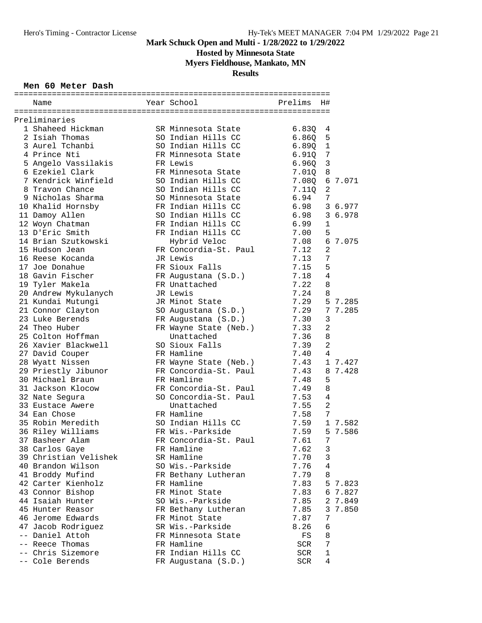**Hosted by Minnesota State**

**Myers Fieldhouse, Mankato, MN**

## **Results**

#### **Men 60 Meter Dash**

| Name                  | Year School           | Prelims       | H#             |         |
|-----------------------|-----------------------|---------------|----------------|---------|
|                       |                       |               |                |         |
| Preliminaries         |                       |               |                |         |
| 1 Shaheed Hickman     | SR Minnesota State    | 6.83Q         | 4              |         |
| 2 Isiah Thomas        | SO Indian Hills CC    | 6.860         | 5              |         |
| 3 Aurel Tchanbi       | SO Indian Hills CC    | 6.890         | $\mathbf{1}$   |         |
| 4 Prince Nti          | FR Minnesota State    | 6.91Q         | 7              |         |
| 5 Angelo Vassilakis   | FR Lewis              | 6.960         | 3              |         |
| 6 Ezekiel Clark       | FR Minnesota State    | 7.01Q         | 8              |         |
| 7 Kendrick Winfield   | SO Indian Hills CC    | 7.08Q         | 6              | 7.071   |
| 8 Travon Chance       | SO Indian Hills CC    | 7.11Q         | $\overline{a}$ |         |
| 9 Nicholas Sharma     | SO Minnesota State    | 6.94          | 7              |         |
| 10 Khalid Hornsby     | FR Indian Hills CC    | 6.98          |                | 3 6.977 |
| 11 Damoy Allen        | SO Indian Hills CC    | 6.98          | 3              | 6.978   |
| 12 Woyn Chatman       | FR Indian Hills CC    | 6.99          | 1              |         |
| 13 D'Eric Smith       | FR Indian Hills CC    | 7.00          | 5              |         |
| 14 Brian Szutkowski   | Hybrid Veloc          | 7.08          |                | 6 7.075 |
| 15 Hudson Jean        | FR Concordia-St. Paul | 7.12          | $\overline{2}$ |         |
| 16 Reese Kocanda      | JR Lewis              | 7.13          | 7              |         |
| 17 Joe Donahue        | FR Sioux Falls        | 7.15          | 5              |         |
| 18 Gavin Fischer      | FR Augustana (S.D.)   | 7.18          | 4              |         |
| 19 Tyler Makela       | FR Unattached         | 7.22          | 8              |         |
| 20 Andrew Mykulanych  | JR Lewis              | 7.24          | 8              |         |
| 21 Kundai Mutungi     | JR Minot State        | 7.29          | 5              | 7.285   |
| 21 Connor Clayton     | SO Augustana (S.D.)   | 7.29          | 7              | 7.285   |
| 23 Luke Berends       | FR Augustana (S.D.)   | 7.30          | 3              |         |
| 24 Theo Huber         | FR Wayne State (Neb.) | 7.33          | $\overline{c}$ |         |
| 25 Colton Hoffman     | Unattached            | 7.36          | 8              |         |
| 26 Xavier Blackwell   | SO Sioux Falls        | 7.39          | $\overline{a}$ |         |
| 27 David Couper       | FR Hamline            | 7.40          | 4              |         |
| 28 Wyatt Nissen       | FR Wayne State (Neb.) | 7.43          | $\mathbf{1}$   | 7.427   |
| 29 Priestly Jibunor   | FR Concordia-St. Paul | 7.43          | 8              | 7.428   |
| 30 Michael Braun      | FR Hamline            | 7.48          | 5              |         |
| 31 Jackson Klocow     | FR Concordia-St. Paul | 7.49          | 8              |         |
| 32 Nate Segura        | SO Concordia-St. Paul | 7.53          | 4              |         |
| 33 Eustace Awere      | Unattached            | 7.55          | $\overline{2}$ |         |
| 34 Ean Chose          | FR Hamline            | 7.58          | 7              |         |
| 35 Robin Meredith     | SO Indian Hills CC    | 7.59          | $\mathbf{1}$   | 7.582   |
| 36 Riley Williams     | FR Wis.-Parkside      | 7.59          | 5              | 7.586   |
| 37 Basheer Alam       | FR Concordia-St. Paul | 7.61          | 7              |         |
| 38 Carlos Gaye        | FR Hamline            | 7.62          | 3              |         |
| 39 Christian Velishek | SR Hamline            | 7.70          | 3              |         |
| 40 Brandon Wilson     | SO Wis.-Parkside      | 7.76          | 4              |         |
| 41 Broddy Mufind      | FR Bethany Lutheran   | 7.79          | 8              |         |
| 42 Carter Kienholz    | FR Hamline            | 7.83          |                | 5 7.823 |
| 43 Connor Bishop      | FR Minot State        | 7.83          |                | 6 7.827 |
| 44 Isaiah Hunter      | SO Wis.-Parkside      | 7.85          | 2              | 7.849   |
| 45 Hunter Reasor      | FR Bethany Lutheran   | 7.85          | 3              | 7.850   |
| 46 Jerome Edwards     | FR Minot State        | 7.87          | 7              |         |
| 47 Jacob Rodriquez    | SR Wis.-Parkside      | 8.26          | 6              |         |
| -- Daniel Attoh       | FR Minnesota State    | FS            | 8              |         |
| -- Reece Thomas       | FR Hamline            | SCR           | $\sqrt{ }$     |         |
| -- Chris Sizemore     | FR Indian Hills CC    | SCR           | $\mathbf 1$    |         |
| -- Cole Berends       | FR Augustana (S.D.)   | $_{\rm{SCR}}$ | 4              |         |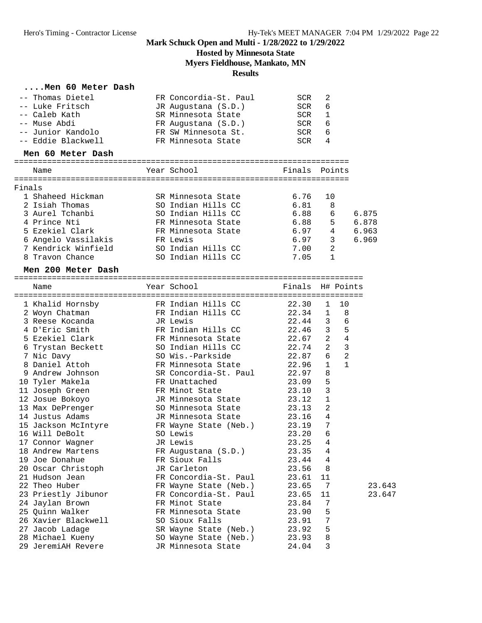## **Hosted by Minnesota State**

**Myers Fieldhouse, Mankato, MN**

### **Results**

### **....Men 60 Meter Dash**

|        | -- Thomas Dietel<br>-- Luke Fritsch<br>-- Caleb Kath | FR Concordia-St. Paul<br>JR Augustana (S.D.)<br>SR Minnesota State | SCR<br>SCR<br>SCR | 2<br>6<br>1                    |        |
|--------|------------------------------------------------------|--------------------------------------------------------------------|-------------------|--------------------------------|--------|
|        | -- Muse Abdi                                         | FR Augustana (S.D.)                                                | SCR               | 6                              |        |
|        | -- Junior Kandolo                                    | FR SW Minnesota St.                                                | SCR               | 6                              |        |
|        | -- Eddie Blackwell                                   | FR Minnesota State                                                 | SCR               | 4                              |        |
|        | Men 60 Meter Dash                                    |                                                                    |                   |                                |        |
|        | Name                                                 | Year School                                                        | Finals            | Points                         |        |
| Finals |                                                      |                                                                    |                   |                                |        |
|        | 1 Shaheed Hickman                                    | SR Minnesota State                                                 | 6.76              | 10                             |        |
|        | 2 Isiah Thomas                                       | SO Indian Hills CC                                                 | 6.81              | 8                              |        |
|        | 3 Aurel Tchanbi                                      | SO Indian Hills CC                                                 | 6.88              | 6                              | 6.875  |
|        | 4 Prince Nti                                         | FR Minnesota State                                                 | 6.88              | 5                              | 6.878  |
|        | 5 Ezekiel Clark                                      | FR Minnesota State                                                 | 6.97              | 4                              | 6.963  |
|        | 6 Angelo Vassilakis                                  | FR Lewis                                                           | 6.97              | 3                              | 6.969  |
|        | 7 Kendrick Winfield                                  | SO Indian Hills CC                                                 | 7.00              | 2                              |        |
|        | 8 Travon Chance                                      | SO Indian Hills CC                                                 | 7.05              | 1                              |        |
|        | Men 200 Meter Dash                                   |                                                                    |                   |                                |        |
|        | Name                                                 | Year School                                                        | Finals H# Points  |                                |        |
|        |                                                      |                                                                    |                   |                                |        |
|        | 1 Khalid Hornsby                                     | FR Indian Hills CC                                                 | 22.30             | 10<br>1                        |        |
|        | 2 Woyn Chatman                                       | FR Indian Hills CC                                                 | 22.34             | $\mathbf{1}$<br>8              |        |
|        | 3 Reese Kocanda                                      | JR Lewis                                                           | 22.44             | 6<br>3                         |        |
|        | 4 D'Eric Smith                                       | FR Indian Hills CC                                                 | 22.46             | $\overline{5}$<br>$\mathbf{3}$ |        |
|        | 5 Ezekiel Clark                                      | FR Minnesota State                                                 | 22.67             | $\overline{4}$<br>2            |        |
|        | 6 Trystan Beckett                                    | SO Indian Hills CC                                                 | 22.74             | $\overline{3}$<br>2            |        |
|        | 7 Nic Davy                                           | SO Wis.-Parkside                                                   | 22.87             | $\overline{2}$<br>6            |        |
|        | 8 Daniel Attoh                                       | FR Minnesota State                                                 | 22.96             | $\mathbf{1}$<br>1              |        |
|        | 9 Andrew Johnson                                     | SR Concordia-St. Paul                                              | 22.97             | 8                              |        |
|        | 10 Tyler Makela                                      | FR Unattached                                                      | 23.09             | 5                              |        |
|        | 11 Joseph Green                                      | FR Minot State                                                     | 23.10             | 3                              |        |
|        | 12 Josue Bokoyo                                      | JR Minnesota State                                                 | 23.12             | 1                              |        |
|        | 13 Max DePrenger                                     | SO Minnesota State                                                 | 23.13             | 2                              |        |
|        | 14 Justus Adams                                      | JR Minnesota State                                                 | 23.16             | 4                              |        |
|        | 15 Jackson McIntyre                                  | FR Wayne State (Neb.)                                              | 23.19             | 7                              |        |
|        | 16 Will DeBolt                                       | SO Lewis                                                           | 23.20             | 6                              |        |
|        | 17 Connor Wagner                                     | JR Lewis                                                           | 23.25             | 4                              |        |
|        | 18 Andrew Martens                                    | FR Augustana (S.D.)                                                | 23.35             | 4                              |        |
|        | 19 Joe Donahue                                       | FR Sioux Falls                                                     | 23.44             | 4                              |        |
|        | 20 Oscar Christoph                                   | JR Carleton                                                        | 23.56             | 8                              |        |
|        | 21 Hudson Jean                                       | FR Concordia-St. Paul                                              | 23.61             | 11                             |        |
|        | 22 Theo Huber                                        | FR Wayne State (Neb.)                                              | 23.65             | 7                              | 23.643 |
|        | 23 Priestly Jibunor                                  | FR Concordia-St. Paul                                              | 23.65             | 11                             | 23.647 |
|        | 24 Jaylan Brown                                      | FR Minot State                                                     | 23.84             | 7                              |        |
|        | 25 Quinn Walker                                      | FR Minnesota State                                                 | 23.90             | 5                              |        |
|        | 26 Xavier Blackwell                                  | SO Sioux Falls                                                     | 23.91             | 7                              |        |
|        | 27 Jacob Ladage                                      | SR Wayne State (Neb.)                                              | 23.92             | 5                              |        |
|        | 28 Michael Kueny                                     | SO Wayne State (Neb.)                                              | 23.93             | 8                              |        |
|        | 29 JeremiAH Revere                                   | JR Minnesota State                                                 | 24.04             | 3                              |        |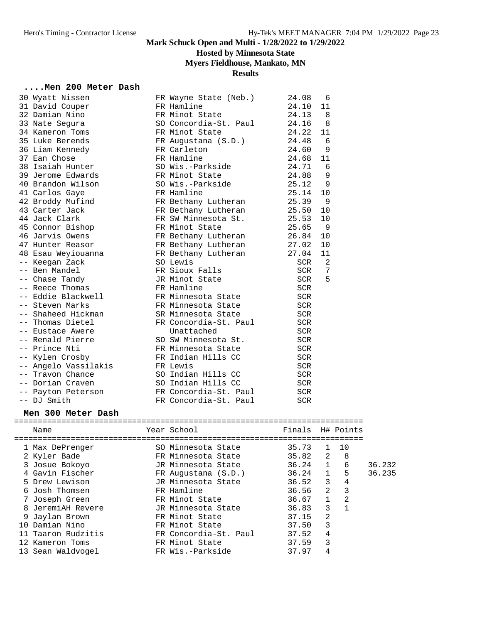## **Hosted by Minnesota State**

## **Myers Fieldhouse, Mankato, MN**

#### **Results**

### **....Men 200 Meter Dash**

| 30 Wyatt Nissen      | FR Wayne State (Neb.) | 24.08      | 6   |
|----------------------|-----------------------|------------|-----|
| 31 David Couper      | FR Hamline            | 24.10      | 11  |
| 32 Damian Nino       | FR Minot State        | 24.13      | 8   |
| 33 Nate Segura       | SO Concordia-St. Paul | 24.16      | 8   |
| 34 Kameron Toms      | FR Minot State        | 24.22      | 11  |
| 35 Luke Berends      | FR Augustana (S.D.)   | 24.48      | -6  |
| 36 Liam Kennedy      | FR Carleton           | 24.60      | 9   |
| 37 Ean Chose         | FR Hamline            | 24.68      | 11  |
| 38 Isaiah Hunter     | SO Wis.-Parkside      | 24.71      | - 6 |
| 39 Jerome Edwards    | FR Minot State        | 24.88      | 9   |
| 40 Brandon Wilson    | SO Wis.-Parkside      | 25.12      | 9   |
| 41 Carlos Gaye       | FR Hamline            | 25.14      | 10  |
| 42 Broddy Mufind     | FR Bethany Lutheran   | 25.39      | - 9 |
| 43 Carter Jack       | FR Bethany Lutheran   | 25.50      | 10  |
| 44 Jack Clark        | FR SW Minnesota St.   | 25.53      | 10  |
| 45 Connor Bishop     | FR Minot State        | 25.65      | 9   |
| 46 Jarvis Owens      | FR Bethany Lutheran   | 26.84      | 10  |
| 47 Hunter Reasor     | FR Bethany Lutheran   | 27.02      | 10  |
| 48 Esau Weyiouanna   | FR Bethany Lutheran   | 27.04      | 11  |
| -- Keegan Zack       | SO Lewis              | SCR        | 2   |
| -- Ben Mandel        | FR Sioux Falls        | SCR        | 7   |
| -- Chase Tandy       | JR Minot State        | SCR        | 5   |
| -- Reece Thomas      | FR Hamline            | SCR        |     |
| -- Eddie Blackwell   | FR Minnesota State    | SCR        |     |
| -- Steven Marks      | FR Minnesota State    | <b>SCR</b> |     |
| -- Shaheed Hickman   | SR Minnesota State    | SCR        |     |
| -- Thomas Dietel     | FR Concordia-St. Paul | SCR        |     |
| -- Eustace Awere     | Unattached            | SCR        |     |
| -- Renald Pierre     | SO SW Minnesota St.   | SCR        |     |
| -- Prince Nti        | FR Minnesota State    | SCR        |     |
| -- Kylen Crosby      | FR Indian Hills CC    | <b>SCR</b> |     |
| -- Angelo Vassilakis | FR Lewis              | <b>SCR</b> |     |
| -- Travon Chance     | SO Indian Hills CC    | <b>SCR</b> |     |
| -- Dorian Craven     | SO Indian Hills CC    | <b>SCR</b> |     |
| -- Payton Peterson   | FR Concordia-St. Paul | <b>SCR</b> |     |
| -- DJ Smith          | FR Concordia-St. Paul | <b>SCR</b> |     |

#### **Men 300 Meter Dash**

| Name               | Year School           | Finals H# Points |                |                         |        |
|--------------------|-----------------------|------------------|----------------|-------------------------|--------|
|                    |                       |                  |                |                         |        |
| 1 Max DePrenger    | SO Minnesota State    | 35.73            | $\mathbf{1}$   | 10                      |        |
| 2 Kyler Bade       | FR Minnesota State    | $35.82 \quad 2$  |                | - 8                     |        |
| 3 Josue Bokoyo     | JR Minnesota State    | $36.24$ 1        |                | 6                       | 36.232 |
| 4 Gavin Fischer    | FR Augustana (S.D.)   | 36.24            | $\mathbf{1}$   | 5                       | 36.235 |
| 5 Drew Lewison     | JR Minnesota State    | 36.52            | 3              | 4                       |        |
| 6 Josh Thomsen     | FR Hamline            | 36.56            | $\overline{2}$ | $\overline{\mathbf{3}}$ |        |
| 7 Joseph Green     | FR Minot State        | 36.67            | $\mathbf{1}$   | 2                       |        |
| 8 JeremiAH Revere  | JR Minnesota State    | 36.83            | 3              |                         |        |
| 9 Jaylan Brown     | FR Minot State        | 37.15            | $\overline{2}$ |                         |        |
| 10 Damian Nino     | FR Minot State        | 37.50            | 3              |                         |        |
| 11 Taaron Rudzitis | FR Concordia-St. Paul | 37.52            | 4              |                         |        |
| 12 Kameron Toms    | FR Minot State        | 37.59            | 3              |                         |        |
| 13 Sean Waldvogel  | FR Wis.-Parkside      | 37.97            | 4              |                         |        |
|                    |                       |                  |                |                         |        |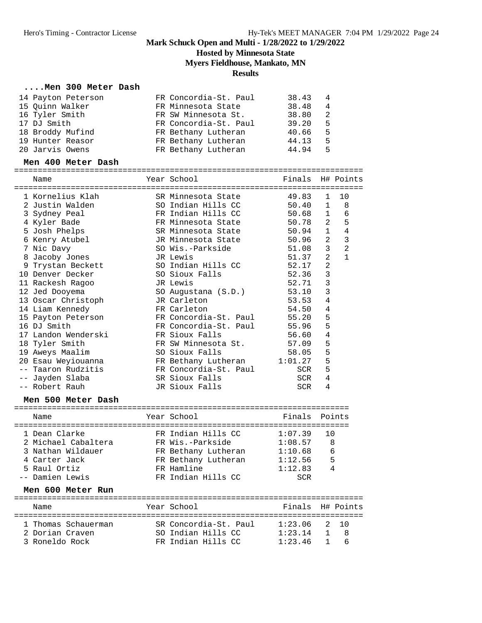### **Hosted by Minnesota State**

**Myers Fieldhouse, Mankato, MN**

#### **Results**

#### **....Men 300 Meter Dash**

| FR Concordia-St. Paul<br>14 Payton Peterson<br>38.43<br>$\overline{4}$ |                |
|------------------------------------------------------------------------|----------------|
| 15 Ouinn Walker<br>FR Minnesota State<br>38.48                         | $\overline{4}$ |
| 16 Tyler Smith<br>FR SW Minnesota St.<br>38.80                         | -2             |
| 17 DJ Smith<br>FR Concordia-St. Paul<br>39.20                          | 5              |
| 18 Broddy Mufind<br>FR Bethany Lutheran<br>40.66                       | 5              |
| 19 Hunter Reasor<br>FR Bethany Lutheran<br>44.13                       | 5              |
| 20 Jarvis Owens<br>FR Bethany Lutheran<br>44.94                        | 5              |

#### **Men 400 Meter Dash**

| Name                                | Year School                              | Finals H# Points |                |                |
|-------------------------------------|------------------------------------------|------------------|----------------|----------------|
| 1 Kornelius Klah                    |                                          | 49.83            | $\mathbf{1}$   | 10             |
| 2 Justin Walden                     | SR Minnesota State<br>SO Indian Hills CC | 50.40            | 1              | 8              |
| 3 Sydney Peal                       | FR Indian Hills CC                       | 50.68            | $\mathbf{1}$   | 6              |
| 4 Kyler Bade                        | FR Minnesota State                       | 50.78            | 2              | 5              |
| 5 Josh Phelps                       | SR Minnesota State                       | 50.94            | $\mathbf{1}$   | 4              |
|                                     | JR Minnesota State                       | 50.96            | $\overline{a}$ | $\mathbf{3}$   |
| 6 Kenry Atubel<br>7 Nic Davy        | SO Wis.-Parkside                         | 51.08            | 3              | $\overline{2}$ |
|                                     | JR Lewis                                 | 51.37            | $\overline{2}$ | $\mathbf{1}$   |
| 8 Jacoby Jones<br>9 Trystan Beckett | SO Indian Hills CC                       | 52.17            | $\overline{a}$ |                |
| 10 Denver Decker                    | SO Sioux Falls                           | 52.36            | 3              |                |
| 11 Rackesh Ragoo                    | JR Lewis                                 | 52.71            | $\mathbf{3}$   |                |
| 12 Jed Dooyema                      | SO Augustana (S.D.)                      | 53.10            | 3              |                |
| 13 Oscar Christoph                  | JR Carleton                              | 53.53            | 4              |                |
| 14 Liam Kennedy                     | FR Carleton                              | 54.50            | 4              |                |
| 15 Payton Peterson                  | FR Concordia-St. Paul                    | 55.20            | 5              |                |
| 16 DJ Smith                         | FR Concordia-St. Paul                    | 55.96            | 5              |                |
| 17 Landon Wenderski                 | FR Sioux Falls                           | 56.60            | 4              |                |
| 18 Tyler Smith                      | FR SW Minnesota St.                      | 57.09            | 5              |                |
| 19 Aweys Maalim                     | SO Sioux Falls                           | 58.05            | 5              |                |
| 20 Esau Weyiouanna                  | FR Bethany Lutheran                      | 1:01.27          | 5              |                |
| Taaron Rudzitis                     | FR Concordia-St. Paul                    | SCR              | 5              |                |
| -- Jayden Slaba                     | SR Sioux Falls                           | SCR              | 4              |                |
| -- Robert Rauh                      | JR Sioux Falls                           | <b>SCR</b>       | 4              |                |
|                                     |                                          |                  |                |                |
| Men 500 Meter Dash                  |                                          |                  |                |                |
| Name                                | Year School                              | Finals           |                | Points         |
|                                     |                                          |                  |                |                |
| 1 Dean Clarke                       | FR Indian Hills CC                       | 1:07.39          | 10             |                |
| 2 Michael Cabaltera                 | FR Wis.-Parkside                         | 1:08.57          | 8              |                |
| 3 Nathan Wildauer                   | FR Bethany Lutheran                      | 1:10.68          | 6              |                |

| 4 Carter Jack     | FR Bethany Lutheran | 1:12.56<br>5     |
|-------------------|---------------------|------------------|
| 5 Raul Ortiz      | FR Hamline          | 1:12.83          |
| -- Damien Lewis   | FR Indian Hills CC  | SCR              |
| Men 600 Meter Run |                     |                  |
| Name              | Year School         | Finals H# Points |
|                   |                     |                  |

|                 | 1 Thomas Schauerman | SR Concordia-St. Paul | 1:23.06 2 10  |  |
|-----------------|---------------------|-----------------------|---------------|--|
| 2 Dorian Craven |                     | SO Indian Hills CC    | $1:23.14$ 1 8 |  |
| 3 Roneldo Rock  |                     | FR Indian Hills CC    | $1:23.46$ 1 6 |  |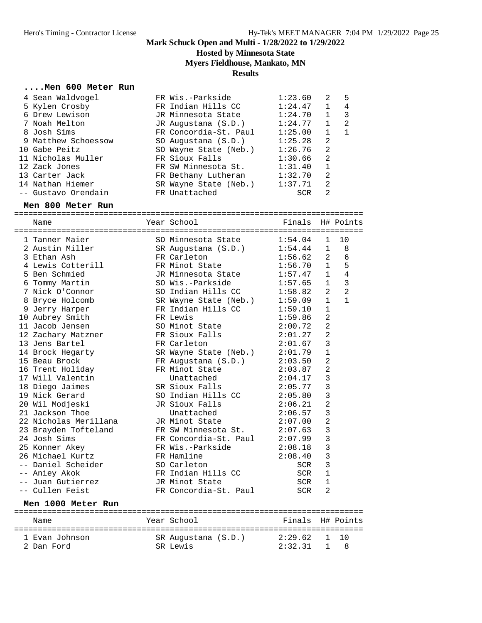**Hosted by Minnesota State**

## **Myers Fieldhouse, Mankato, MN**

**Results**

#### **....Men 600 Meter Run**

|                                                                                                                                                                                                                                  | 1:23.60                                                                                                                                                                                                                                                                | 2            | 5 |
|----------------------------------------------------------------------------------------------------------------------------------------------------------------------------------------------------------------------------------|------------------------------------------------------------------------------------------------------------------------------------------------------------------------------------------------------------------------------------------------------------------------|--------------|---|
|                                                                                                                                                                                                                                  | 1:24.47                                                                                                                                                                                                                                                                | $\mathbf 1$  | 4 |
|                                                                                                                                                                                                                                  | 1:24.70                                                                                                                                                                                                                                                                | $\mathbf 1$  | 3 |
|                                                                                                                                                                                                                                  | 1:24.77                                                                                                                                                                                                                                                                | $\mathbf{1}$ | 2 |
|                                                                                                                                                                                                                                  | 1:25.00                                                                                                                                                                                                                                                                |              | 1 |
|                                                                                                                                                                                                                                  | 1:25.28                                                                                                                                                                                                                                                                | 2            |   |
|                                                                                                                                                                                                                                  | 1:26.76                                                                                                                                                                                                                                                                | 2            |   |
|                                                                                                                                                                                                                                  | 1:30.66                                                                                                                                                                                                                                                                | 2            |   |
|                                                                                                                                                                                                                                  | 1:31.40                                                                                                                                                                                                                                                                | 1            |   |
|                                                                                                                                                                                                                                  | 1:32.70                                                                                                                                                                                                                                                                | 2            |   |
|                                                                                                                                                                                                                                  | 1:37.71                                                                                                                                                                                                                                                                | 2            |   |
|                                                                                                                                                                                                                                  | SCR                                                                                                                                                                                                                                                                    | 2            |   |
| 4 Sean Waldvogel<br>5 Kylen Crosby<br>6 Drew Lewison<br>7 Noah Melton<br>8 Josh Sims<br>9 Matthew Schoessow<br>10 Gabe Peitz<br>11 Nicholas Muller<br>12 Zack Jones<br>13 Carter Jack<br>14 Nathan Hiemer<br>-- Gustavo Orendain | FR Wis.-Parkside<br>FR Indian Hills CC<br>JR Minnesota State<br>JR Augustana (S.D.)<br>FR Concordia-St. Paul<br>SO Augustana (S.D.)<br>SO Wayne State (Neb.)<br>FR Sioux Falls<br>FR SW Minnesota St.<br>FR Bethany Lutheran<br>SR Wayne State (Neb.)<br>FR Unattached |              |   |

#### **Men 800 Meter Run**

========================================================================== Name Year School Finals H# Points

| name                  | rear school                     | rınaıs     |                | H# POINUS      |
|-----------------------|---------------------------------|------------|----------------|----------------|
| 1 Tanner Maier        | SO Minnesota State              | 1:54.04    | 1              | 10             |
| 2 Austin Miller       | SR Augustana (S.D.)             | 1:54.44    | $\mathbf{1}$   | 8              |
| 3 Ethan Ash           | FR Carleton                     | 1:56.62    | 2              | $\epsilon$     |
| 4 Lewis Cotterill     | FR Minot State                  | 1:56.70    | $\mathbf{1}$   | 5              |
| 5 Ben Schmied         | JR Minnesota State              | 1:57.47    | $\mathbf{1}$   | $\overline{4}$ |
| 6 Tommy Martin        | SO Wis.-Parkside                | 1:57.65    | $\mathbf{1}$   | 3              |
| 7 Nick O'Connor       | SO Indian Hills CC              | 1:58.82    | 2              | $\overline{a}$ |
| 8 Bryce Holcomb       | SR Wayne State (Neb.)           | 1:59.09    | $\mathbf{1}$   | $\mathbf{1}$   |
| 9 Jerry Harper        | FR Indian Hills CC              | 1:59.10    | $\mathbf{1}$   |                |
| 10 Aubrey Smith       | FR Lewis                        | 1:59.86    | $\overline{2}$ |                |
| 11 Jacob Jensen       | SO Minot State                  | 2:00.72    | $\overline{2}$ |                |
| 12 Zachary Matzner    | FR Sioux Falls                  | 2:01.27    | $\overline{2}$ |                |
| 13 Jens Bartel        | FR Carleton                     | 2:01.67    | $\mathbf{3}$   |                |
| 14 Brock Hegarty      | SR Wayne State (Neb.)           | 2:01.79    | $\mathbf{1}$   |                |
| 15 Beau Brock         | FR Augustana (S.D.)             | 2:03.50    | $\overline{2}$ |                |
| 16 Trent Holiday      | FR Minot State                  | 2:03.87    | $\overline{2}$ |                |
| 17 Will Valentin      | Unattached                      | 2:04.17    | 3              |                |
| 18 Diego Jaimes       | SR Sioux Falls                  | 2:05.77    | 3              |                |
| 19 Nick Gerard        | SO Indian Hills CC              | 2:05.80    | $\overline{3}$ |                |
| 20 Wil Modjeski       | JR Sioux Falls                  | 2:06.21    | $\overline{2}$ |                |
| 21 Jackson Thoe       | Unattached                      | 2:06.57    | 3              |                |
| 22 Nicholas Merillana | JR Minot State                  | 2:07.00    | $\overline{a}$ |                |
| 23 Brayden Tofteland  | FR SW Minnesota St.             | 2:07.63    | 3              |                |
| 24 Josh Sims          | FR Concordia-St. Paul $2:07.99$ |            | $\overline{3}$ |                |
| 25 Konner Akey        | FR Wis.-Parkside                | 2:08.18    | 3              |                |
| 26 Michael Kurtz      | FR Hamline                      | 2:08.40    | 3              |                |
| -- Daniel Scheider    | SO Carleton                     | SCR        | 3              |                |
| -- Aniey Akok         | FR Indian Hills CC              | SCR        | $\mathbf{1}$   |                |
| -- Juan Gutierrez     | JR Minot State                  | SCR        | $\mathbf{1}$   |                |
| -- Cullen Feist       | FR Concordia-St. Paul           | <b>SCR</b> | 2              |                |
| Men 1000 Meter Run    |                                 |            |                |                |
| Name                  | Year School                     | Finals     |                | H# Points      |
| 1 Evan Johnson        | SR Augustana (S.D.)             | 2:29.62    | $\mathbf{1}$   | 10             |
| 2 Dan Ford            | SR Lewis                        | 2:32.31    | $\mathbf{1}$   | 8              |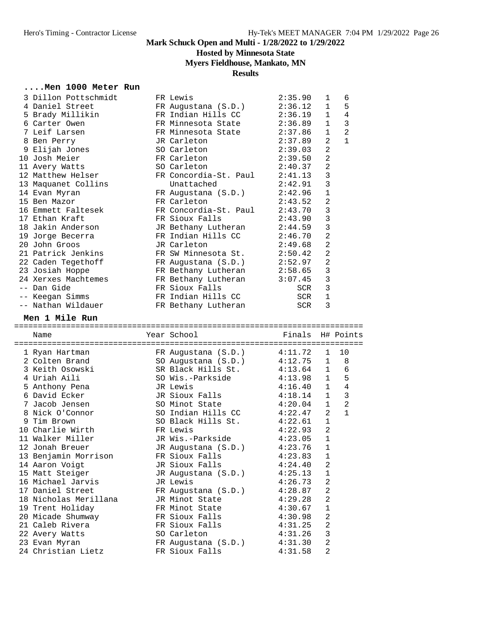## **Hosted by Minnesota State**

## **Myers Fieldhouse, Mankato, MN**

### **Results**

### **....Men 1000 Meter Run**

| 3 Dillon Pottschmidt<br>4 Daniel Street<br>5 Brady Millikin<br>6 Carter Owen<br>7 Leif Larsen<br>8 Ben Perry<br>9 Elijah Jones | FR Lewis<br>FR Augustana (S.D.)<br>FR Indian Hills CC<br>FR Minnesota State<br>FR Minnesota State<br>JR Carleton<br>SO Carleton | 2:35.90<br>2:36.12<br>2:36.19<br>2:36.89<br>2:37.86<br>2:37.89<br>2:39.03 | 1<br>$\mathbf{1}$<br>$\mathbf{1}$<br>$\mathbf{1}$<br>$\mathbf{1}$<br>2<br>$\overline{a}$ | 6<br>5<br>$\overline{4}$<br>$\mathbf{3}$<br>$\overline{2}$<br>$\mathbf{1}$ |
|--------------------------------------------------------------------------------------------------------------------------------|---------------------------------------------------------------------------------------------------------------------------------|---------------------------------------------------------------------------|------------------------------------------------------------------------------------------|----------------------------------------------------------------------------|
|                                                                                                                                |                                                                                                                                 |                                                                           | $\overline{2}$                                                                           |                                                                            |
| 10 Josh Meier                                                                                                                  | FR Carleton                                                                                                                     | 2:39.50                                                                   |                                                                                          |                                                                            |
| 11 Avery Watts                                                                                                                 | SO Carleton                                                                                                                     | 2:40.37                                                                   | $\overline{2}$                                                                           |                                                                            |
| 12 Matthew Helser                                                                                                              | FR Concordia-St. Paul                                                                                                           | 2:41.13                                                                   | $\mathbf{3}$                                                                             |                                                                            |
| 13 Maquanet Collins                                                                                                            | Unattached                                                                                                                      | 2:42.91                                                                   | 3                                                                                        |                                                                            |
| 14 Evan Myran                                                                                                                  | FR Augustana (S.D.)                                                                                                             | 2:42.96                                                                   | $1\,$                                                                                    |                                                                            |
| 15 Ben Mazor                                                                                                                   | FR Carleton                                                                                                                     | 2:43.52                                                                   | $\overline{2}$                                                                           |                                                                            |
| 16 Emmett Faltesek                                                                                                             | FR Concordia-St. Paul                                                                                                           | 2:43.70                                                                   | 3                                                                                        |                                                                            |
| 17 Ethan Kraft                                                                                                                 | FR Sioux Falls                                                                                                                  | 2:43.90                                                                   | $\mathbf{3}$                                                                             |                                                                            |
| 18 Jakin Anderson                                                                                                              | JR Bethany Lutheran                                                                                                             | 2:44.59                                                                   | $\mathbf{3}$                                                                             |                                                                            |
| 19 Jorge Becerra                                                                                                               | FR Indian Hills CC                                                                                                              | 2:46.70                                                                   | $\overline{2}$                                                                           |                                                                            |
| 20 John Groos                                                                                                                  | JR Carleton                                                                                                                     | 2:49.68                                                                   | $\overline{a}$                                                                           |                                                                            |
| 21 Patrick Jenkins                                                                                                             | FR SW Minnesota St. 2:50.42                                                                                                     |                                                                           | $\overline{2}$                                                                           |                                                                            |
| 22 Caden Tegethoff                                                                                                             | FR Augustana (S.D.)                                                                                                             | 2:52.97                                                                   | $\overline{2}$                                                                           |                                                                            |
| 23 Josiah Hoppe                                                                                                                | FR Bethany Lutheran                                                                                                             | 2:58.65                                                                   | $\mathbf{3}$                                                                             |                                                                            |
| 24 Xerxes Machtemes                                                                                                            | FR Bethany Lutheran                                                                                                             | 3:07.45                                                                   | 3                                                                                        |                                                                            |
| -- Dan Gide                                                                                                                    | FR Sioux Falls                                                                                                                  | SCR                                                                       | 3                                                                                        |                                                                            |
| -- Keegan Simms                                                                                                                | FR Indian Hills CC                                                                                                              | SCR                                                                       | 1                                                                                        |                                                                            |
| -- Nathan Wildauer                                                                                                             | FR Bethany Lutheran                                                                                                             | SCR                                                                       | 3                                                                                        |                                                                            |
| Men 1 Mile Run                                                                                                                 |                                                                                                                                 |                                                                           |                                                                                          |                                                                            |
|                                                                                                                                |                                                                                                                                 |                                                                           |                                                                                          |                                                                            |
| Name                                                                                                                           | Year School                                                                                                                     | Finals                                                                    |                                                                                          | H# Points                                                                  |
|                                                                                                                                |                                                                                                                                 |                                                                           |                                                                                          |                                                                            |
| 1 Ryan Hartman                                                                                                                 | FR Augustana (S.D.)                                                                                                             | 4:11.72                                                                   | 1                                                                                        | 10                                                                         |
| 2 Colten Brand                                                                                                                 |                                                                                                                                 |                                                                           | 1                                                                                        | 8                                                                          |
| 3 Keith Osowski                                                                                                                | SO Augustana (S.D.)<br>SR Black Hills St.                                                                                       | 4:12.75<br>4:13.64                                                        | $\mathbf{1}$                                                                             | 6                                                                          |
| 4 Uriah Aili                                                                                                                   | SO Wis.-Parkside                                                                                                                |                                                                           | $\mathbf{1}$                                                                             |                                                                            |
|                                                                                                                                | JR Lewis                                                                                                                        | 4:13.98<br>4:16.40                                                        | $\mathbf{1}$                                                                             | 5<br>4                                                                     |
| 5 Anthony Pena                                                                                                                 |                                                                                                                                 |                                                                           |                                                                                          |                                                                            |
| 6 David Ecker                                                                                                                  | JR Sioux Falls                                                                                                                  | 4:18.14                                                                   | $\mathbf{1}$                                                                             | $\mathsf 3$                                                                |
| 7 Jacob Jensen                                                                                                                 | SO Minot State                                                                                                                  | 4:20.04                                                                   | $\mathbf{1}$                                                                             | $\overline{2}$                                                             |
| 8 Nick O'Connor                                                                                                                | SO Indian Hills CC                                                                                                              | 4:22.47                                                                   | 2                                                                                        | $\mathbf{1}$                                                               |
| 9 Tim Brown                                                                                                                    | SO Black Hills St.                                                                                                              | 4:22.61                                                                   | 1                                                                                        |                                                                            |
| 10 Charlie Wirth                                                                                                               | FR Lewis                                                                                                                        | 4:22.93                                                                   | 2                                                                                        |                                                                            |
| 11 Walker Miller                                                                                                               | JR Wis.-Parkside                                                                                                                | 4:23.05                                                                   | $\mathbf{1}$                                                                             |                                                                            |
| 12 Jonah Breuer                                                                                                                | JR Augustana (S.D.)                                                                                                             | 4:23.76                                                                   | 1                                                                                        |                                                                            |
| 13 Benjamin Morrison                                                                                                           | FR Sioux Falls                                                                                                                  | 4:23.83                                                                   | 1                                                                                        |                                                                            |
| 14 Aaron Voigt                                                                                                                 | JR Sioux Falls                                                                                                                  | 4:24.40                                                                   | $\overline{a}$                                                                           |                                                                            |
| 15 Matt Steiger                                                                                                                | JR Augustana (S.D.)                                                                                                             | 4:25.13                                                                   | $\mathbf 1$                                                                              |                                                                            |
| 16 Michael Jarvis                                                                                                              | JR Lewis                                                                                                                        | 4:26.73                                                                   | $\overline{a}$                                                                           |                                                                            |
| 17 Daniel Street                                                                                                               | FR Augustana (S.D.)                                                                                                             | 4:28.87                                                                   | 2                                                                                        |                                                                            |
| 18 Nicholas Merillana                                                                                                          | JR Minot State                                                                                                                  | 4:29.28                                                                   | 2                                                                                        |                                                                            |
| 19 Trent Holiday                                                                                                               | FR Minot State                                                                                                                  | 4:30.67                                                                   | 1                                                                                        |                                                                            |
| 20 Micade Shumway                                                                                                              | FR Sioux Falls                                                                                                                  | 4:30.98                                                                   | $\overline{a}$                                                                           |                                                                            |
| 21 Caleb Rivera                                                                                                                | FR Sioux Falls                                                                                                                  | 4:31.25                                                                   | $\overline{a}$                                                                           |                                                                            |
| 22 Avery Watts                                                                                                                 | SO Carleton                                                                                                                     | 4:31.26                                                                   | 3                                                                                        |                                                                            |
| 23 Evan Myran<br>24 Christian Lietz                                                                                            | FR Augustana (S.D.)<br>FR Sioux Falls                                                                                           | 4:31.30<br>4:31.58                                                        | 2<br>2                                                                                   |                                                                            |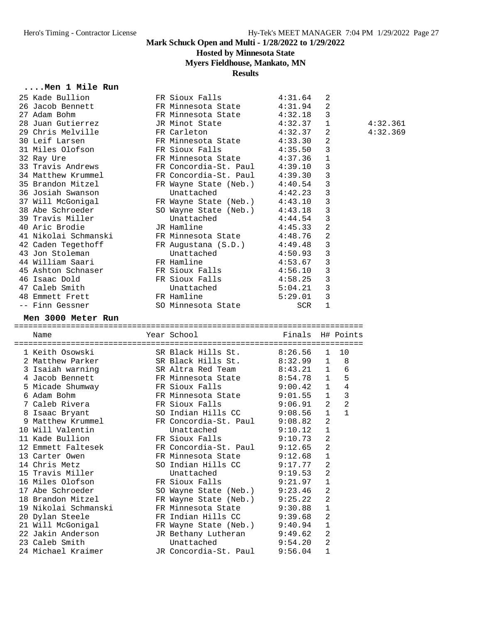## **Hosted by Minnesota State**

**Myers Fieldhouse, Mankato, MN**

## **Results**

### **....Men 1 Mile Run**

| 25 Kade Bullion                      | FR Sioux Falls                      | 4:31.64            | 2                |    |          |
|--------------------------------------|-------------------------------------|--------------------|------------------|----|----------|
| 26 Jacob Bennett                     | FR Minnesota State                  | 4:31.94            | 2                |    |          |
| 27 Adam Bohm                         | FR Minnesota State                  | 4:32.18            | 3                |    |          |
| 28 Juan Gutierrez                    | JR Minot State                      | 4:32.37            | 1                |    | 4:32.361 |
| 29 Chris Melville                    | FR Carleton                         | 4:32.37            | 2                |    | 4:32.369 |
| 30 Leif Larsen                       | FR Minnesota State                  | 4:33.30            | 2                |    |          |
| 31 Miles Olofson                     | FR Sioux Falls                      | 4:35.50            | 3                |    |          |
| 32 Ray Ure                           | FR Minnesota State                  | 4:37.36            | 1                |    |          |
| 33 Travis Andrews                    | FR Concordia-St. Paul               | 4:39.10            | 3                |    |          |
| 34 Matthew Krummel                   | FR Concordia-St. Paul               | 4:39.30            | 3                |    |          |
| 35 Brandon Mitzel                    | FR Wayne State (Neb.)               | 4:40.54            | 3                |    |          |
| 36 Josiah Swanson                    | Unattached                          | 4:42.23            | 3                |    |          |
| 37 Will McGonigal                    | FR Wayne State (Neb.)               | 4:43.10            | 3                |    |          |
| 38 Abe Schroeder                     | SO Wayne State (Neb.)               | 4:43.18            | 3                |    |          |
| 39 Travis Miller                     | Unattached                          | 4:44.54            | 3                |    |          |
| 40 Aric Brodie                       | JR Hamline                          | 4:45.33            | 2                |    |          |
| 41 Nikolai Schmanski                 | FR Minnesota State                  | 4:48.76            | $\overline{a}$   |    |          |
| 42 Caden Tegethoff                   | FR Augustana (S.D.)                 | 4:49.48            | 3                |    |          |
| 43 Jon Stoleman                      | Unattached                          | 4:50.93            | 3                |    |          |
| 44 William Saari                     | FR Hamline                          | 4:53.67            | 3                |    |          |
| 45 Ashton Schnaser                   | FR Sioux Falls                      | 4:56.10            | 3                |    |          |
| 46 Isaac Dold                        | FR Sioux Falls                      | 4:58.25            | 3                |    |          |
| 47 Caleb Smith                       | Unattached                          | 5:04.21            | 3                |    |          |
| 48 Emmett Frett                      | FR Hamline                          | 5:29.01            | 3                |    |          |
| -- Finn Gessner                      | SO Minnesota State                  | SCR                | 1                |    |          |
| Men 3000 Meter Run                   |                                     |                    |                  |    |          |
|                                      |                                     |                    |                  |    |          |
|                                      |                                     |                    |                  |    |          |
| Name                                 | Year School                         | Finals H# Points   |                  |    |          |
| 1 Keith Osowski                      | SR Black Hills St.                  | 8:26.56            | 1                | 10 |          |
| 2 Matthew Parker                     | SR Black Hills St.                  | 8:32.99            | $\mathbf{1}$     | 8  |          |
| 3 Isaiah warning                     | SR Altra Red Team                   | 8:43.21            | 1                | 6  |          |
| 4 Jacob Bennett                      | FR Minnesota State                  | 8:54.78            | 1                | 5  |          |
| 5 Micade Shumway                     | FR Sioux Falls                      | 9:00.42            | 1                | 4  |          |
| 6 Adam Bohm                          | FR Minnesota State                  | 9:01.55            | $\mathbf{1}$     | 3  |          |
| 7 Caleb Rivera                       | FR Sioux Falls                      | 9:06.91            | 2                | 2  |          |
| 8 Isaac Bryant                       | SO Indian Hills CC                  | 9:08.56            | 1                | 1  |          |
| 9 Matthew Krummel                    | FR Concordia-St. Paul 9:08.82       |                    | 2                |    |          |
| 10 Will Valentin                     | Unattached                          | 9:10.12            | 1                |    |          |
| 11 Kade Bullion                      | FR Sioux Falls                      | 9:10.73            | 2                |    |          |
| 12 Emmett Faltesek                   | FR Concordia-St. Paul 9:12.65       |                    | $\overline{c}$   |    |          |
| 13 Carter Owen                       | FR Minnesota State                  | 9:12.68            | 1                |    |          |
| 14 Chris Metz                        | SO Indian Hills CC                  | 9:17.77            | 2                |    |          |
| 15 Travis Miller                     | Unattached                          | 9:19.53            | 2                |    |          |
| 16 Miles Olofson                     | FR Sioux Falls                      | 9:21.97            | 1                |    |          |
| 17 Abe Schroeder                     | SO Wayne State (Neb.)               | 9:23.46            | 2                |    |          |
| 18 Brandon Mitzel                    | FR Wayne State (Neb.)               | 9:25.22            | 2                |    |          |
| 19 Nikolai Schmanski                 | FR Minnesota State                  | 9:30.88            | 1                |    |          |
| 20 Dylan Steele                      | FR Indian Hills CC                  | 9:39.68            | 2                |    |          |
| 21 Will McGonigal                    | FR Wayne State (Neb.)               | 9:40.94            | 1                |    |          |
| 22 Jakin Anderson                    | JR Bethany Lutheran                 | 9:49.62            | 2                |    |          |
| 23 Caleb Smith<br>24 Michael Kraimer | Unattached<br>JR Concordia-St. Paul | 9:54.20<br>9:56.04 | 2<br>$\mathbf 1$ |    |          |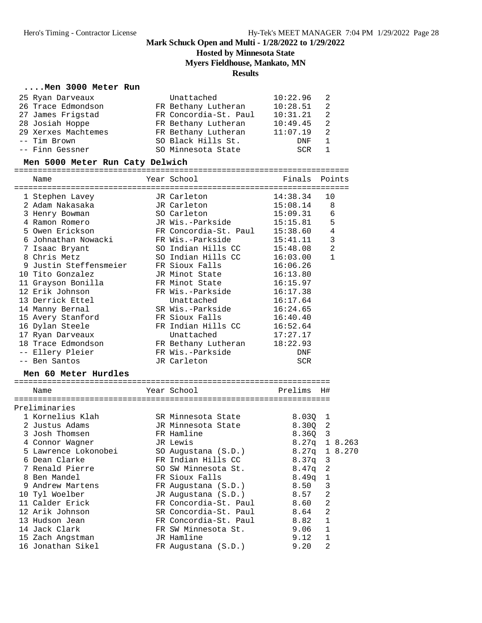## **Hosted by Minnesota State**

**Myers Fieldhouse, Mankato, MN**

#### **Results**

### **....Men 3000 Meter Run**

| 25 Ryan Darveaux    | Unattached            | 10:22.96 |   |
|---------------------|-----------------------|----------|---|
| 26 Trace Edmondson  | FR Bethany Lutheran   | 10:28.51 | 2 |
| 27 James Frigstad   | FR Concordia-St. Paul | 10:31.21 | 2 |
| 28 Josiah Hoppe     | FR Bethany Lutheran   | 10:49.45 | 2 |
| 29 Xerxes Machtemes | FR Bethany Lutheran   | 11:07.19 | 2 |
| -- Tim Brown        | SO Black Hills St.    | DNF      |   |
| -- Finn Gessner     | SO Minnesota State    | SCR      |   |

### **Men 5000 Meter Run Caty Delwich**

| Name                   | Year School           | Finals            | Points         |
|------------------------|-----------------------|-------------------|----------------|
| 1 Stephen Lavey        | JR Carleton           | 14:38.34          | 10             |
| 2 Adam Nakasaka        | JR Carleton           | 15:08.14          | 8              |
| 3 Henry Bowman         | SO Carleton           | 15:09.31          | 6              |
| 4 Ramon Romero         | JR Wis.-Parkside      | 15:15.81          | 5              |
| 5 Owen Erickson        | FR Concordia-St. Paul | 15:38.60          | 4              |
| 6 Johnathan Nowacki    | FR Wis.-Parkside      | 15:41.11          | $\mathbf{3}$   |
| 7 Isaac Bryant         | SO Indian Hills CC    | 15:48.08          | $\overline{a}$ |
| 8 Chris Metz           | SO Indian Hills CC    | 16:03.00          | $\mathbf{1}$   |
| 9 Justin Steffensmeier | FR Sioux Falls        | 16:06.26          |                |
| 10 Tito Gonzalez       | JR Minot State        | 16:13.80          |                |
| 11 Grayson Bonilla     | FR Minot State        | 16:15.97          |                |
| 12 Erik Johnson        | FR Wis.-Parkside      | 16:17.38          |                |
| 13 Derrick Ettel       | Unattached            | 16:17.64          |                |
| 14 Manny Bernal        | SR Wis.-Parkside      | 16:24.65          |                |
| 15 Avery Stanford      | FR Sioux Falls        | 16:40.40          |                |
| 16 Dylan Steele        | FR Indian Hills CC    | 16:52.64          |                |
| 17 Ryan Darveaux       | Unattached            | 17:27.17          |                |
| 18 Trace Edmondson     | FR Bethany Lutheran   | 18:22.93          |                |
| -- Ellery Pleier       | FR Wis.-Parkside      | <b>DNF</b>        |                |
| -- Ben Santos          | JR Carleton           | <b>SCR</b>        |                |
| Men 60 Meter Hurdles   |                       |                   |                |
|                        |                       |                   |                |
| Name                   | Year School           | Prelims           | H#             |
| Preliminaries          |                       |                   |                |
| 1 Kornelius Klah       | SR Minnesota State    | 8.030             | 1              |
| 2 Justus Adams         | JR Minnesota State    | 8.300             | $\overline{c}$ |
| 3 Josh Thomsen         | FR Hamline            | 8.360             | 3              |
| 4 Connor Wagner        | JR Lewis              | 8.27 <sub>q</sub> | 1 8.263        |
| 5 Lawrence Lokonobei   | SO Augustana (S.D.)   | 8.27q             | 1 8.270        |
| 6 Dean Clarke          | FR Indian Hills CC    | 8.37q             | 3              |
| 7 Renald Pierre        | SO SW Minnesota St.   | 8.47q             | 2              |
| 8 Ben Mandel           | FR Sioux Falls        | 8.49q             | 1              |
| 9 Andrew Martens       | FR Augustana (S.D.)   | 8.50              | 3              |
| 10 Tyl Woelber         | JR Augustana (S.D.)   | 8.57              | $\overline{2}$ |
| 11 Calder Erick        | FR Concordia-St. Paul | 8.60              | $\overline{a}$ |
| 12 Arik Johnson        | SR Concordia-St. Paul | 8.64              | $\overline{2}$ |
| 13 Hudson Jean         | FR Concordia-St. Paul | 8.82              | 1              |
| 14 Jack Clark          | FR SW Minnesota St.   | 9.06              | 1              |
| 15 Zach Angstman       | JR Hamline            | 9.12              | $\mathbf{1}$   |
| 16 Jonathan Sikel      | FR Augustana (S.D.)   | 9.20              | $\overline{2}$ |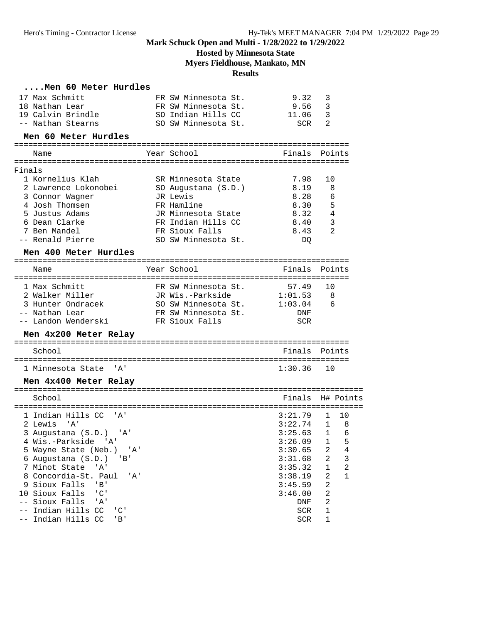**Hosted by Minnesota State**

**Myers Fieldhouse, Mankato, MN**

#### **Results**

### **....Men 60 Meter Hurdles**

|        | 17 Max Schmitt                                  | FR SW Minnesota St. | 9.32               | 3                        |
|--------|-------------------------------------------------|---------------------|--------------------|--------------------------|
|        | 18 Nathan Lear                                  | FR SW Minnesota St. | 9.56               | $\overline{3}$           |
|        | 19 Calvin Brindle                               | SO Indian Hills CC  | 11.06              | 3                        |
|        | -- Nathan Stearns                               | SO SW Minnesota St. | SCR                | 2                        |
|        | Men 60 Meter Hurdles                            |                     |                    |                          |
|        |                                                 |                     |                    |                          |
|        | Name                                            | Year School         |                    | Finals Points            |
| Finals |                                                 |                     |                    |                          |
|        | 1 Kornelius Klah                                | SR Minnesota State  | 7.98               | 10                       |
|        | 2 Lawrence Lokonobei                            | SO Augustana (S.D.) | 8.19               | 8                        |
|        | 3 Connor Wagner                                 | JR Lewis            | 8.28               | 6                        |
|        | 4 Josh Thomsen                                  | FR Hamline          | 8.30               | 5                        |
|        | 5 Justus Adams                                  | JR Minnesota State  | 8.32               | 4                        |
|        | 6 Dean Clarke                                   | FR Indian Hills CC  | 8.40               | 3                        |
|        | 7 Ben Mandel                                    | FR Sioux Falls      | 8.43               | 2                        |
|        | -- Renald Pierre                                | SO SW Minnesota St. | DO.                |                          |
|        | Men 400 Meter Hurdles                           |                     |                    |                          |
|        |                                                 |                     |                    |                          |
|        | Name                                            | Year School         | Finals             | Points                   |
|        | 1 Max Schmitt                                   | FR SW Minnesota St. | $57.49$            | 10                       |
|        | 2 Walker Miller                                 | JR Wis.-Parkside    | 1:01.53            | 8                        |
|        | 3 Hunter Ondracek                               | SO SW Minnesota St. | 1:03.04            | 6                        |
|        | -- Nathan Lear                                  | FR SW Minnesota St. | DNF                |                          |
|        | -- Landon Wenderski                             | FR Sioux Falls      | <b>SCR</b>         |                          |
|        | Men 4x200 Meter Relay                           |                     |                    |                          |
|        | School                                          |                     | Finals             | Points                   |
|        |                                                 |                     |                    |                          |
|        | 1 Minnesota State<br>. A'                       |                     | 1:30.36            | 10                       |
|        | Men 4x400 Meter Relay                           |                     |                    |                          |
|        |                                                 |                     |                    |                          |
|        | School                                          |                     | Finals             | H# Points                |
|        |                                                 |                     |                    |                          |
|        | 1 Indian Hills CC 'A'                           |                     | 3:21.79            | 10<br>$\mathbf{1}$       |
|        | 2 Lewis<br>' A '                                |                     | 3:22.74            | 1 8                      |
|        | 3 Augustana (S.D.) 'A'                          |                     | 3:25.63            | $\mathbf{1}$<br>6        |
|        | 4 Wis.-Parkside 'A'                             |                     | $3:26.09$ 1        | 5<br>2                   |
|        | 5 Wayne State (Neb.) 'A'                        |                     | 3:30.65            | 4<br>2                   |
|        | 6 Augustana (S.D.) 'B'<br>7 Minot State 'A'     |                     | 3:31.68<br>3:35.32 | 3<br>$\overline{c}$<br>1 |
|        | 8 Concordia-St. Paul<br>'A'                     |                     | 3:38.19            | 2<br>$\mathbf{1}$        |
|        | 9 Sioux Falls<br>$'$ B'                         |                     | 3:45.59            | $\overline{2}$           |
|        | 10 Sioux Falls<br>$C$ '                         |                     | 3:46.00            | 2                        |
|        | -- Sioux Falls<br>'A'                           |                     | DNF                | 2                        |
|        | -- Indian Hills CC<br>$^{\prime}$ C $^{\prime}$ |                     | SCR                | 1                        |
|        | -- Indian Hills CC 'B'                          |                     | <b>SCR</b>         | 1.                       |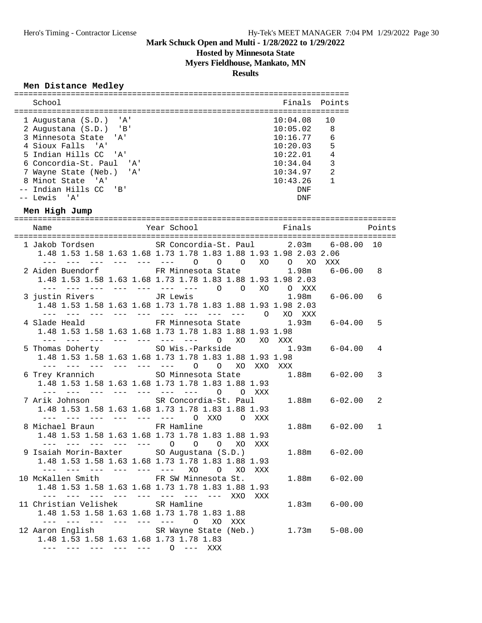## **Hosted by Minnesota State**

**Myers Fieldhouse, Mankato, MN**

#### **Results**

### **Men Distance Medley**

| School                   | Finals Points |                |
|--------------------------|---------------|----------------|
| 1 Augustana (S.D.) 'A'   | 10:04.08      | ີ 1 ດ          |
| 2 Augustana (S.D.) 'B'   | 10:05.02      | - 8            |
| 3 Minnesota State 'A'    | 10:16.77      | 6              |
| 4 Sioux Falls 'A'        | 10:20.03      | $\overline{5}$ |
| 5 Indian Hills CC 'A'    | 10:22.01      | $\overline{4}$ |
| 6 Concordia-St. Paul 'A' | 10:34.04      | ्२             |
| 7 Wayne State (Neb.) 'A' | 10:34.97      | $\mathcal{L}$  |
| 8 Minot State 'A'        | 10:43.26      |                |
| -- Indian Hills CC 'B'   | DNF           |                |
| $--$ Lewis 'A'           | DNF           |                |

### **Men High Jump**

| Name                             | Year School Tinals<br><b>Example 19</b> Points                                                                                                                          |   |
|----------------------------------|-------------------------------------------------------------------------------------------------------------------------------------------------------------------------|---|
|                                  | 1 Jakob Tordsen SR Concordia-St. Paul 2.03m 6-08.00 10<br>1.48 1.53 1.58 1.63 1.68 1.73 1.78 1.83 1.88 1.93 1.98 2.03 2.06<br>--- --- --- --- --- --- 0 0 0 x0 0 x0 xxx |   |
|                                  | 2 Aiden Buendorf FR Minnesota State 1.98m 6-06.00<br>1.48 1.53 1.58 1.63 1.68 1.73 1.78 1.83 1.88 1.93 1.98 2.03                                                        | 8 |
|                                  | --- --- --- --- --- --- --- 0 0 XO 0 XXX<br>3 justin Rivers TR Lewis<br>$6 - 06.00$<br>1.98m<br>1.48 1.53 1.58 1.63 1.68 1.73 1.78 1.83 1.88 1.93 1.98 2.03             | 6 |
|                                  | 4 Slade Heald FR Minnesota State 1.93m 6-04.00<br>1.48 1.53 1.58 1.63 1.68 1.73 1.78 1.83 1.88 1.93 1.98                                                                | 5 |
|                                  | --- --- --- --- --- --- --- - -0 XO XO XXX<br>5 Thomas Doherty SO Wis.-Parkside 1.93m 6-04.00<br>1.48 1.53 1.58 1.63 1.68 1.73 1.78 1.83 1.88 1.93 1.98                 | 4 |
|                                  | --- --- --- --- --- --- 0 0 XO XXO XXX<br>6 Trey Krannich SO Minnesota State 1.88m 6-02.00                                                                              | 3 |
|                                  | 1.48 1.53 1.58 1.63 1.68 1.73 1.78 1.83 1.88 1.93<br>--- --- --- --- --- --- --- 0 0 XXX<br>7 Arik Johnson SR Concordia-St. Paul<br>$1.88m$ $6-02.00$                   | 2 |
| 8 Michael Braun FR Hamline       | 1.48 1.53 1.58 1.63 1.68 1.73 1.78 1.83 1.88 1.93<br>--- --- --- --- --- --- 0 XX0 0 XXX                                                                                |   |
|                                  | $1.88m$ $6-02.00$<br>1.48 1.53 1.58 1.63 1.68 1.73 1.78 1.83 1.88 1.93<br>--- --- --- --- --- 0 0 0 XO XXX                                                              | 1 |
| and the the time and the state   | 9 Isaiah Morin-Baxter SO Augustana (S.D.)<br>$1.88m$ $6-02.00$<br>1.48 1.53 1.58 1.63 1.68 1.73 1.78 1.83 1.88 1.93<br>XO O XO XXX                                      |   |
|                                  | 10 McKallen Smith FR SW Minnesota St.<br>$1.88m$ $6-02.00$<br>1.48 1.53 1.58 1.63 1.68 1.73 1.78 1.83 1.88 1.93                                                         |   |
| 11 Christian Velishek SR Hamline | --- --- --- --- --- --- --- --- --- XXO XXX<br>$1.83m$ $6-00.00$<br>1.48 1.53 1.58 1.63 1.68 1.73 1.78 1.83 1.88                                                        |   |
|                                  | --- --- --- --- --- --- 0 XO XXX<br>12 Aaron English SR Wayne State (Neb.) 1.73m 5-08.00<br>1.48 1.53 1.58 1.63 1.68 1.73 1.78 1.83<br>--- --- --- --- --- 0 --- XXX    |   |
|                                  |                                                                                                                                                                         |   |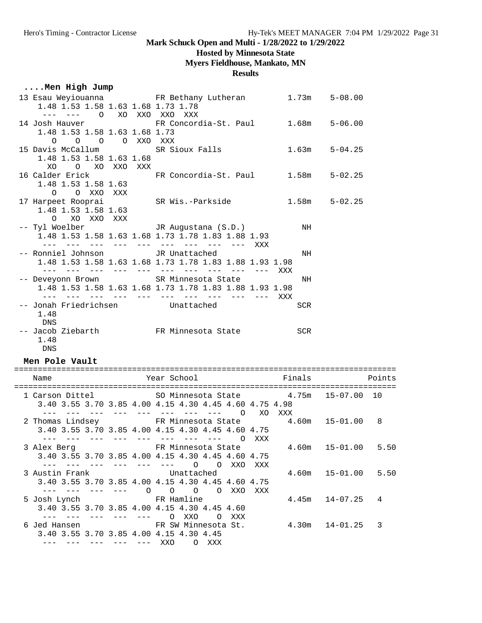## **Hosted by Minnesota State**

## **Myers Fieldhouse, Mankato, MN**

**Results**

# **....Men High Jump**<br>13 Esau Meviouanna

| 1.48 1.53 1.58 1.63 1.68 1.73 1.78                                                                                                                                          |                 | 13 Esau Weyiouanna FR Bethany Lutheran 1.73m 5-08.00                                                                                                  |        |              |        |
|-----------------------------------------------------------------------------------------------------------------------------------------------------------------------------|-----------------|-------------------------------------------------------------------------------------------------------------------------------------------------------|--------|--------------|--------|
| --- --- 0 XO XXO XXO XXX<br>14 Josh Hauver<br>1.48 1.53 1.58 1.63 1.68 1.73                                                                                                 |                 | FR Concordia-St. Paul 1.68m 5-06.00                                                                                                                   |        |              |        |
| 0 0 0 0 XXO XXX<br>1.48 1.53 1.58 1.63 1.68                                                                                                                                 |                 | 15 Davis McCallum SR Sioux Falls                                                                                                                      | 1.63m  | $5 - 04.25$  |        |
| XO O XO XXO XXX<br>1.48 1.53 1.58 1.63                                                                                                                                      |                 | 16 Calder Erick FR Concordia-St. Paul 1.58m                                                                                                           |        | $5 - 02.25$  |        |
| O O XXO XXX                                                                                                                                                                 |                 | 17 Harpeet Rooprai                 SR Wis.-Parkside<br>1.48 1.53 1.58 1.63                                                                            | 1.58m  | $5 - 02.25$  |        |
| O XO XXO XXX                                                                                                                                                                |                 | -- Tyl Woelber JR Augustana (S.D.)                                                                                                                    | NH     |              |        |
|                                                                                                                                                                             |                 | 1.48 1.53 1.58 1.63 1.68 1.73 1.78 1.83 1.88 1.93                                                                                                     |        |              |        |
| -- Ronniel Johnson <a> JR<br/> Unattached</a>                                                                                                                               |                 | 1.48 1.53 1.58 1.63 1.68 1.73 1.78 1.83 1.88 1.93 1.98                                                                                                | NH     |              |        |
|                                                                                                                                                                             |                 | -- Deveyonn Brown SR Minnesota State<br>1.48 1.53 1.58 1.63 1.68 1.73 1.78 1.83 1.88 1.93 1.98                                                        | NH     |              |        |
| -- Jonah Friedrichsen Mattached<br>1.48<br>DNS                                                                                                                              |                 |                                                                                                                                                       | SCR    |              |        |
| 1.48<br>DNS                                                                                                                                                                 |                 | -- Jacob Ziebarth           FR Minnesota State                                                                                                        | SCR    |              |        |
| Men Pole Vault                                                                                                                                                              |                 |                                                                                                                                                       |        |              |        |
| Name                                                                                                                                                                        |                 | Year School                                                                                                                                           | Finals |              | Points |
|                                                                                                                                                                             |                 | 1 Carson Dittel 50 Minnesota State 4.75m 15-07.00 10<br>3.40 3.55 3.70 3.85 4.00 4.15 4.30 4.45 4.60 4.75 4.98                                        |        |              |        |
|                                                                                                                                                                             |                 | --- --- --- --- --- --- --- --- 0 XO XXX<br>2 Thomas Lindsey FR Minnesota State 4.60m 15-01.00 8<br>3.40 3.55 3.70 3.85 4.00 4.15 4.30 4.45 4.60 4.75 |        |              |        |
| 3 Alex Berg                                                                                                                                                                 |                 | --- --- --- --- --- --- --- --- 0 XXX<br>FR Minnesota State<br>3.40 3.55 3.70 3.85 4.00 4.15 4.30 4.45 4.60 4.75                                      | 4.60m  | $15 - 01.00$ | 5.50   |
| 3 Austin Frank                                                                                                                                                              | and and and and | $\circ$<br>O XXO<br>XXX<br>Unattached<br>3.40 3.55 3.70 3.85 4.00 4.15 4.30 4.45 4.60 4.75                                                            | 4.60m  | $15 - 01.00$ | 5.50   |
| 5 Josh Lynch                                                                                                                                                                |                 | --- --- --- --- 0 0 0 0 XX0<br>XXX<br>FR Hamline<br>3.40 3.55 3.70 3.85 4.00 4.15 4.30 4.45 4.60                                                      | 4.45m  | $14 - 07.25$ | 4      |
| a waxaa waxaa ka dhaabaa ka dhaabaa lagu dhamaan iyo dhamaan iyo dhamaan iyo dhamaan iyo dhamaan iyo dhamaan iyo<br>6 Jed Hansen<br>3.40 3.55 3.70 3.85 4.00 4.15 4.30 4.45 | $   \,$         | O XXO<br>$\circ$<br>XXX<br>FR SW Minnesota St.                                                                                                        | 4.30m  | $14 - 01.25$ | 3      |

--- --- --- --- --- XXO O XXX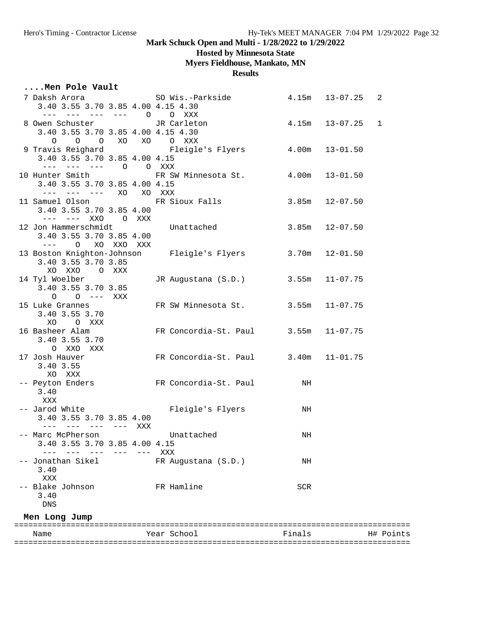## **Hosted by Minnesota State**

**Myers Fieldhouse, Mankato, MN**

**Results**

### **....Men Pole Vault**

| 3.40 3.55 3.70 3.85 4.00 4.15 4.30                                                                                                                                                                                                   |            | 7 Daksh Arora                           SO Wis.-Parkside | 4.15m | $13 - 07.25$       | $\overline{2}$ |
|--------------------------------------------------------------------------------------------------------------------------------------------------------------------------------------------------------------------------------------|------------|----------------------------------------------------------|-------|--------------------|----------------|
| $--- ---- ---- 0$                                                                                                                                                                                                                    |            | O XXX                                                    |       |                    |                |
| 8 Owen Schuster TR Carleton                                                                                                                                                                                                          |            |                                                          |       | $4.15m$ $13-07.25$ | $\mathbf{1}$   |
| 3.40 3.55 3.70 3.85 4.00 4.15 4.30                                                                                                                                                                                                   |            |                                                          |       |                    |                |
| O O XO XO O XXX<br>$\circ$                                                                                                                                                                                                           |            |                                                          |       |                    |                |
|                                                                                                                                                                                                                                      |            | 9 Travis Reighard Fleigle's Flyers                       | 4.00m | $13 - 01.50$       |                |
| 3.40 3.55 3.70 3.85 4.00 4.15                                                                                                                                                                                                        |            |                                                          |       |                    |                |
| --- --- --- 0 0 XXX                                                                                                                                                                                                                  |            |                                                          |       |                    |                |
| 10 Hunter Smith                                                                                                                                                                                                                      |            | FR SW Minnesota St. 4.00m                                |       | $13 - 01.50$       |                |
| 3.40 3.55 3.70 3.85 4.00 4.15                                                                                                                                                                                                        |            |                                                          |       |                    |                |
| --- --- --- XO                                                                                                                                                                                                                       |            | XO XXX                                                   |       |                    |                |
| 11 Samuel Olson                                                                                                                                                                                                                      |            | FR Sioux Falls                                           | 3.85m | $12 - 07.50$       |                |
| 3.40 3.55 3.70 3.85 4.00                                                                                                                                                                                                             |            |                                                          |       |                    |                |
| --- --- XXO O XXX                                                                                                                                                                                                                    |            |                                                          | 3.85m |                    |                |
| 12 Jon Hammerschmidt<br>3.40 3.55 3.70 3.85 4.00                                                                                                                                                                                     |            | Unattached                                               |       | $12 - 07.50$       |                |
| $\frac{1}{2} \left( \frac{1}{2} \left( \frac{1}{2} \right) - \frac{1}{2} \left( \frac{1}{2} \right) \right) + \frac{1}{2} \left( \frac{1}{2} \left( \frac{1}{2} \right) - \frac{1}{2} \left( \frac{1}{2} \right) \right)$<br>$\circ$ | XO XXO XXX |                                                          |       |                    |                |
|                                                                                                                                                                                                                                      |            | 13 Boston Knighton-Johnson        Fleigle's Flyers       | 3.70m | $12 - 01.50$       |                |
| 3.40 3.55 3.70 3.85                                                                                                                                                                                                                  |            |                                                          |       |                    |                |
| XO XXO O XXX                                                                                                                                                                                                                         |            |                                                          |       |                    |                |
| 14 Tyl Woelber                                                                                                                                                                                                                       |            | JR Augustana (S.D.)                                      | 3.55m | $11 - 07.75$       |                |
| 3.40 3.55 3.70 3.85                                                                                                                                                                                                                  |            |                                                          |       |                    |                |
| $0 \t 0 \t --- XXX$                                                                                                                                                                                                                  |            |                                                          |       |                    |                |
| 15 Luke Grannes                                                                                                                                                                                                                      |            | FR SW Minnesota St. 3.55m                                |       | $11 - 07.75$       |                |
| 3.40 3.55 3.70                                                                                                                                                                                                                       |            |                                                          |       |                    |                |
| O XXX<br>XO                                                                                                                                                                                                                          |            |                                                          |       |                    |                |
| 16 Basheer Alam                                                                                                                                                                                                                      |            | FR Concordia-St. Paul 3.55m                              |       | $11 - 07.75$       |                |
| 3.40 3.55 3.70                                                                                                                                                                                                                       |            |                                                          |       |                    |                |
| O XXO XXX                                                                                                                                                                                                                            |            |                                                          |       |                    |                |
| 17 Josh Hauver                                                                                                                                                                                                                       |            | FR Concordia-St. Paul 3.40m 11-01.75                     |       |                    |                |
| 3.40 3.55                                                                                                                                                                                                                            |            |                                                          |       |                    |                |
| XO XXX                                                                                                                                                                                                                               |            |                                                          |       |                    |                |
| -- Peyton Enders                                                                                                                                                                                                                     |            | FR Concordia-St. Paul                                    | NH    |                    |                |
| 3.40                                                                                                                                                                                                                                 |            |                                                          |       |                    |                |
| XXX                                                                                                                                                                                                                                  |            |                                                          |       |                    |                |
| -- Jarod White<br>3.40 3.55 3.70 3.85 4.00                                                                                                                                                                                           |            | Fleigle's Flyers                                         | NH    |                    |                |
| --- --- --- --- XXX                                                                                                                                                                                                                  |            |                                                          |       |                    |                |
| -- Marc McPherson                                                                                                                                                                                                                    |            | Unattached                                               | NH    |                    |                |
| 3.40 3.55 3.70 3.85 4.00 4.15                                                                                                                                                                                                        |            |                                                          |       |                    |                |
|                                                                                                                                                                                                                                      |            | XXX                                                      |       |                    |                |
| Jonathan Sikel                                                                                                                                                                                                                       |            | FR Augustana (S.D.)                                      | NH    |                    |                |
| 3.40                                                                                                                                                                                                                                 |            |                                                          |       |                    |                |
| XXX                                                                                                                                                                                                                                  |            |                                                          |       |                    |                |
| -- Blake Johnson                                                                                                                                                                                                                     |            | FR Hamline                                               | SCR   |                    |                |
| 3.40                                                                                                                                                                                                                                 |            |                                                          |       |                    |                |
| DNS                                                                                                                                                                                                                                  |            |                                                          |       |                    |                |
| Men Long Jump                                                                                                                                                                                                                        |            |                                                          |       |                    |                |
|                                                                                                                                                                                                                                      |            |                                                          |       |                    |                |

| Name | Year School | Finals | H# Points |
|------|-------------|--------|-----------|
|      |             |        |           |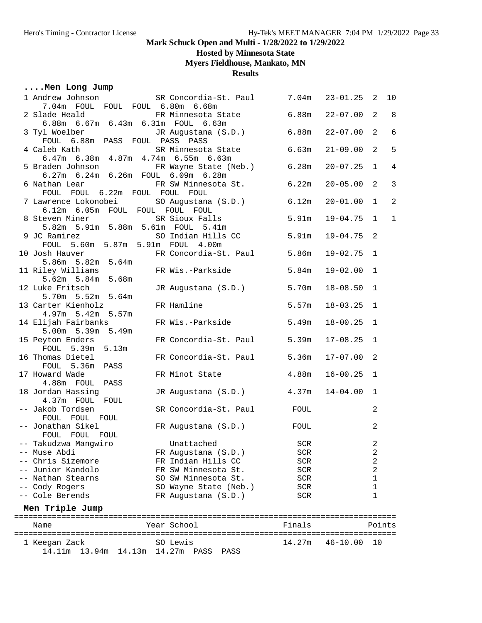## **Hosted by Minnesota State**

**Myers Fieldhouse, Mankato, MN**

**Results**

|  |  |  |  | Men Long Jump |  |
|--|--|--|--|---------------|--|
|--|--|--|--|---------------|--|

| 1 Andrew Johnson SR Concordia-St. Paul 7.04m                              |                             |            | $23 - 01.25$      | 2              | 10             |
|---------------------------------------------------------------------------|-----------------------------|------------|-------------------|----------------|----------------|
| 7.04m FOUL FOUL FOUL 6.80m 6.68m                                          |                             |            |                   |                |                |
| 2 Slade Heald                                                             | FR Minnesota State 6.88m    |            | $22 - 07.00$      | $\overline{a}$ | 8              |
| 6.88m 6.67m 6.43m 6.31m FOUL 6.63m                                        |                             |            | $22 - 07.00$      | 2              | 6              |
| 3 Tyl Woelber JR Augustana (S.D.) 6.88m<br>FOUL 6.88m PASS FOUL PASS PASS |                             |            |                   |                |                |
|                                                                           | SR Minnesota State 6.63m    |            | $21 - 09.00$      | 2              | 5              |
| 4 Caleb Kath<br>6.47m 6.38m 4.87m 4.74m 6.55m 6.63m                       |                             |            |                   |                |                |
| 5 Braden Johnson                                                          | FR Wayne State (Neb.) 6.28m |            | $20 - 07.25$      | $\mathbf{1}$   | $\overline{4}$ |
| 6.27m 6.24m 6.26m FOUL 6.09m 6.28m                                        |                             |            |                   |                |                |
| 6 Nathan Lear                                                             | FR SW Minnesota St. 6.22m   |            | $20 - 05.00$      | 2              | $\overline{3}$ |
| FOUL FOUL 6.22m FOUL FOUL FOUL                                            |                             |            |                   |                |                |
| 7 Lawrence Lokonobei SO Augustana (S.D.) 6.12m                            |                             |            | $20 - 01.00$      | $\mathbf{1}$   | 2              |
| 6.12m 6.05m FOUL FOUL FOUL FOUL                                           |                             |            |                   |                |                |
| 8 Steven Miner                                                            | SR Sioux Falls 5.91m        |            | $19 - 04.75$      | $\mathbf{1}$   | $\mathbf{1}$   |
| 5.82m 5.91m 5.88m 5.61m FOUL 5.41m                                        |                             |            |                   |                |                |
| 9 JC Ramirez                                                              | SO Indian Hills CC 5.91m    |            | 19-04.75          | 2              |                |
| FOUL 5.60m 5.87m 5.91m FOUL 4.00m                                         |                             |            |                   |                |                |
| 10 Josh Hauver FR Concordia-St. Paul 5.86m<br>5.86m 5.82m 5.64m           |                             |            | $19 - 02.75$      | $\mathbf{1}$   |                |
|                                                                           |                             |            |                   |                |                |
| 11 Riley Williams                                                         | FR Wis.-Parkside            | 5.84m      | $19 - 02.00$      | 1              |                |
| 5.62m 5.84m 5.68m                                                         | JR Augustana (S.D.) 5.70m   |            |                   | 1              |                |
| 12 Luke Fritsch<br>5.70m 5.52m 5.64m                                      |                             |            | $18 - 08.50$      |                |                |
| 13 Carter Kienholz                                                        | FR Hamline                  | 5.57m      | $18 - 03.25$      | $\mathbf 1$    |                |
| 4.97m 5.42m 5.57m                                                         |                             |            |                   |                |                |
| 14 Elijah Fairbanks KR Wis.-Parkside 5.49m                                |                             |            | $18 - 00.25$      | $\mathbf{1}$   |                |
| 5.00m 5.39m 5.49m                                                         |                             |            |                   |                |                |
| 15 Peyton Enders                                                          | FR Concordia-St. Paul 5.39m |            | $17 - 08.25$      | $\mathbf 1$    |                |
| FOUL 5.39m 5.13m                                                          |                             |            |                   |                |                |
| 16 Thomas Dietel                                                          | FR Concordia-St. Paul 5.36m |            | $17 - 07.00$      | 2              |                |
| FOUL 5.36m PASS                                                           |                             |            |                   |                |                |
| 17 Howard Wade                                                            | FR Minot State              | 4.88m      | $16 - 00.25$      | $\mathbf{1}$   |                |
| 4.88m FOUL PASS                                                           |                             |            |                   |                |                |
| 18 Jordan Hassing                                                         | JR Augustana (S.D.) 4.37m   |            | 14-04.00          | 1              |                |
| 4.37m FOUL FOUL                                                           |                             |            |                   |                |                |
| -- Jakob Tordsen                                                          | SR Concordia-St. Paul FOUL  |            |                   | $\overline{a}$ |                |
| FOUL FOUL FOUL<br>-- Jonathan Sikel                                       | FR Augustana (S.D.)         | FOUL       |                   | 2              |                |
| FOUL FOUL FOUL                                                            |                             |            |                   |                |                |
| -- Takudzwa Manqwiro                                                      | Unattached                  | <b>SCR</b> |                   | $\overline{c}$ |                |
| -- Muse Abdi                                                              | FR Augustana (S.D.)         | SCR        |                   | 2              |                |
| -- Chris Sizemore                                                         | FR Indian Hills CC          | SCR        |                   | 2              |                |
| -- Junior Kandolo                                                         | FR SW Minnesota St.         | SCR        |                   | 2              |                |
| Nathan Stearns                                                            | SO SW Minnesota St.         | SCR        |                   | 1              |                |
| -- Cody Rogers                                                            | SO Wayne State (Neb.)       | SCR        |                   | 1              |                |
| -- Cole Berends                                                           | FR Augustana (S.D.)         | SCR        |                   | 1              |                |
| Men Triple Jump                                                           |                             |            |                   |                |                |
| =========================                                                 | ===================         |            | ================= |                |                |
| Name                                                                      | Year School                 | Finals     |                   | Points         |                |
| 1 Keegan Zack                                                             | SO Lewis                    | 14.27m     | $46 - 10.00$      | 10             |                |
| 14.11m<br>13.94m<br>14.13m                                                | 14.27m<br>PASS<br>PASS      |            |                   |                |                |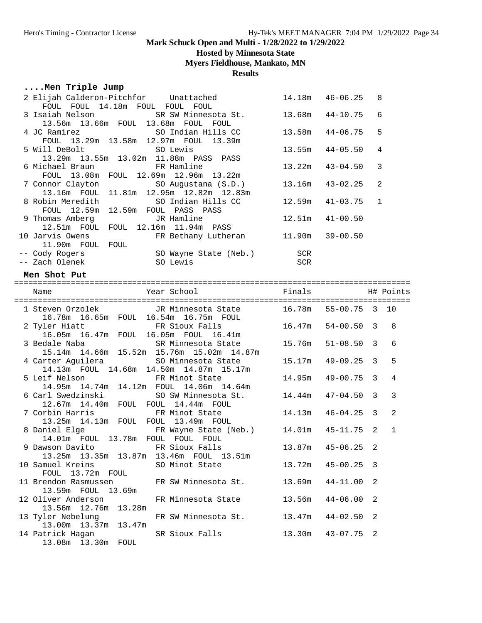### **Hosted by Minnesota State**

**Myers Fieldhouse, Mankato, MN**

#### **Results**

### **....Men Triple Jump**

13.00m 13.37m 13.47m

13.08m 13.30m FOUL

| 2 Elijah Calderon-Pitchfor Unattached<br>FOUL FOUL 14.18m FOUL FOUL FOUL | 14.18m                | $46 - 06.25$ | 8                 |
|--------------------------------------------------------------------------|-----------------------|--------------|-------------------|
| 3 Isaiah Nelson SR SW Minnesota St. 13.68m                               |                       | $44 - 10.75$ | 6                 |
| 13.56m  13.66m  FOUL  13.68m  FOUL  FOUL                                 |                       |              |                   |
| 4 JC Ramirez SO Indian Hills CC                                          | 13.58m                | $44 - 06.75$ | 5                 |
| FOUL 13.29m 13.58m 12.97m FOUL 13.39m                                    |                       |              |                   |
| SO Lewis<br>5 Will DeBolt                                                | 13.55m                | $44 - 05.50$ | 4                 |
| 13.29m  13.55m  13.02m  11.88m  PASS  PASS                               |                       |              |                   |
| 6 Michael Braun<br>FR Hamline                                            | 13.22m                | $43 - 04.50$ | 3                 |
| FOUL 13.08m FOUL 12.69m 12.96m 13.22m                                    |                       |              |                   |
| 7 Connor Clayton<br>SO Augustana (S.D.)                                  | 13.16m                | $43 - 02.25$ | 2                 |
| 13.16m FOUL 11.81m 12.95m 12.82m 12.83m                                  |                       |              |                   |
| 8 Robin Meredith SO Indian Hills CC                                      | 12.59m                | $41 - 03.75$ | $\mathbf{1}$      |
| FOUL 12.59m 12.59m FOUL PASS PASS                                        |                       |              |                   |
| 9 Thomas Amberg<br>JR Hamline                                            | 12.51m                | $41 - 00.50$ |                   |
| 12.51m FOUL FOUL 12.16m 11.94m PASS                                      |                       |              |                   |
| 10 Jarvis Owens<br>FR Bethany Lutheran 11.90m<br>11.90m FOUL FOUL        |                       | $39 - 00.50$ |                   |
|                                                                          | <b>SCR</b>            |              |                   |
|                                                                          | SCR                   |              |                   |
|                                                                          |                       |              |                   |
| Men Shot Put                                                             |                       |              |                   |
|                                                                          |                       |              |                   |
| Year School<br>Name                                                      |                       |              |                   |
| 1 Steven Orzolek JR Minnesota State 16.78m 55-00.75 3                    |                       |              | 10                |
| 16.78m  16.65m  FOUL  16.54m  16.75m  FOUL                               |                       |              |                   |
| 2 Tyler Hiatt<br>FR Sioux Falls                                          | $16.47m$ $54-00.50$ 3 |              | 8                 |
| 16.05m  16.47m  FOUL  16.05m  FOUL  16.41m                               |                       |              |                   |
| SR Minnesota State 15.76m<br>3 Bedale Naba                               |                       | $51 - 08.50$ | 3<br>6            |
| 15.14m  14.66m  15.52m  15.76m  15.02m  14.87m                           |                       |              |                   |
| 4 Carter Aguilera 60 SO Minnesota State                                  | 15.17m                | $49 - 09.25$ | $\mathbf{3}$<br>5 |
| 14.13m FOUL 14.68m 14.50m 14.87m 15.17m                                  |                       |              |                   |
| 5 Leif Nelson FR Minot State                                             | 14.95m                | $49 - 00.75$ | $\mathbf{3}$<br>4 |
| 14.95m  14.74m  14.12m  FOUL  14.06m  14.64m                             |                       |              |                   |
| 6 Carl Swedzinski SO SW Minnesota St. 14.44m                             |                       | 47-04.50     | 3<br>3            |
| 12.67m  14.40m  FOUL  FOUL  14.44m  FOUL                                 |                       |              |                   |
| FR Minot State<br>7 Corbin Harris                                        | 14.13m                | 46-04.25     | 2<br>3            |
| 13.25m  14.13m  FOUL  FOUL  13.49m  FOUL                                 |                       |              |                   |
| 8 Daniel Elge<br>FR Wayne State (Neb.) 14.01m                            |                       | 45-11.75     | 2<br>$\mathbf{1}$ |
| 14.01m FOUL 13.78m FOUL FOUL FOUL                                        |                       |              |                   |
| 9 Dawson Davito           FR Sioux Falls           13.87m   45-06.25   2 |                       |              |                   |
| 13.25m 13.35m 13.87m 13.46m FOUL 13.51m                                  |                       |              |                   |
| 10 Samuel Kreins<br>SO Minot State                                       | 13.72m                | $45 - 00.25$ | 3                 |
| FOUL<br>13.72m FOUL                                                      |                       |              |                   |
| 11 Brendon Rasmussen<br>FR SW Minnesota St.                              | 13.69m                | $44 - 11.00$ | 2                 |
|                                                                          |                       |              |                   |
| 13.59m FOUL<br>13.69m                                                    |                       |              |                   |
| 12 Oliver Anderson<br>FR Minnesota State                                 | 13.56m                | $44 - 06.00$ | 2                 |
| 13.56m 12.76m 13.28m<br>13 Tyler Nebelung<br>FR SW Minnesota St.         | 13.47m                | $44 - 02.50$ | 2                 |

14 Patrick Hagan SR Sioux Falls 13.30m 43-07.75 2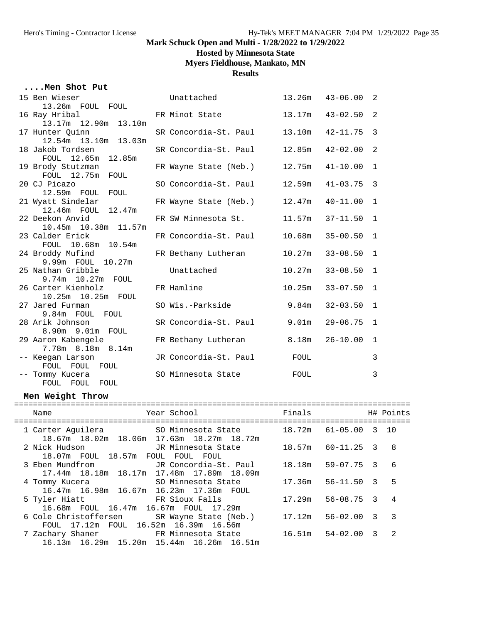**Hosted by Minnesota State**

**Myers Fieldhouse, Mankato, MN**

**Results**

### **....Men Shot Put**

| 15 Ben Wieser                      | Unattached                            |             | $13.26m$ $43-06.00$ | 2                        |
|------------------------------------|---------------------------------------|-------------|---------------------|--------------------------|
| 13.26m FOUL FOUL                   |                                       |             |                     |                          |
| 16 Ray Hribal                      | FR Minot State                        |             | $13.17m$ $43-02.50$ | 2                        |
| 13.17m  12.90m  13.10m             |                                       |             |                     |                          |
| 17 Hunter Quinn                    | SR Concordia-St. Paul                 |             | $13.10m$ $42-11.75$ | 3                        |
| nter guinn<br>12.54m 13.10m 13.03m |                                       |             |                     |                          |
| 18 Jakob Tordsen                   | SR Concordia-St. Paul                 | 12.85m      | $42 - 02.00$        | 2                        |
| FOUL 12.65m 12.85m                 |                                       |             |                     |                          |
| 19 Brody Stutzman                  | FR Wayne State (Neb.)                 | 12.75m      | $41 - 10.00$        | $\mathbf{1}$             |
| FOUL 12.75m FOUL                   |                                       |             |                     |                          |
| 20 CJ Picazo                       | SO Concordia-St. Paul 12.59m 41-03.75 |             |                     | $\overline{\phantom{a}}$ |
| 12.59m FOUL FOUL                   |                                       |             |                     |                          |
| 21 Wyatt Sindelar                  | FR Wayne State (Neb.) 12.47m 40-11.00 |             |                     | $\mathbf 1$              |
| 12.46m FOUL 12.47m                 |                                       |             |                     |                          |
| 22 Deekon Anvid                    | FR SW Minnesota St.                   | 11.57m      | $37 - 11.50$        | 1                        |
| 10.45m  10.38m  11.57m             |                                       |             |                     |                          |
| 23 Calder Erick                    | FR Concordia-St. Paul                 | 10.68m      | $35 - 00.50$        | $\mathbf{1}$             |
| FOUL 10.68m 10.54m                 |                                       |             |                     |                          |
| 24 Broddy Mufind                   | FR Bethany Lutheran                   | 10.27m      | $33 - 08.50$        | $\mathbf{1}$             |
| 9.99m FOUL 10.27m                  |                                       |             |                     |                          |
| 25 Nathan Gribble                  | Unattached                            | 10.27m      | $33 - 08.50$        | $\mathbf{1}$             |
| 9.74m 10.27m FOUL                  |                                       |             |                     |                          |
| 26 Carter Kienholz                 | FR Hamline                            | 10.25m      | $33 - 07.50$        | $\mathbf{1}$             |
| 10.25m 10.25m FOUL                 |                                       |             |                     |                          |
| 27 Jared Furman                    | SO Wis.-Parkside                      | 9.84m       | $32 - 03.50$        | $\mathbf{1}$             |
| 9.84m FOUL FOUL                    |                                       |             |                     |                          |
| 28 Arik Johnson                    | SR Concordia-St. Paul                 | 9.01m       | $29 - 06.75$        | $\mathbf{1}$             |
| 8.90m 9.01m FOUL                   |                                       |             |                     |                          |
| 29 Aaron Kabengele                 | FR Bethany Lutheran                   |             | $8.18m$ $26-10.00$  | 1                        |
| 7.78m 8.18m 8.14m                  |                                       |             |                     |                          |
| -- Keegan Larson                   | JR Concordia-St. Paul                 | <b>FOUL</b> |                     | $\mathbf{3}$             |
| FOUL FOUL FOUL                     |                                       |             |                     |                          |
| -- Tommy Kucera                    | SO Minnesota State                    | FOUL        |                     | 3                        |
| FOUL FOUL FOUL                     |                                       |             |                     |                          |

### **Men Weight Throw**

| Year School<br>Name<br>----------------------------<br>----------------                                                  | Finals                     |   | H# Points      |
|--------------------------------------------------------------------------------------------------------------------------|----------------------------|---|----------------|
| 1 Carter Aguilera 50 Minnesota State 18.72m 61-05.00 3 10<br>18.67m 18.02m 18.06m 17.63m 18.27m 18.72m                   |                            |   |                |
| 2 Nick Hudson<br>JR Minnesota State<br>18.07m FOUL 18.57m FOUL FOUL<br>FOUL                                              | 18.57m 60-11.25 3 8        |   |                |
| 3 Eben Mundfrom           JR Concordia-St. Paul       18.18m   59-07.75   3<br>17.44m 18.18m 18.17m 17.48m 17.89m 18.09m |                            |   | 6              |
| SO Minnesota State<br>4 Tommy Kucera<br>16.47m 16.98m 16.67m 16.23m 17.36m FOUL                                          | 56-11.50 3<br>17.36m       |   | 5              |
| FR Sioux Falls<br>5 Tyler Hiatt<br>16.68m FOUL 16.47m 16.67m FOUL 17.29m                                                 | 56-08.75 3<br>17.29m       |   | $\overline{4}$ |
| 6 Cole Christoffersen SR Wayne State (Neb.)<br>FOUL 17.12m FOUL 16.52m 16.39m 16.56m                                     | $56 - 02.00$ 3 3<br>17.12m |   |                |
| 7 Zachary Shaner FR Minnesota State 16.51m 54-02.00<br>16.13m 16.29m 15.20m 15.44m 16.26m 16.51m                         |                            | 3 | $\mathcal{D}$  |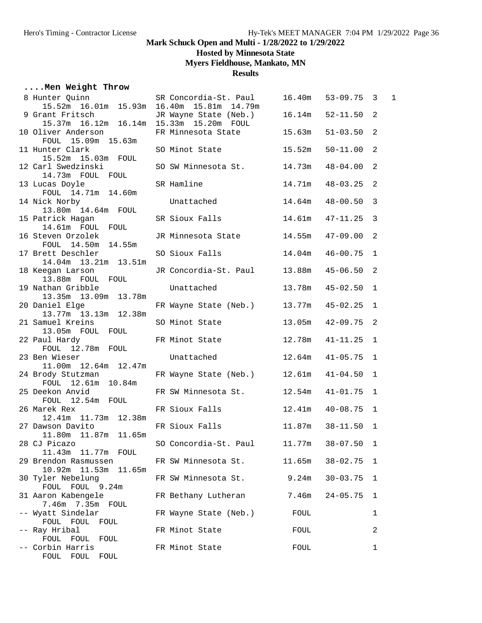**Hosted by Minnesota State**

**Myers Fieldhouse, Mankato, MN**

**Results**

## **....Men Weight Throw**

| 8 Hunter Quinn SR Concordia-St. Paul<br>15.52m 16.01m 15.93m 16.40m 15.81m 14.79m | SR Concordia-St. Paul                   |        | $16.40m$ $53-09.75$ 3 |     | $\mathbf{1}$ |
|-----------------------------------------------------------------------------------|-----------------------------------------|--------|-----------------------|-----|--------------|
| 9 Grant Fritsch<br>15.37m  16.12m  16.14m  15.33m  15.20m  FOUL                   | JR Wayne State (Neb.) 16.14m            |        | $52 - 11.50$ 2        |     |              |
| 10 Oliver Anderson<br>FOUL 15.09m 15.63m                                          | FR Minnesota State 15.63m               |        | $51 - 03.50$ 2        |     |              |
| 11 Hunter Clark<br>15.52m  15.03m  FOUL                                           | SO Minot State                          | 15.52m | $50 - 11.00$ 2        |     |              |
| 12 Carl Swedzinski<br>14.73m FOUL FOUL                                            | SO SW Minnesota St. 14.73m              |        | $48 - 04.00$ 2        |     |              |
| 13 Lucas Doyle<br>FOUL 14.71m 14.60m                                              | SR Hamline                              | 14.71m | $48 - 03.25$ 2        |     |              |
| 14 Nick Norby<br>13.80m  14.64m  FOUL                                             | Unattached                              | 14.64m | $48 - 00.50$ 3        |     |              |
| 15 Patrick Hagan<br>14.61m FOUL FOUL                                              | SR Sioux Falls                          | 14.61m | $47 - 11.25$ 3        |     |              |
| 16 Steven Orzolek<br>FOUL 14.50m 14.55m                                           | JR Minnesota State                      | 14.55m | $47 - 09.00$ 2        |     |              |
| 17 Brett Deschler<br>14.04m  13.21m  13.51m                                       | SO Sioux Falls                          | 14.04m | $46 - 00.75$ 1        |     |              |
| 18 Keegan Larson<br>13.88m FOUL FOUL                                              | JR Concordia-St. Paul 13.88m            |        | $45 - 06.50$ 2        |     |              |
| 19 Nathan Gribble<br>13.35m 13.09m 13.78m                                         | Unattached                              | 13.78m | $45 - 02.50$ 1        |     |              |
| 20 Daniel Elge<br>13.77m 13.13m 12.38m                                            | FR Wayne State (Neb.) 13.77m 45-02.25 1 |        |                       |     |              |
| 21 Samuel Kreins<br>13.05m FOUL FOUL                                              | SO Minot State                          | 13.05m | $42 - 09.75$ 2        |     |              |
| 22 Paul Hardy<br>FOUL 12.78m FOUL                                                 | FR Minot State                          | 12.78m | $41 - 11.25$ 1        |     |              |
| 23 Ben Wieser<br>11.00m  12.64m  12.47m                                           | Unattached                              | 12.64m | $41 - 05.75$ 1        |     |              |
| 24 Brody Stutzman<br>FOUL 12.61m 10.84m                                           | FR Wayne State (Neb.) 12.61m            |        | $41 - 04.50$ 1        |     |              |
| 25 Deekon Anvid<br>FOUL 12.54m FOUL                                               | FR SW Minnesota St. 12.54m              |        | $41 - 01.75$ 1        |     |              |
| 26 Marek Rex<br>12.41m  11.73m  12.38m                                            | FR Sioux Falls                          | 12.41m | 40-08.75 1            |     |              |
| 27 Dawson Davito<br>11.80m  11.87m  11.65m                                        | FR Sioux Falls                          | 11.87m | $38 - 11.50$ 1        |     |              |
| 28 CJ Picazo<br>11.43m<br>11.77m<br>FOUL                                          | SO Concordia-St. Paul                   | 11.77m | $38 - 07.50$          | - 1 |              |
| 29 Brendon Rasmussen<br>10.92m 11.53m<br>11.65m                                   | FR SW Minnesota St.                     | 11.65m | $38 - 02.75$          | 1   |              |
| 30 Tyler Nebelung<br>FOUL FOUL 9.24m                                              | FR SW Minnesota St.                     | 9.24m  | $30 - 03.75$          | 1   |              |
| 31 Aaron Kabengele<br>7.46m 7.35m FOUL                                            | FR Bethany Lutheran                     | 7.46m  | $24 - 05.75$          | 1   |              |
| -- Wyatt Sindelar<br>FOUL FOUL<br>FOUL                                            | FR Wayne State (Neb.)                   | FOUL   |                       | 1   |              |
| -- Ray Hribal<br>FOUL<br>FOUL<br>FOUL                                             | FR Minot State                          | FOUL   |                       | 2   |              |
| -- Corbin Harris<br>FOUL FOUL FOUL                                                | FR Minot State                          | FOUL   |                       | 1   |              |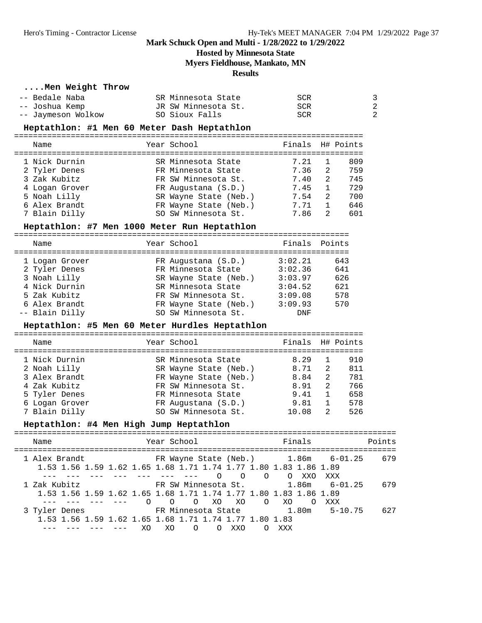**Hosted by Minnesota State**

**Myers Fieldhouse, Mankato, MN**

#### **Results**

#### **....Men Weight Throw**

| -- Bedale Naba     | SR Minnesota State  | SCR |    |
|--------------------|---------------------|-----|----|
| -- Joshua Kemp     | JR SW Minnesota St. | SCR | -2 |
| -- Jaymeson Wolkow | SO Sioux Falls      | SCR | -2 |

#### **Heptathlon: #1 Men 60 Meter Dash Heptathlon**

==========================================================================

| Name           | Year School           | Finals H# Points |    |     |
|----------------|-----------------------|------------------|----|-----|
| 1 Nick Durnin  | SR Minnesota State    | 7.21             |    | 809 |
| 2 Tyler Denes  | FR Minnesota State    | 7.36             | -2 | 759 |
| 3 Zak Kubitz   | FR SW Minnesota St.   | 7.40             | 2  | 745 |
| 4 Logan Grover | FR Augustana (S.D.)   | 7.45             |    | 729 |
| 5 Noah Lilly   | SR Wayne State (Neb.) | 7.54             | 2  | 700 |
| 6 Alex Brandt  | FR Wayne State (Neb.) | 7.71             |    | 646 |
| 7 Blain Dilly  | SO SW Minnesota St.   | 7.86             | 2  | 601 |

#### **Heptathlon: #7 Men 1000 Meter Run Heptathlon**

| Name           | Year School           | Finals Points |     |
|----------------|-----------------------|---------------|-----|
| 1 Logan Grover | FR Augustana (S.D.)   | 3:02.21       | 643 |
| 2 Tyler Denes  | FR Minnesota State    | 3:02.36       | 641 |
| 3 Noah Lilly   | SR Wayne State (Neb.) | 3:03.97       | 626 |
| 4 Nick Durnin  | SR Minnesota State    | 3:04.52       | 621 |
| 5 Zak Kubitz   | FR SW Minnesota St.   | 3:09.08       | 578 |
| 6 Alex Brandt  | FR Wayne State (Neb.) | 3:09.93       | 570 |
| -- Blain Dilly | SO SW Minnesota St.   | DNF           |     |

#### **Heptathlon: #5 Men 60 Meter Hurdles Heptathlon**

========================================================================== Name The Year School Team Points H# Points

| 1 Nick Durnin  | SR Minnesota State    | 8.29  |                | 910 |
|----------------|-----------------------|-------|----------------|-----|
| 2 Noah Lilly   | SR Wayne State (Neb.) | 8.71  | 2              | 811 |
| 3 Alex Brandt  | FR Wayne State (Neb.) | 8.84  | $\overline{2}$ | 781 |
| 4 Zak Kubitz   | FR SW Minnesota St.   | 8.91  | 2              | 766 |
| 5 Tyler Denes  | FR Minnesota State    | 9.41  |                | 658 |
| 6 Logan Grover | FR Augustana (S.D.)   | 9.81  | $\sim$ 1       | 578 |
| 7 Blain Dilly  | SO SW Minnesota St.   | 10.08 | 2              | 526 |

#### **Heptathlon: #4 Men High Jump Heptathlon**

| Name                                                                                         | Year School                                | Finals                                                                 | Points |
|----------------------------------------------------------------------------------------------|--------------------------------------------|------------------------------------------------------------------------|--------|
| 1 Alex Brandt<br>1.53 1.56 1.59 1.62 1.65 1.68 1.71 1.74 1.77 1.80 1.83 1.86 1.89            | $\Omega$<br>$\Omega$                       | FR Wayne State (Neb.) 1.86m 6-01.25<br>$\circ$ $\circ$<br>XXX<br>XXO   | 679    |
| 1 Zak Kubitz<br>1.53 1.56 1.59 1.62 1.65 1.68 1.71 1.74 1.77 1.80 1.83 1.86 1.89<br>$\Omega$ | $O$ $O$ $XO$<br>XO                         | FR SW Minnesota St. 1.86m 6-01.25<br>$\Omega$<br>XO<br>XXX<br>$\Omega$ | 679    |
| 3 Tyler Denes<br>1.53 1.56 1.59 1.62 1.65 1.68 1.71 1.74 1.77 1.80 1.83<br>XO.               | FR Minnesota State<br>XO.<br>∩<br>XXO<br>∩ | 1.80m<br>$5 - 10.75$<br>xxx                                            | 627    |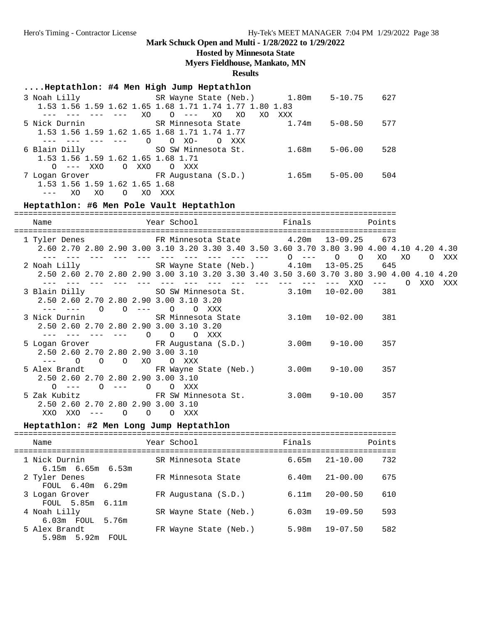### **Hosted by Minnesota State**

**Myers Fieldhouse, Mankato, MN**

### **Results**

## **....Heptathlon: #4 Men High Jump Heptathlon**

| 3 Noah Lilly                                 | SR Wayne State (Neb.) 1.80m                            |       | $5 - 10.75$ | 627 |
|----------------------------------------------|--------------------------------------------------------|-------|-------------|-----|
|                                              | 1.53 1.56 1.59 1.62 1.65 1.68 1.71 1.74 1.77 1.80 1.83 |       |             |     |
| XO                                           | XO<br>XO<br>XO.<br>$O \t---$                           | XXX   |             |     |
| 5 Nick Durnin                                | SR Minnesota State                                     | 1.74m | $5 - 08.50$ | 577 |
| 1.53 1.56 1.59 1.62 1.65 1.68 1.71 1.74 1.77 |                                                        |       |             |     |
| $\Omega$                                     | $O$ XO-<br>$\circ$<br>xxx                              |       |             |     |
| 6 Blain Dilly                                | SO SW Minnesota St.                                    | 1.68m | $5 - 06.00$ | 528 |
| 1.53 1.56 1.59 1.62 1.65 1.68 1.71           |                                                        |       |             |     |
| O XXO<br>$O = - -$ XXO                       | O XXX                                                  |       |             |     |
| 7 Logan Grover                               | FR Augustana (S.D.)                                    | 1.65m | $5 - 05.00$ | 504 |
| 1.53 1.56 1.59 1.62 1.65 1.68                |                                                        |       |             |     |
| XO<br>XO<br>$\Omega$<br>XO                   | XXX                                                    |       |             |     |

### **Heptathlon: #6 Men Pole Vault Heptathlon**

| Name                               |  | Year School Tinals                                                                           |             | Points                                                                                                                                                                                                                                                                                                                                                                                       |         |         |
|------------------------------------|--|----------------------------------------------------------------------------------------------|-------------|----------------------------------------------------------------------------------------------------------------------------------------------------------------------------------------------------------------------------------------------------------------------------------------------------------------------------------------------------------------------------------------------|---------|---------|
|                                    |  | 1 Tyler Denes FR Minnesota State 4.20m 13-09.25 673                                          |             |                                                                                                                                                                                                                                                                                                                                                                                              |         |         |
|                                    |  | 2.60 2.70 2.80 2.90 3.00 3.10 3.20 3.30 3.40 3.50 3.60 3.70 3.80 3.90 4.00 4.10 4.20 4.30    |             |                                                                                                                                                                                                                                                                                                                                                                                              |         |         |
|                                    |  | --- --- --- --- --- 0 --- 0 0 XO XO<br>2 Noah Lilly SR Wayne State (Neb.) 4.10m 13-05.25 645 |             |                                                                                                                                                                                                                                                                                                                                                                                              |         | O XXX   |
|                                    |  | 2.50 2.60 2.70 2.80 2.90 3.00 3.10 3.20 3.30 3.40 3.50 3.60 3.70 3.80 3.90 4.00 4.10 4.20    |             |                                                                                                                                                                                                                                                                                                                                                                                              |         |         |
|                                    |  |                                                                                              | ––– ––– XXO | $\frac{1}{2} \frac{1}{2} \frac{1}{2} \frac{1}{2} \frac{1}{2} \frac{1}{2} \frac{1}{2} \frac{1}{2} \frac{1}{2} \frac{1}{2} \frac{1}{2} \frac{1}{2} \frac{1}{2} \frac{1}{2} \frac{1}{2} \frac{1}{2} \frac{1}{2} \frac{1}{2} \frac{1}{2} \frac{1}{2} \frac{1}{2} \frac{1}{2} \frac{1}{2} \frac{1}{2} \frac{1}{2} \frac{1}{2} \frac{1}{2} \frac{1}{2} \frac{1}{2} \frac{1}{2} \frac{1}{2} \frac{$ | $\circ$ | XXO XXX |
|                                    |  | 3 Blain Dilly SO SW Minnesota St. 3.10m 10-02.00 381                                         |             |                                                                                                                                                                                                                                                                                                                                                                                              |         |         |
|                                    |  | 2.50 2.60 2.70 2.80 2.90 3.00 3.10 3.20                                                      |             |                                                                                                                                                                                                                                                                                                                                                                                              |         |         |
|                                    |  | --- --- 0 0 --- 0 0 XXX                                                                      |             |                                                                                                                                                                                                                                                                                                                                                                                              |         |         |
|                                    |  | 3 Nick Durnin             SR Minnesota State         3.10m   10-02.00     381                |             |                                                                                                                                                                                                                                                                                                                                                                                              |         |         |
|                                    |  | 2.50 2.60 2.70 2.80 2.90 3.00 3.10 3.20                                                      |             |                                                                                                                                                                                                                                                                                                                                                                                              |         |         |
|                                    |  | --- --- --- --- 0 0 0 XXX                                                                    |             |                                                                                                                                                                                                                                                                                                                                                                                              |         |         |
|                                    |  | 5 Logan Grover FR Augustana (S.D.) 3.00m 9-10.00 357                                         |             |                                                                                                                                                                                                                                                                                                                                                                                              |         |         |
| 2.50 2.60 2.70 2.80 2.90 3.00 3.10 |  |                                                                                              |             |                                                                                                                                                                                                                                                                                                                                                                                              |         |         |
| --- 0 0 0 XO 0 XXX                 |  |                                                                                              |             |                                                                                                                                                                                                                                                                                                                                                                                              |         |         |
| 2.50 2.60 2.70 2.80 2.90 3.00 3.10 |  | 5 Alex Brandt 6. FR Wayne State (Neb.) 3.00m 9-10.00 357                                     |             |                                                                                                                                                                                                                                                                                                                                                                                              |         |         |
| $O \qquad -- -$                    |  | 0 --- 0 0 XXX                                                                                |             |                                                                                                                                                                                                                                                                                                                                                                                              |         |         |
|                                    |  | 5 Zak Kubitz 6 157 FR SW Minnesota St. 3.00m 9-10.00 357                                     |             |                                                                                                                                                                                                                                                                                                                                                                                              |         |         |
| 2.50 2.60 2.70 2.80 2.90 3.00 3.10 |  |                                                                                              |             |                                                                                                                                                                                                                                                                                                                                                                                              |         |         |
| XXO XXO --- O O O XXX              |  |                                                                                              |             |                                                                                                                                                                                                                                                                                                                                                                                              |         |         |

### **Heptathlon: #2 Men Long Jump Heptathlon**

| Name                                     | Year School           | Finals                | Points |
|------------------------------------------|-----------------------|-----------------------|--------|
| 1 Nick Durnin<br>$6.15m$ $6.65m$ $6.53m$ | SR Minnesota State    | $21 - 10.00$<br>6.65m | 732    |
| 2 Tyler Denes<br>$FOULL$ 6.40m 6.29m     | FR Minnesota State    | $21 - 00.00$<br>6.40m | 675    |
| 3 Logan Grover<br>FOUL 5.85m 6.11m       | FR Augustana (S.D.)   | $20 - 00.50$<br>6.11m | 610    |
| 4 Noah Lilly<br>6.03m FOUL 5.76m         | SR Wayne State (Neb.) | $19 - 09.50$<br>6.03m | 593    |
| 5 Alex Brandt<br>5.98m 5.92m<br>FOUL     | FR Wayne State (Neb.) | $19 - 07.50$<br>5.98m | 582    |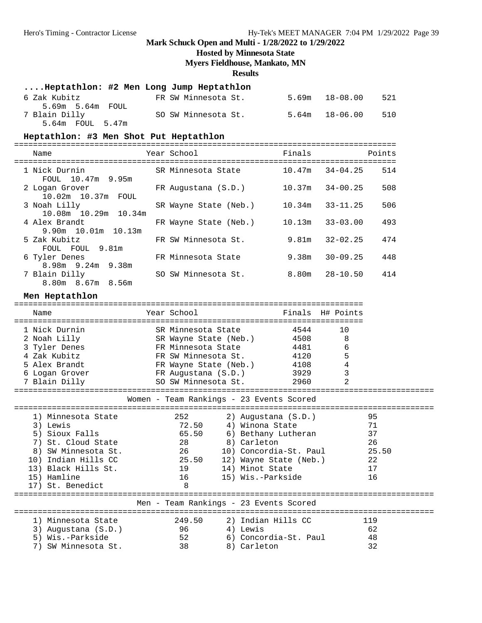#### **Hosted by Minnesota State**

**Myers Fieldhouse, Mankato, MN**

#### **Results**

| Heptathlon: #2 Men Long Jump Heptathlon |  |  |  |  |  |
|-----------------------------------------|--|--|--|--|--|
|-----------------------------------------|--|--|--|--|--|

| 6 Zak Kubitz                      | FR SW Minnesota St. | 521<br>5.69m 18-08.00     |
|-----------------------------------|---------------------|---------------------------|
| 5.69m 5.64m FOUL<br>7 Blain Dilly | SO SW Minnesota St. | 510<br>$5.64m$ $18-06.00$ |
| 5.64m FOUL 5.47m                  |                     |                           |

#### **Heptathlon: #3 Men Shot Put Heptathlon**

================================================================================= Name The Year School The Points Points Points ================================================================================= 1 Nick Durnin SR Minnesota State 10.47m 34-04.25 514 FOUL 10.47m 9.95m 2 Logan Grover FR Augustana (S.D.) 10.37m 34-00.25 508

| z Loqan Grover        | FR Augustana (S.D.)   |        | 10.3/111 34-00.25 | 508 |
|-----------------------|-----------------------|--------|-------------------|-----|
| 10.02m  10.37m  FOUL  |                       |        |                   |     |
| 3 Noah Lilly          | SR Wayne State (Neb.) | 10.34m | $33 - 11.25$      | 506 |
| 10.08m 10.29m 10.34m  |                       |        |                   |     |
| 4 Alex Brandt         | FR Wayne State (Neb.) | 10.13m | $33 - 03.00$      | 493 |
| $9.90m$ 10.01m 10.13m |                       |        |                   |     |
| 5 Zak Kubitz          | FR SW Minnesota St.   | 9.81m  | $32 - 02.25$      | 474 |
| FOUL FOUL 9.81m       |                       |        |                   |     |
| 6 Tyler Denes         | FR Minnesota State    | 9.38m  | $30 - 09.25$      | 448 |
| 8.98m 9.24m 9.38m     |                       |        |                   |     |
|                       |                       |        |                   |     |
| 7 Blain Dilly         | SO SW Minnesota St.   | 8.80m  | $28 - 10.50$      | 414 |

8.80m 8.67m 8.56m

**Men Heptathlon** ========================================================================== Name The Year School The Finals H# Points ========================================================================== 1 Nick Durnin SR Minnesota State 4544 10 2 Noah Lilly SR Wayne State (Neb.) 4508 8 3 Tyler Denes FR Minnesota State 4481 6 4 Zak Kubitz FR SW Minnesota St. 4120 5 5 Alex Brandt FR Wayne State (Neb.) 4108 4 6 Logan Grover FR Augustana (S.D.) 3929 3 7 Blain Dilly SO SW Minnesota St. 2960 2 ========================================================================================= Women - Team Rankings - 23 Events Scored ========================================================================================= 1) Minnesota State 252 2) Augustana (S.D.) 95 3) Lewis 72.50 4) Winona State 71 5) Sioux Falls 65.50 6) Bethany Lutheran 37 7) St. Cloud State 28 8) Carleton 26 8) SW Minnesota St. 26 10) Concordia-St. Paul 25.50 10) Indian Hills CC 25.50 12) Wayne State (Neb.) 22 13) Black Hills St. 19 14) Minot State 17 15) Hamline 16 15) Wis.-Parkside 16 17) St. Benedict 8 ========================================================================================= Men - Team Rankings - 23 Events Scored ========================================================================================= 1) Minnesota State 249.50 2) Indian Hills CC 119 3) Augustana (S.D.) 96 4) Lewis 62 5) Wis.-Parkside 52 6) Concordia-St. Paul 48 7) SW Minnesota St. 38 8) Carleton 32